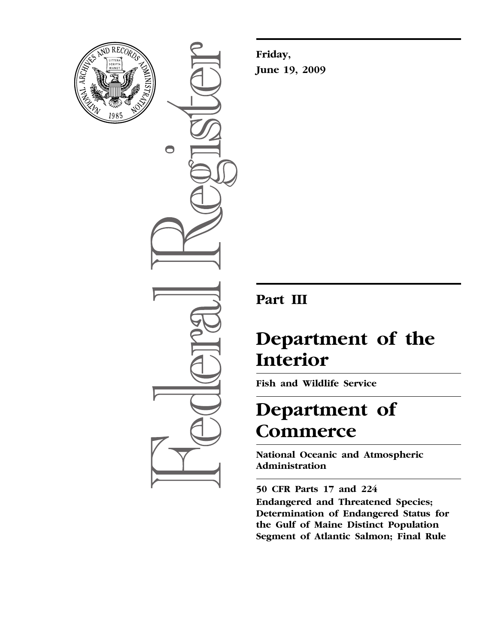

 $\bigcirc$ 

**Friday, June 19, 2009** 

# **Part III**

# **Department of the Interior**

**Fish and Wildlife Service** 

# **Department of Commerce**

**National Oceanic and Atmospheric Administration** 

**50 CFR Parts 17 and 224 Endangered and Threatened Species; Determination of Endangered Status for the Gulf of Maine Distinct Population Segment of Atlantic Salmon; Final Rule**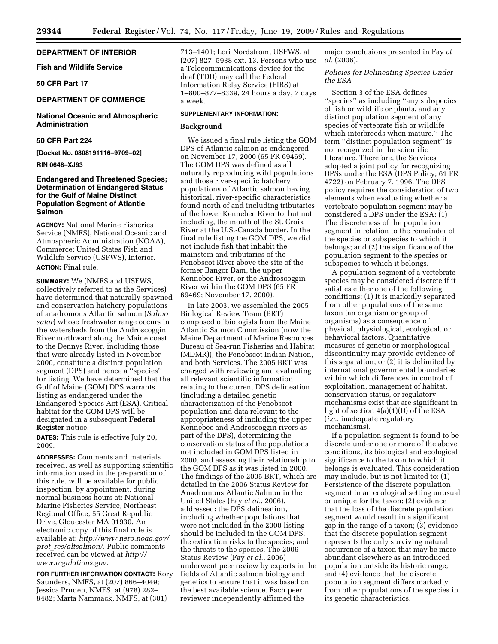# **DEPARTMENT OF INTERIOR**

# **Fish and Wildlife Service**

# **50 CFR Part 17**

# **DEPARTMENT OF COMMERCE**

# **National Oceanic and Atmospheric Administration**

# **50 CFR Part 224**

**[Docket No. 0808191116–9709–02]** 

# **RIN 0648–XJ93**

# **Endangered and Threatened Species; Determination of Endangered Status for the Gulf of Maine Distinct Population Segment of Atlantic Salmon**

**AGENCY:** National Marine Fisheries Service (NMFS), National Oceanic and Atmospheric Administration (NOAA), Commerce; United States Fish and Wildlife Service (USFWS), Interior. **ACTION:** Final rule.

**SUMMARY:** We (NMFS and USFWS, collectively referred to as the Services) have determined that naturally spawned and conservation hatchery populations of anadromous Atlantic salmon (*Salmo salar*) whose freshwater range occurs in the watersheds from the Androscoggin River northward along the Maine coast to the Dennys River, including those that were already listed in November 2000, constitute a distinct population segment (DPS) and hence a ''species'' for listing. We have determined that the Gulf of Maine (GOM) DPS warrants listing as endangered under the Endangered Species Act (ESA). Critical habitat for the GOM DPS will be designated in a subsequent **Federal Register** notice.

**DATES:** This rule is effective July 20, 2009.

**ADDRESSES:** Comments and materials received, as well as supporting scientific information used in the preparation of this rule, will be available for public inspection, by appointment, during normal business hours at: National Marine Fisheries Service, Northeast Regional Office, 55 Great Republic Drive, Gloucester MA 01930. An electronic copy of this final rule is available at: *[http://www.nero.noaa.gov/](http://www.nero.noaa.gov/prot_res/altsalmon/)  prot*\_*res/altsalmon/*. Public comments [received can be viewed at](http://www.regulations.gov) *http:// www.regulations.gov*.

**FOR FURTHER INFORMATION CONTACT:** Rory Saunders, NMFS, at (207) 866–4049; Jessica Pruden, NMFS, at (978) 282– 8482; Marta Nammack, NMFS, at (301)

713–1401; Lori Nordstrom, USFWS, at (207) 827–5938 ext. 13. Persons who use a Telecommunications device for the deaf (TDD) may call the Federal Information Relay Service (FIRS) at 1–800–877–8339, 24 hours a day, 7 days a week.

# **SUPPLEMENTARY INFORMATION:**

# **Background**

We issued a final rule listing the GOM DPS of Atlantic salmon as endangered on November 17, 2000 (65 FR 69469). The GOM DPS was defined as all naturally reproducing wild populations and those river-specific hatchery populations of Atlantic salmon having historical, river-specific characteristics found north of and including tributaries of the lower Kennebec River to, but not including, the mouth of the St. Croix River at the U.S.-Canada border. In the final rule listing the GOM DPS, we did not include fish that inhabit the mainstem and tributaries of the Penobscot River above the site of the former Bangor Dam, the upper Kennebec River, or the Androscoggin River within the GOM DPS (65 FR 69469; November 17, 2000).

In late 2003, we assembled the 2005 Biological Review Team (BRT) composed of biologists from the Maine Atlantic Salmon Commission (now the Maine Department of Marine Resources Bureau of Sea-run Fisheries and Habitat (MDMR)), the Penobscot Indian Nation, and both Services. The 2005 BRT was charged with reviewing and evaluating all relevant scientific information relating to the current DPS delineation (including a detailed genetic characterization of the Penobscot population and data relevant to the appropriateness of including the upper Kennebec and Androscoggin rivers as part of the DPS), determining the conservation status of the populations not included in GOM DPS listed in 2000, and assessing their relationship to the GOM DPS as it was listed in 2000. The findings of the 2005 BRT, which are detailed in the 2006 Status Review for Anadromous Atlantic Salmon in the United States (Fay *et al.*, 2006), addressed: the DPS delineation, including whether populations that were not included in the 2000 listing should be included in the GOM DPS; the extinction risks to the species; and the threats to the species. The 2006 Status Review (Fay *et al.*, 2006) underwent peer review by experts in the fields of Atlantic salmon biology and genetics to ensure that it was based on the best available science. Each peer reviewer independently affirmed the

major conclusions presented in Fay *et al.* (2006).

*Policies for Delineating Species Under the ESA* 

Section 3 of the ESA defines ''species'' as including ''any subspecies of fish or wildlife or plants, and any distinct population segment of any species of vertebrate fish or wildlife which interbreeds when mature.'' The term ''distinct population segment'' is not recognized in the scientific literature. Therefore, the Services adopted a joint policy for recognizing DPSs under the ESA (DPS Policy; 61 FR 4722) on February 7, 1996. The DPS policy requires the consideration of two elements when evaluating whether a vertebrate population segment may be considered a DPS under the ESA: (1) The discreteness of the population segment in relation to the remainder of the species or subspecies to which it belongs; and (2) the significance of the population segment to the species or subspecies to which it belongs.

A population segment of a vertebrate species may be considered discrete if it satisfies either one of the following conditions: (1) It is markedly separated from other populations of the same taxon (an organism or group of organisms) as a consequence of physical, physiological, ecological, or behavioral factors. Quantitative measures of genetic or morphological discontinuity may provide evidence of this separation; or (2) it is delimited by international governmental boundaries within which differences in control of exploitation, management of habitat, conservation status, or regulatory mechanisms exist that are significant in light of section 4(a)(1)(D) of the ESA (*i.e.*, inadequate regulatory mechanisms).

If a population segment is found to be discrete under one or more of the above conditions, its biological and ecological significance to the taxon to which it belongs is evaluated. This consideration may include, but is not limited to: (1) Persistence of the discrete population segment in an ecological setting unusual or unique for the taxon; (2) evidence that the loss of the discrete population segment would result in a significant gap in the range of a taxon; (3) evidence that the discrete population segment represents the only surviving natural occurrence of a taxon that may be more abundant elsewhere as an introduced population outside its historic range; and (4) evidence that the discrete population segment differs markedly from other populations of the species in its genetic characteristics.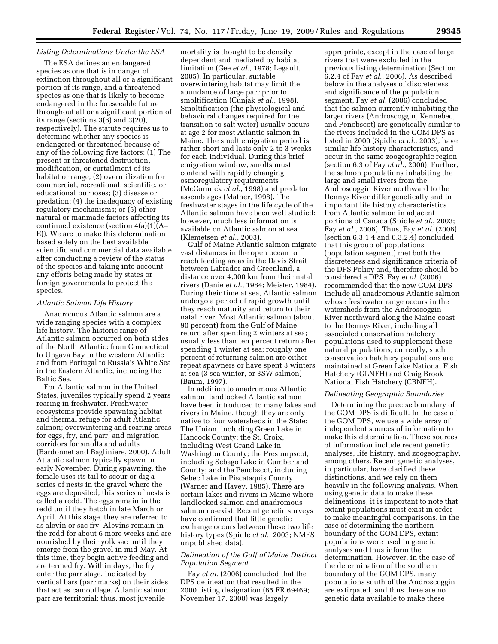# *Listing Determinations Under the ESA*

The ESA defines an endangered species as one that is in danger of extinction throughout all or a significant portion of its range, and a threatened species as one that is likely to become endangered in the foreseeable future throughout all or a significant portion of its range (sections 3(6) and 3(20), respectively). The statute requires us to determine whether any species is endangered or threatened because of any of the following five factors: (1) The present or threatened destruction, modification, or curtailment of its habitat or range; (2) overutilization for commercial, recreational, scientific, or educational purposes; (3) disease or predation; (4) the inadequacy of existing regulatory mechanisms; or (5) other natural or manmade factors affecting its continued existence (section 4(a)(1)(A– E)). We are to make this determination based solely on the best available scientific and commercial data available after conducting a review of the status of the species and taking into account any efforts being made by states or foreign governments to protect the species.

# *Atlantic Salmon Life History*

Anadromous Atlantic salmon are a wide ranging species with a complex life history. The historic range of Atlantic salmon occurred on both sides of the North Atlantic: from Connecticut to Ungava Bay in the western Atlantic and from Portugal to Russia's White Sea in the Eastern Atlantic, including the Baltic Sea.

For Atlantic salmon in the United States, juveniles typically spend 2 years rearing in freshwater. Freshwater ecosystems provide spawning habitat and thermal refuge for adult Atlantic salmon; overwintering and rearing areas for eggs, fry, and parr; and migration corridors for smolts and adults (Bardonnet and Bagliniere, 2000). Adult Atlantic salmon typically spawn in early November. During spawning, the female uses its tail to scour or dig a series of nests in the gravel where the eggs are deposited; this series of nests is called a redd. The eggs remain in the redd until they hatch in late March or April. At this stage, they are referred to as alevin or sac fry. Alevins remain in the redd for about 6 more weeks and are nourished by their yolk sac until they emerge from the gravel in mid-May. At this time, they begin active feeding and are termed fry. Within days, the fry enter the parr stage, indicated by vertical bars (parr marks) on their sides that act as camouflage. Atlantic salmon parr are territorial; thus, most juvenile

mortality is thought to be density dependent and mediated by habitat limitation (Gee *et al.*, 1978; Legault, 2005). In particular, suitable overwintering habitat may limit the abundance of large parr prior to smoltification (Cunjak *et al.*, 1998). Smoltification (the physiological and behavioral changes required for the transition to salt water) usually occurs at age 2 for most Atlantic salmon in Maine. The smolt emigration period is rather short and lasts only 2 to 3 weeks for each individual. During this brief emigration window, smolts must contend with rapidly changing osmoregulatory requirements (McCormick *et al.*, 1998) and predator assemblages (Mather, 1998). The freshwater stages in the life cycle of the Atlantic salmon have been well studied; however, much less information is available on Atlantic salmon at sea (Klemetsen *et al.*, 2003).

Gulf of Maine Atlantic salmon migrate vast distances in the open ocean to reach feeding areas in the Davis Strait between Labrador and Greenland, a distance over 4,000 km from their natal rivers (Danie *et al.*, 1984; Meister, 1984). During their time at sea, Atlantic salmon undergo a period of rapid growth until they reach maturity and return to their natal river. Most Atlantic salmon (about 90 percent) from the Gulf of Maine return after spending 2 winters at sea; usually less than ten percent return after spending 1 winter at sea; roughly one percent of returning salmon are either repeat spawners or have spent 3 winters at sea (3 sea winter, or 3SW salmon) (Baum, 1997).

In addition to anadromous Atlantic salmon, landlocked Atlantic salmon have been introduced to many lakes and rivers in Maine, though they are only native to four watersheds in the State: The Union, including Green Lake in Hancock County; the St. Croix, including West Grand Lake in Washington County; the Presumpscot, including Sebago Lake in Cumberland County; and the Penobscot, including Sebec Lake in Piscataquis County (Warner and Havey, 1985). There are certain lakes and rivers in Maine where landlocked salmon and anadromous salmon co-exist. Recent genetic surveys have confirmed that little genetic exchange occurs between these two life history types (Spidle *et al.*, 2003; NMFS unpublished data).

# *Delineation of the Gulf of Maine Distinct Population Segment*

Fay *et al.* (2006) concluded that the DPS delineation that resulted in the 2000 listing designation (65 FR 69469; November 17, 2000) was largely

appropriate, except in the case of large rivers that were excluded in the previous listing determination (Section 6.2.4 of Fay *et al.*, 2006). As described below in the analyses of discreteness and significance of the population segment, Fay *et al.* (2006) concluded that the salmon currently inhabiting the larger rivers (Androscoggin, Kennebec, and Penobscot) are genetically similar to the rivers included in the GOM DPS as listed in 2000 (Spidle *et al.*, 2003), have similar life history characteristics, and occur in the same zoogeographic region (section 6.3 of Fay *et al.*, 2006). Further, the salmon populations inhabiting the large and small rivers from the Androscoggin River northward to the Dennys River differ genetically and in important life history characteristics from Atlantic salmon in adjacent portions of Canada (Spidle *et al.*, 2003; Fay *et al.*, 2006). Thus, Fay *et al.* (2006) (section 6.3.1.4 and 6.3.2.4) concluded that this group of populations (population segment) met both the discreteness and significance criteria of the DPS Policy and, therefore should be considered a DPS. Fay *et al.* (2006) recommended that the new GOM DPS include all anadromous Atlantic salmon whose freshwater range occurs in the watersheds from the Androscoggin River northward along the Maine coast to the Dennys River, including all associated conservation hatchery populations used to supplement these natural populations; currently, such conservation hatchery populations are maintained at Green Lake National Fish Hatchery (GLNFH) and Craig Brook National Fish Hatchery (CBNFH).

#### *Delineating Geographic Boundaries*

Determining the precise boundary of the GOM DPS is difficult. In the case of the GOM DPS, we use a wide array of independent sources of information to make this determination. These sources of information include recent genetic analyses, life history, and zoogeography, among others. Recent genetic analyses, in particular, have clarified these distinctions, and we rely on them heavily in the following analysis. When using genetic data to make these delineations, it is important to note that extant populations must exist in order to make meaningful comparisons. In the case of determining the northern boundary of the GOM DPS, extant populations were used in genetic analyses and thus inform the determination. However, in the case of the determination of the southern boundary of the GOM DPS, many populations south of the Androscoggin are extirpated, and thus there are no genetic data available to make these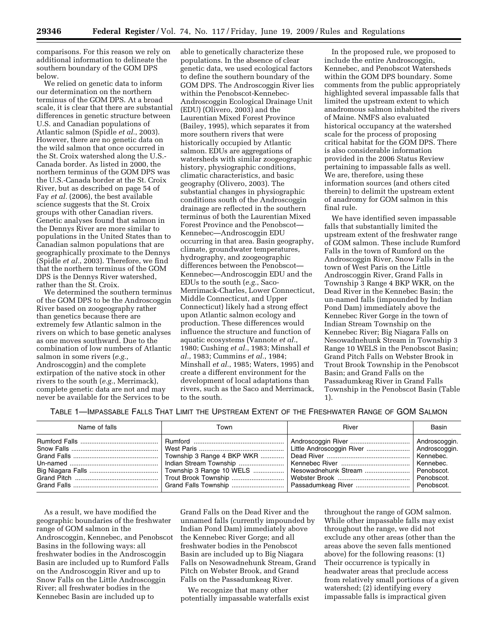comparisons. For this reason we rely on additional information to delineate the southern boundary of the GOM DPS below.

We relied on genetic data to inform our determination on the northern terminus of the GOM DPS. At a broad scale, it is clear that there are substantial differences in genetic structure between U.S. and Canadian populations of Atlantic salmon (Spidle *et al.*, 2003). However, there are no genetic data on the wild salmon that once occurred in the St. Croix watershed along the U.S.- Canada border. As listed in 2000, the northern terminus of the GOM DPS was the U.S.-Canada border at the St. Croix River, but as described on page 54 of Fay *et al.* (2006), the best available science suggests that the St. Croix groups with other Canadian rivers. Genetic analyses found that salmon in the Dennys River are more similar to populations in the United States than to Canadian salmon populations that are geographically proximate to the Dennys (Spidle *et al.*, 2003). Therefore, we find that the northern terminus of the GOM DPS is the Dennys River watershed, rather than the St. Croix.

We determined the southern terminus of the GOM DPS to be the Androscoggin River based on zoogeography rather than genetics because there are extremely few Atlantic salmon in the rivers on which to base genetic analyses as one moves southward. Due to the combination of low numbers of Atlantic salmon in some rivers (*e.g.*, Androscoggin) and the complete extirpation of the native stock in other rivers to the south (*e.g.*, Merrimack), complete genetic data are not and may never be available for the Services to be

able to genetically characterize these populations. In the absence of clear genetic data, we used ecological factors to define the southern boundary of the GOM DPS. The Androscoggin River lies within the Penobscot-Kennebec-Androscoggin Ecological Drainage Unit (EDU) (Olivero, 2003) and the Laurentian Mixed Forest Province (Bailey, 1995), which separates it from more southern rivers that were historically occupied by Atlantic salmon. EDUs are aggregations of watersheds with similar zoogeographic history, physiographic conditions, climatic characteristics, and basic geography (Olivero, 2003). The substantial changes in physiographic conditions south of the Androscoggin drainage are reflected in the southern terminus of both the Laurentian Mixed Forest Province and the Penobscot— Kennebec—Androscoggin EDU occurring in that area. Basin geography, climate, groundwater temperatures, hydrography, and zoogeographic differences between the Penobscot— Kennebec—Androscoggin EDU and the EDUs to the south (*e.g.*, Saco-Merrimack-Charles, Lower Connecticut, Middle Connecticut, and Upper Connecticut) likely had a strong effect upon Atlantic salmon ecology and production. These differences would influence the structure and function of aquatic ecosystems (Vannote *et al.*, 1980; Cushing *et al.*, 1983; Minshall *et al.*, 1983; Cummins *et al.*, 1984; Minshall *et al.*, 1985; Waters, 1995) and create a different environment for the development of local adaptations than rivers, such as the Saco and Merrimack, to the south.

In the proposed rule, we proposed to include the entire Androscoggin, Kennebec, and Penobscot Watersheds within the GOM DPS boundary. Some comments from the public appropriately highlighted several impassable falls that limited the upstream extent to which anadromous salmon inhabited the rivers of Maine. NMFS also evaluated historical occupancy at the watershed scale for the process of proposing critical habitat for the GOM DPS. There is also considerable information provided in the 2006 Status Review pertaining to impassable falls as well. We are, therefore, using these information sources (and others cited therein) to delimit the upstream extent of anadromy for GOM salmon in this final rule.

We have identified seven impassable falls that substantially limited the upstream extent of the freshwater range of GOM salmon. These include Rumford Falls in the town of Rumford on the Androscoggin River, Snow Falls in the town of West Paris on the Little Androscoggin River, Grand Falls in Township 3 Range 4 BKP WKR, on the Dead River in the Kennebec Basin; the un-named falls (impounded by Indian Pond Dam) immediately above the Kennebec River Gorge in the town of Indian Stream Township on the Kennebec River; Big Niagara Falls on Nesowadnehunk Stream in Township 3 Range 10 WELS in the Penobscot Basin; Grand Pitch Falls on Webster Brook in Trout Brook Township in the Penobscot Basin; and Grand Falls on the Passadumkeag River in Grand Falls Township in the Penobscot Basin (Table 1).

| Table 1—Impassable Falls That Limit the Upstream Extent of the Freshwater Range of GOM Salmon |
|-----------------------------------------------------------------------------------------------|
|-----------------------------------------------------------------------------------------------|

| Name of falls | Town | River | Basin |
|---------------|------|-------|-------|
|               |      |       |       |

As a result, we have modified the geographic boundaries of the freshwater range of GOM salmon in the Androscoggin, Kennebec, and Penobscot Basins in the following ways: all freshwater bodies in the Androscoggin Basin are included up to Rumford Falls on the Androscoggin River and up to Snow Falls on the Little Androscoggin River; all freshwater bodies in the Kennebec Basin are included up to

Grand Falls on the Dead River and the unnamed falls (currently impounded by Indian Pond Dam) immediately above the Kennebec River Gorge; and all freshwater bodies in the Penobscot Basin are included up to Big Niagara Falls on Nesowadnehunk Stream, Grand Pitch on Webster Brook, and Grand Falls on the Passadumkeag River.

We recognize that many other potentially impassable waterfalls exist

throughout the range of GOM salmon. While other impassable falls may exist throughout the range, we did not exclude any other areas (other than the areas above the seven falls mentioned above) for the following reasons: (1) Their occurrence is typically in headwater areas that preclude access from relatively small portions of a given watershed; (2) identifying every impassable falls is impractical given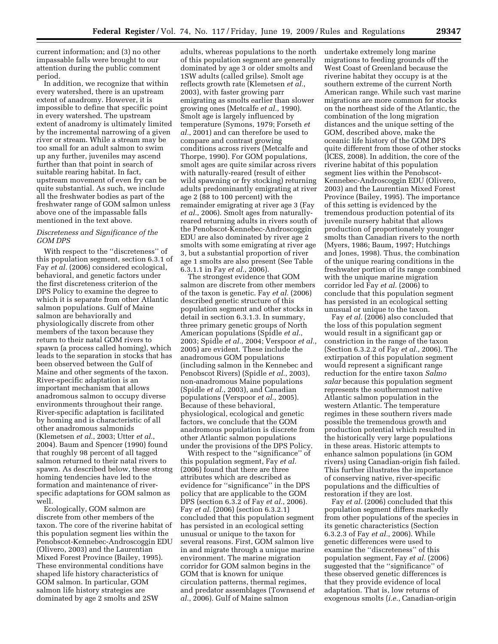current information; and (3) no other impassable falls were brought to our attention during the public comment period.

In addition, we recognize that within every watershed, there is an upstream extent of anadromy. However, it is impossible to define that specific point in every watershed. The upstream extent of anadromy is ultimately limited by the incremental narrowing of a given river or stream. While a stream may be too small for an adult salmon to swim up any further, juveniles may ascend further than that point in search of suitable rearing habitat. In fact, upstream movement of even fry can be quite substantial. As such, we include all the freshwater bodies as part of the freshwater range of GOM salmon unless above one of the impassable falls mentioned in the text above.

# *Discreteness and Significance of the GOM DPS*

With respect to the ''discreteness'' of this population segment, section 6.3.1 of Fay *et al.* (2006) considered ecological, behavioral, and genetic factors under the first discreteness criterion of the DPS Policy to examine the degree to which it is separate from other Atlantic salmon populations. Gulf of Maine salmon are behaviorally and physiologically discrete from other members of the taxon because they return to their natal GOM rivers to spawn (a process called homing), which leads to the separation in stocks that has been observed between the Gulf of Maine and other segments of the taxon. River-specific adaptation is an important mechanism that allows anadromous salmon to occupy diverse environments throughout their range. River-specific adaptation is facilitated by homing and is characteristic of all other anadromous salmonids (Klemetsen *et al.*, 2003; Utter *et al.*, 2004). Baum and Spencer (1990) found that roughly 98 percent of all tagged salmon returned to their natal rivers to spawn. As described below, these strong homing tendencies have led to the formation and maintenance of riverspecific adaptations for GOM salmon as well.

Ecologically, GOM salmon are discrete from other members of the taxon. The core of the riverine habitat of this population segment lies within the Penobscot-Kennebec-Androscoggin EDU (Olivero, 2003) and the Laurentian Mixed Forest Province (Bailey, 1995). These environmental conditions have shaped life history characteristics of GOM salmon. In particular, GOM salmon life history strategies are dominated by age 2 smolts and 2SW

adults, whereas populations to the north of this population segment are generally dominated by age 3 or older smolts and 1SW adults (called grilse). Smolt age reflects growth rate (Klemetsen *et al.*, 2003), with faster growing parr emigrating as smolts earlier than slower growing ones (Metcalfe *et al.*, 1990). Smolt age is largely influenced by temperature (Symons, 1979; Forseth *et al.*, 2001) and can therefore be used to compare and contrast growing conditions across rivers (Metcalfe and Thorpe, 1990). For GOM populations, smolt ages are quite similar across rivers with naturally-reared (result of either wild spawning or fry stocking) returning adults predominantly emigrating at river age 2 (88 to 100 percent) with the remainder emigrating at river age 3 (Fay *et al.*, 2006). Smolt ages from naturallyreared returning adults in rivers south of the Penobscot-Kennebec-Androscoggin EDU are also dominated by river age 2 smolts with some emigrating at river age 3, but a substantial proportion of river age 1 smolts are also present (See Table 6.3.1.1 in Fay *et al.*, 2006).

The strongest evidence that GOM salmon are discrete from other members of the taxon is genetic. Fay *et al.* (2006) described genetic structure of this population segment and other stocks in detail in section 6.3.1.3. In summary, three primary genetic groups of North American populations (Spidle *et al.*, 2003; Spidle *et al.*, 2004; Verspoor *et al.*, 2005) are evident. These include the anadromous GOM populations (including salmon in the Kennebec and Penobscot Rivers) (Spidle *et al.*, 2003), non-anadromous Maine populations (Spidle *et al.*, 2003), and Canadian populations (Verspoor *et al.*, 2005). Because of these behavioral, physiological, ecological and genetic factors, we conclude that the GOM anadromous population is discrete from other Atlantic salmon populations under the provisions of the DPS Policy.

With respect to the ''significance'' of this population segment, Fay *et al.*  (2006) found that there are three attributes which are described as evidence for ''significance'' in the DPS policy that are applicable to the GOM DPS (section 6.3.2 of Fay *et al.*, 2006). Fay *et al.* (2006) (section 6.3.2.1) concluded that this population segment has persisted in an ecological setting unusual or unique to the taxon for several reasons. First, GOM salmon live in and migrate through a unique marine environment. The marine migration corridor for GOM salmon begins in the GOM that is known for unique circulation patterns, thermal regimes, and predator assemblages (Townsend *et al.*, 2006). Gulf of Maine salmon

undertake extremely long marine migrations to feeding grounds off the West Coast of Greenland because the riverine habitat they occupy is at the southern extreme of the current North American range. While such vast marine migrations are more common for stocks on the northeast side of the Atlantic, the combination of the long migration distances and the unique setting of the GOM, described above, make the oceanic life history of the GOM DPS quite different from those of other stocks (ICES, 2008). In addition, the core of the riverine habitat of this population segment lies within the Penobscot-Kennebec-Androscoggin EDU (Olivero, 2003) and the Laurentian Mixed Forest Province (Bailey, 1995). The importance of this setting is evidenced by the tremendous production potential of its juvenile nursery habitat that allows production of proportionately younger smolts than Canadian rivers to the north (Myers, 1986; Baum, 1997; Hutchings and Jones, 1998). Thus, the combination of the unique rearing conditions in the freshwater portion of its range combined with the unique marine migration corridor led Fay *et al.* (2006) to conclude that this population segment has persisted in an ecological setting unusual or unique to the taxon.

Fay *et al.* (2006) also concluded that the loss of this population segment would result in a significant gap or constriction in the range of the taxon (Section 6.3.2.2 of Fay *et al.*, 2006). The extirpation of this population segment would represent a significant range reduction for the entire taxon *Salmo salar* because this population segment represents the southernmost native Atlantic salmon population in the western Atlantic. The temperature regimes in these southern rivers made possible the tremendous growth and production potential which resulted in the historically very large populations in these areas. Historic attempts to enhance salmon populations (in GOM rivers) using Canadian-origin fish failed. This further illustrates the importance of conserving native, river-specific populations and the difficulties of restoration if they are lost.

Fay *et al.* (2006) concluded that this population segment differs markedly from other populations of the species in its genetic characteristics (Section 6.3.2.3 of Fay *et al.*, 2006). While genetic differences were used to examine the ''discreteness'' of this population segment, Fay *et al.* (2006) suggested that the ''significance'' of these observed genetic differences is that they provide evidence of local adaptation. That is, low returns of exogenous smolts (*i.e.*, Canadian-origin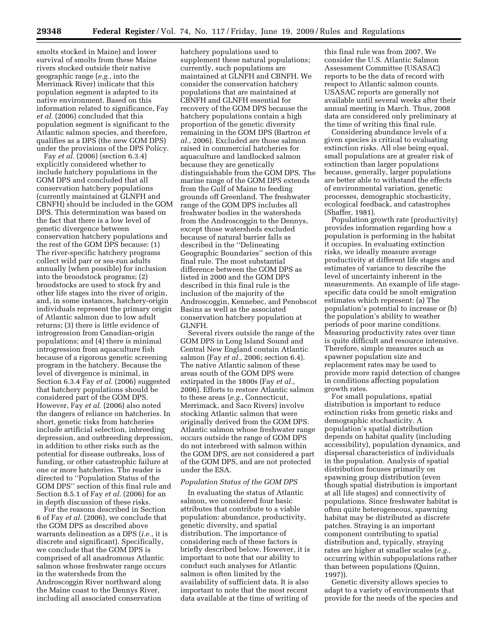smolts stocked in Maine) and lower survival of smolts from these Maine rivers stocked outside their native geographic range (*e.g.*, into the Merrimack River) indicate that this population segment is adapted to its native environment. Based on this information related to significance, Fay *et al.* (2006) concluded that this population segment is significant to the Atlantic salmon species, and therefore, qualifies as a DPS (the new GOM DPS) under the provisions of the DPS Policy.

Fay *et al.* (2006) (section 6.3.4) explicitly considered whether to include hatchery populations in the GOM DPS and concluded that all conservation hatchery populations (currently maintained at GLNFH and CBNFH) should be included in the GOM DPS. This determination was based on the fact that there is a low level of genetic divergence between conservation hatchery populations and the rest of the GOM DPS because: (1) The river-specific hatchery programs collect wild parr or sea-run adults annually (when possible) for inclusion into the broodstock programs; (2) broodstocks are used to stock fry and other life stages into the river of origin, and, in some instances, hatchery-origin individuals represent the primary origin of Atlantic salmon due to low adult returns; (3) there is little evidence of introgression from Canadian-origin populations; and (4) there is minimal introgression from aquaculture fish because of a rigorous genetic screening program in the hatchery. Because the level of divergence is minimal, in Section 6.3.4 Fay *et al.* (2006) suggested that hatchery populations should be considered part of the GOM DPS. However, Fay *et al.* (2006) also noted the dangers of reliance on hatcheries. In short, genetic risks from hatcheries include artificial selection, inbreeding depression, and outbreeding depression, in addition to other risks such as the potential for disease outbreaks, loss of funding, or other catastrophic failure at one or more hatcheries. The reader is directed to ''Population Status of the GOM DPS'' section of this final rule and Section 8.5.1 of Fay *et al.* (2006) for an in depth discussion of these risks.

For the reasons described in Section 6 of Fay *et al.* (2006), we conclude that the GOM DPS as described above warrants delineation as a DPS (*i.e.*, it is discrete and significant). Specifically, we conclude that the GOM DPS is comprised of all anadromous Atlantic salmon whose freshwater range occurs in the watersheds from the Androscoggin River northward along the Maine coast to the Dennys River, including all associated conservation

hatchery populations used to supplement these natural populations; currently, such populations are maintained at GLNFH and CBNFH. We consider the conservation hatchery populations that are maintained at CBNFH and GLNFH essential for recovery of the GOM DPS because the hatchery populations contain a high proportion of the genetic diversity remaining in the GOM DPS (Bartron *et al.*, 2006). Excluded are those salmon raised in commercial hatcheries for aquaculture and landlocked salmon because they are genetically distinguishable from the GOM DPS. The marine range of the GOM DPS extends from the Gulf of Maine to feeding grounds off Greenland. The freshwater range of the GOM DPS includes all freshwater bodies in the watersheds from the Androscoggin to the Dennys, except those watersheds excluded because of natural barrier falls as described in the ''Delineating Geographic Boundaries'' section of this final rule. The most substantial difference between the GOM DPS as listed in 2000 and the GOM DPS described in this final rule is the inclusion of the majority of the Androscoggin, Kennebec, and Penobscot Basins as well as the associated conservation hatchery population at GLNFH.

Several rivers outside the range of the GOM DPS in Long Island Sound and Central New England contain Atlantic salmon (Fay *et al.*, 2006; section 6.4). The native Atlantic salmon of these areas south of the GOM DPS were extirpated in the 1800s (Fay *et al.*, 2006). Efforts to restore Atlantic salmon to these areas (*e.g.*, Connecticut, Merrimack, and Saco Rivers) involve stocking Atlantic salmon that were originally derived from the GOM DPS. Atlantic salmon whose freshwater range occurs outside the range of GOM DPS do not interbreed with salmon within the GOM DPS, are not considered a part of the GOM DPS, and are not protected under the ESA.

#### *Population Status of the GOM DPS*

In evaluating the status of Atlantic salmon, we considered four basic attributes that contribute to a viable population: abundance, productivity, genetic diversity, and spatial distribution. The importance of considering each of these factors is briefly described below. However, it is important to note that our ability to conduct such analyses for Atlantic salmon is often limited by the availability of sufficient data. It is also important to note that the most recent data available at the time of writing of

this final rule was from 2007. We consider the U.S. Atlantic Salmon Assessment Committee (USASAC) reports to be the data of record with respect to Atlantic salmon counts. USASAC reports are generally not available until several weeks after their annual meeting in March. Thus, 2008 data are considered only preliminary at the time of writing this final rule.

Considering abundance levels of a given species is critical to evaluating extinction risks. All else being equal, small populations are at greater risk of extinction than larger populations because, generally, larger populations are better able to withstand the effects of environmental variation, genetic processes, demographic stochasticity, ecological feedback, and catastrophes (Shaffer, 1981).

Population growth rate (productivity) provides information regarding how a population is performing in the habitat it occupies. In evaluating extinction risks, we ideally measure average productivity at different life stages and estimates of variance to describe the level of uncertainty inherent in the measurements. An example of life stagespecific data could be smolt emigration estimates which represent: (a) The population's potential to increase or (b) the population's ability to weather periods of poor marine conditions. Measuring productivity rates over time is quite difficult and resource intensive. Therefore, simple measures such as spawner population size and replacement rates may be used to provide more rapid detection of changes in conditions affecting population growth rates.

For small populations, spatial distribution is important to reduce extinction risks from genetic risks and demographic stochasticity. A population's spatial distribution depends on habitat quality (including accessibility), population dynamics, and dispersal characteristics of individuals in the population. Analysis of spatial distribution focuses primarily on spawning group distribution (even though spatial distribution is important at all life stages) and connectivity of populations. Since freshwater habitat is often quite heterogeneous, spawning habitat may be distributed as discrete patches. Straying is an important component contributing to spatial distribution and, typically, straying rates are higher at smaller scales (*e.g.*, occurring within subpopulations rather than between populations (Quinn, 1997)).

Genetic diversity allows species to adapt to a variety of environments that provide for the needs of the species and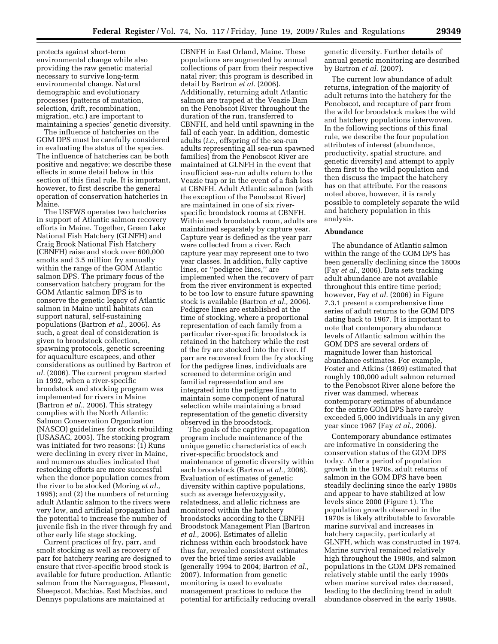protects against short-term environmental change while also providing the raw genetic material necessary to survive long-term environmental change. Natural demographic and evolutionary processes (patterns of mutation, selection, drift, recombination, migration, etc.) are important to maintaining a species' genetic diversity.

The influence of hatcheries on the GOM DPS must be carefully considered in evaluating the status of the species. The influence of hatcheries can be both positive and negative; we describe these effects in some detail below in this section of this final rule. It is important, however, to first describe the general operation of conservation hatcheries in Maine.

The USFWS operates two hatcheries in support of Atlantic salmon recovery efforts in Maine. Together, Green Lake National Fish Hatchery (GLNFH) and Craig Brook National Fish Hatchery (CBNFH) raise and stock over 600,000 smolts and 3.5 million fry annually within the range of the GOM Atlantic salmon DPS. The primary focus of the conservation hatchery program for the GOM Atlantic salmon DPS is to conserve the genetic legacy of Atlantic salmon in Maine until habitats can support natural, self-sustaining populations (Bartron *et al.,* 2006). As such, a great deal of consideration is given to broodstock collection, spawning protocols, genetic screening for aquaculture escapees, and other considerations as outlined by Bartron *et al.* (2006). The current program started in 1992, when a river-specific broodstock and stocking program was implemented for rivers in Maine (Bartron *et al.,* 2006). This strategy complies with the North Atlantic Salmon Conservation Organization (NASCO) guidelines for stock rebuilding (USASAC, 2005). The stocking program was initiated for two reasons: (1) Runs were declining in every river in Maine, and numerous studies indicated that restocking efforts are more successful when the donor population comes from the river to be stocked (Moring *et al.,*  1995); and (2) the numbers of returning adult Atlantic salmon to the rivers were very low, and artificial propagation had the potential to increase the number of juvenile fish in the river through fry and other early life stage stocking.

Current practices of fry, parr, and smolt stocking as well as recovery of parr for hatchery rearing are designed to ensure that river-specific brood stock is available for future production. Atlantic salmon from the Narraguagus, Pleasant, Sheepscot, Machias, East Machias, and Dennys populations are maintained at

CBNFH in East Orland, Maine. These populations are augmented by annual collections of parr from their respective natal river; this program is described in detail by Bartron *et al.* (2006). Additionally, returning adult Atlantic salmon are trapped at the Veazie Dam on the Penobscot River throughout the duration of the run, transferred to CBNFH, and held until spawning in the fall of each year. In addition, domestic adults (*i.e.,* offspring of the sea-run adults representing all sea-run spawned families) from the Penobscot River are maintained at GLNFH in the event that insufficient sea-run adults return to the Veazie trap or in the event of a fish loss at CBNFH. Adult Atlantic salmon (with the exception of the Penobscot River) are maintained in one of six riverspecific broodstock rooms at CBNFH. Within each broodstock room, adults are maintained separately by capture year. Capture year is defined as the year parr were collected from a river. Each capture year may represent one to two year classes. In addition, fully captive lines, or ''pedigree lines,'' are implemented when the recovery of parr from the river environment is expected to be too low to ensure future spawning stock is available (Bartron *et al.,* 2006). Pedigree lines are established at the time of stocking, where a proportional representation of each family from a particular river-specific broodstock is retained in the hatchery while the rest of the fry are stocked into the river. If parr are recovered from the fry stocking for the pedigree lines, individuals are screened to determine origin and familial representation and are integrated into the pedigree line to maintain some component of natural selection while maintaining a broad representation of the genetic diversity observed in the broodstock.

The goals of the captive propagation program include maintenance of the unique genetic characteristics of each river-specific broodstock and maintenance of genetic diversity within each broodstock (Bartron *et al.,* 2006). Evaluation of estimates of genetic diversity within captive populations, such as average heterozygosity, relatedness, and allelic richness are monitored within the hatchery broodstocks according to the CBNFH Broodstock Management Plan (Bartron *et al.,* 2006). Estimates of allelic richness within each broodstock have thus far, revealed consistent estimates over the brief time series available (generally 1994 to 2004; Bartron *et al.,*  2007). Information from genetic monitoring is used to evaluate management practices to reduce the potential for artificially reducing overall

genetic diversity. Further details of annual genetic monitoring are described by Bartron *et al.* (2007).

The current low abundance of adult returns, integration of the majority of adult returns into the hatchery for the Penobscot, and recapture of parr from the wild for broodstock makes the wild and hatchery populations interwoven. In the following sections of this final rule, we describe the four population attributes of interest (abundance, productivity, spatial structure, and genetic diversity) and attempt to apply them first to the wild population and then discuss the impact the hatchery has on that attribute. For the reasons noted above, however, it is rarely possible to completely separate the wild and hatchery population in this analysis.

#### **Abundance**

The abundance of Atlantic salmon within the range of the GOM DPS has been generally declining since the 1800s (Fay *et al.,* 2006). Data sets tracking adult abundance are not available throughout this entire time period; however, Fay *et al.* (2006) in Figure 7.3.1 present a comprehensive time series of adult returns to the GOM DPS dating back to 1967. It is important to note that contemporary abundance levels of Atlantic salmon within the GOM DPS are several orders of magnitude lower than historical abundance estimates. For example, Foster and Atkins (1869) estimated that roughly 100,000 adult salmon returned to the Penobscot River alone before the river was dammed, whereas contemporary estimates of abundance for the entire GOM DPS have rarely exceeded 5,000 individuals in any given year since 1967 (Fay *et al.,* 2006).

Contemporary abundance estimates are informative in considering the conservation status of the GOM DPS today. After a period of population growth in the 1970s, adult returns of salmon in the GOM DPS have been steadily declining since the early 1980s and appear to have stabilized at low levels since 2000 (Figure 1). The population growth observed in the 1970s is likely attributable to favorable marine survival and increases in hatchery capacity, particularly at GLNFH, which was constructed in 1974. Marine survival remained relatively high throughout the 1980s, and salmon populations in the GOM DPS remained relatively stable until the early 1990s when marine survival rates decreased, leading to the declining trend in adult abundance observed in the early 1990s.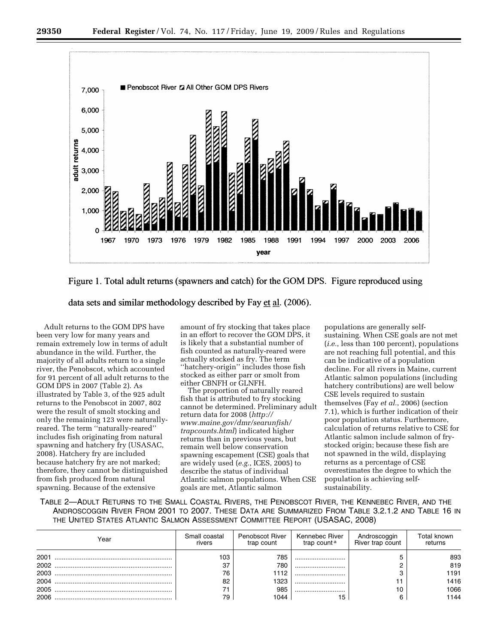



data sets and similar methodology described by Fay  $et al.$  (2006).</u>

Adult returns to the GOM DPS have been very low for many years and remain extremely low in terms of adult abundance in the wild. Further, the majority of all adults return to a single river, the Penobscot, which accounted for 91 percent of all adult returns to the GOM DPS in 2007 (Table 2). As illustrated by Table 3, of the 925 adult returns to the Penobscot in 2007, 802 were the result of smolt stocking and only the remaining 123 were naturallyreared. The term ''naturally-reared'' includes fish originating from natural spawning and hatchery fry (USASAC, 2008). Hatchery fry are included because hatchery fry are not marked; therefore, they cannot be distinguished from fish produced from natural spawning. Because of the extensive

amount of fry stocking that takes place in an effort to recover the GOM DPS, it is likely that a substantial number of fish counted as naturally-reared were actually stocked as fry. The term ''hatchery-origin'' includes those fish stocked as either parr or smolt from either CBNFH or GLNFH.

The proportion of naturally reared fish that is attributed to fry stocking cannot be determined. Preliminary adult return data for 2008 (*http:// [www.maine.gov/dmr/searunfish/](http://www.maine.gov/dmr/searunfish/trapcounts.html)  trapcounts.html*) indicated higher returns than in previous years, but remain well below conservation spawning escapement (CSE) goals that are widely used (*e.g.*, ICES, 2005) to describe the status of individual Atlantic salmon populations. When CSE goals are met, Atlantic salmon

populations are generally selfsustaining. When CSE goals are not met (*i.e.*, less than 100 percent), populations are not reaching full potential, and this can be indicative of a population decline. For all rivers in Maine, current Atlantic salmon populations (including hatchery contributions) are well below CSE levels required to sustain themselves (Fay *et al.*, 2006) (section 7.1), which is further indication of their poor population status. Furthermore, calculation of returns relative to CSE for Atlantic salmon include salmon of frystocked origin; because these fish are not spawned in the wild, displaying returns as a percentage of CSE overestimates the degree to which the population is achieving selfsustainability.

TABLE 2—ADULT RETURNS TO THE SMALL COASTAL RIVERS, THE PENOBSCOT RIVER, THE KENNEBEC RIVER, AND THE ANDROSCOGGIN RIVER FROM 2001 TO 2007. THESE DATA ARE SUMMARIZED FROM TABLE 3.2.1.2 AND TABLE 16 IN THE UNITED STATES ATLANTIC SALMON ASSESSMENT COMMITTEE REPORT (USASAC, 2008)

| Year | Small coastal<br>rivers | Penobscot River<br>trap count | Kennebec River<br>trap count <sup>a</sup> | Androscoggin<br>River trap count | Total known<br>returns |
|------|-------------------------|-------------------------------|-------------------------------------------|----------------------------------|------------------------|
| 2001 | 103                     | 785                           |                                           |                                  | 893                    |
|      | 37                      | 780                           |                                           |                                  | 819                    |
| 2003 | 76                      | 1112                          |                                           | C                                | 1191                   |
| 2004 | 82                      | 1323                          |                                           |                                  | 1416                   |
| 2005 |                         | 985                           |                                           | 10                               | 1066                   |
| 2006 | 79                      | 1044                          |                                           | 6                                | 1144                   |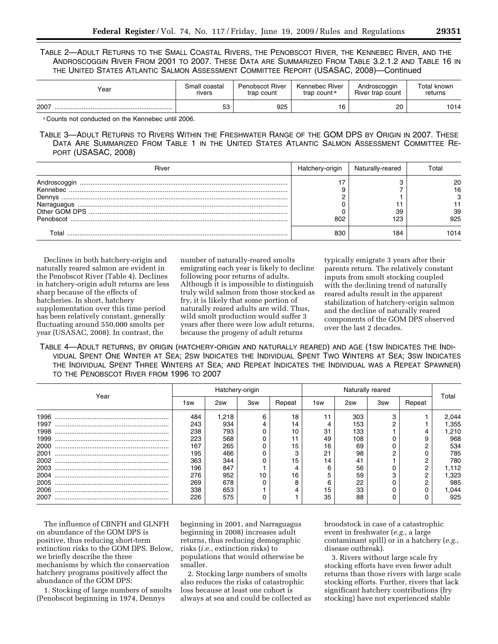TABLE 2—ADULT RETURNS TO THE SMALL COASTAL RIVERS, THE PENOBSCOT RIVER, THE KENNEBEC RIVER, AND THE ANDROSCOGGIN RIVER FROM 2001 TO 2007. THESE DATA ARE SUMMARIZED FROM TABLE 3.2.1.2 AND TABLE 16 IN THE UNITED STATES ATLANTIC SALMON ASSESSMENT COMMITTEE REPORT (USASAC, 2008)—Continued

| Year | Small coastal | <b>Penobscot River</b> | Kennebec River          | Androscoggin     | Total known |  |
|------|---------------|------------------------|-------------------------|------------------|-------------|--|
|      | rivers        | trap count             | trap count <sup>a</sup> | River trap count | returns     |  |
| 2007 | 52.<br>ວວ     | 925                    | 16                      | 20               | 1014        |  |

a Counts not conducted on the Kennebec until 2006.

TABLE 3—ADULT RETURNS TO RIVERS WITHIN THE FRESHWATER RANGE OF THE GOM DPS BY ORIGIN IN 2007. THESE DATA ARE SUMMARIZED FROM TABLE 1 IN THE UNITED STATES ATLANTIC SALMON ASSESSMENT COMMITTEE RE-PORT (USASAC, 2008)

| River                               | Hatchery-origin | Naturally-reared | Гоtal           |
|-------------------------------------|-----------------|------------------|-----------------|
| Androscoggin<br>Dennys<br>Penobscot | 802             | 39<br>123        | 16<br>39<br>925 |
| Total                               |                 | 184              | 014             |

Declines in both hatchery-origin and naturally reared salmon are evident in the Penobscot River (Table 4). Declines in hatchery-origin adult returns are less sharp because of the effects of hatcheries. In short, hatchery supplementation over this time period has been relatively constant, generally fluctuating around 550,000 smolts per year (USASAC, 2008). In contrast, the

number of naturally-reared smolts emigrating each year is likely to decline following poor returns of adults. Although it is impossible to distinguish truly wild salmon from those stocked as fry, it is likely that some portion of naturally reared adults are wild. Thus, wild smolt production would suffer 3 years after there were low adult returns, because the progeny of adult returns

typically emigrate 3 years after their parents return. The relatively constant inputs from smolt stocking coupled with the declining trend of naturally reared adults result in the apparent stabilization of hatchery-origin salmon and the decline of naturally reared components of the GOM DPS observed over the last 2 decades.

TABLE 4—ADULT RETURNS, BY ORIGIN (HATCHERY-ORIGIN AND NATURALLY REARED) AND AGE (1SW INDICATES THE INDI-VIDUAL SPENT ONE WINTER AT SEA; 2SW INDICATES THE INDIVIDUAL SPENT TWO WINTERS AT SEA; 3SW INDICATES THE INDIVIDUAL SPENT THREE WINTERS AT SEA; AND REPEAT INDICATES THE INDIVIDUAL WAS A REPEAT SPAWNER) TO THE PENOBSCOT RIVER FROM 1996 TO 2007

|      | Hatchery-origin |       |     | Naturally reared |     |     |     |        |       |
|------|-----------------|-------|-----|------------------|-----|-----|-----|--------|-------|
| Year | 1sw             | 2sw   | 3sw | Repeat           | 1sw | 2sw | 3sw | Repeat | Total |
| 1996 | 484             | 1.218 | 6   | 18               |     | 303 |     |        | 2.044 |
| 1997 | 243             | 934   | 4   | 14               |     | 153 |     |        | .355  |
| 1998 | 238             | 793   |     | 10               | 31  | 133 |     |        | 1.210 |
| 1999 | 223             | 568   |     |                  | 49  | 108 |     |        | 968   |
| 2000 | 167             | 265   |     | 15               | 16  | 69  |     |        | 534   |
| 2001 | 195             | 466   |     |                  | 21  | 98  |     |        | 785   |
| 2002 | 363             | 344   |     | 15               | 14  | 41  |     |        | 780   |
| 2003 | 196             | 847   |     |                  |     | 56  |     | 2      | 1,112 |
| 2004 | 276             | 952   | 10  | 16               |     | 59  |     | C      | .323  |
| 2005 | 269             | 678   |     | 8                |     | 22  |     | ◠      | 985   |
| 2006 | 338             | 653   |     |                  | 15  | 33  |     |        | .044  |
| 2007 | 226             | 575   |     |                  | 35  | 88  |     |        | 925   |

The influence of CBNFH and GLNFH on abundance of the GOM DPS is positive, thus reducing short-term extinction risks to the GOM DPS. Below, we briefly describe the three mechanisms by which the conservation hatchery programs positively affect the abundance of the GOM DPS:

1. Stocking of large numbers of smolts (Penobscot beginning in 1974, Dennys

beginning in 2001, and Narraguagus beginning in 2008) increases adult returns, thus reducing demographic risks (*i.e.*, extinction risks) to populations that would otherwise be smaller.

2. Stocking large numbers of smolts also reduces the risks of catastrophic loss because at least one cohort is always at sea and could be collected as broodstock in case of a catastrophic event in freshwater (*e.g.*, a large contaminant spill) or in a hatchery (*e.g.*, disease outbreak).

3. Rivers without large scale fry stocking efforts have even fewer adult returns than those rivers with large scale stocking efforts. Further, rivers that lack significant hatchery contributions (fry stocking) have not experienced stable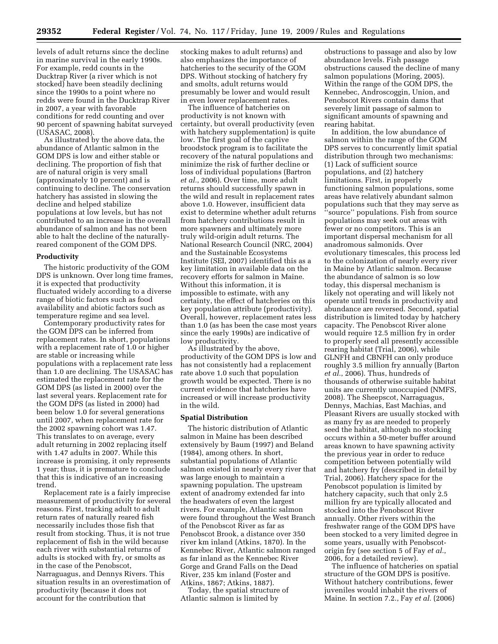levels of adult returns since the decline in marine survival in the early 1990s. For example, redd counts in the Ducktrap River (a river which is not stocked) have been steadily declining since the 1990s to a point where no redds were found in the Ducktrap River in 2007, a year with favorable conditions for redd counting and over 90 percent of spawning habitat surveyed (USASAC, 2008).

As illustrated by the above data, the abundance of Atlantic salmon in the GOM DPS is low and either stable or declining. The proportion of fish that are of natural origin is very small (approximately 10 percent) and is continuing to decline. The conservation hatchery has assisted in slowing the decline and helped stabilize populations at low levels, but has not contributed to an increase in the overall abundance of salmon and has not been able to halt the decline of the naturallyreared component of the GOM DPS.

#### **Productivity**

The historic productivity of the GOM DPS is unknown. Over long time frames, it is expected that productivity fluctuated widely according to a diverse range of biotic factors such as food availability and abiotic factors such as temperature regime and sea level.

Contemporary productivity rates for the GOM DPS can be inferred from replacement rates. In short, populations with a replacement rate of 1.0 or higher are stable or increasing while populations with a replacement rate less than 1.0 are declining. The USASAC has estimated the replacement rate for the GOM DPS (as listed in 2000) over the last several years. Replacement rate for the GOM DPS (as listed in 2000) had been below 1.0 for several generations until 2007, when replacement rate for the 2002 spawning cohort was 1.47. This translates to on average, every adult returning in 2002 replacing itself with 1.47 adults in 2007. While this increase is promising, it only represents 1 year; thus, it is premature to conclude that this is indicative of an increasing trend.

Replacement rate is a fairly imprecise measurement of productivity for several reasons. First, tracking adult to adult return rates of naturally reared fish necessarily includes those fish that result from stocking. Thus, it is not true replacement of fish in the wild because each river with substantial returns of adults is stocked with fry, or smolts as in the case of the Penobscot, Narraguagus, and Dennys Rivers. This situation results in an overestimation of productivity (because it does not account for the contribution that

stocking makes to adult returns) and also emphasizes the importance of hatcheries to the security of the GOM DPS. Without stocking of hatchery fry and smolts, adult returns would presumably be lower and would result in even lower replacement rates.

The influence of hatcheries on productivity is not known with certainty, but overall productivity (even with hatchery supplementation) is quite low. The first goal of the captive broodstock program is to facilitate the recovery of the natural populations and minimize the risk of further decline or loss of individual populations (Bartron *et al.*, 2006). Over time, more adult returns should successfully spawn in the wild and result in replacement rates above 1.0. However, insufficient data exist to determine whether adult returns from hatchery contributions result in more spawners and ultimately more truly wild-origin adult returns. The National Research Council (NRC, 2004) and the Sustainable Ecosystems Institute (SEI, 2007) identified this as a key limitation in available data on the recovery efforts for salmon in Maine. Without this information, it is impossible to estimate, with any certainty, the effect of hatcheries on this key population attribute (productivity). Overall, however, replacement rates less than 1.0 (as has been the case most years since the early 1990s) are indicative of low productivity.

As illustrated by the above, productivity of the GOM DPS is low and has not consistently had a replacement rate above 1.0 such that population growth would be expected. There is no current evidence that hatcheries have increased or will increase productivity in the wild.

#### **Spatial Distribution**

The historic distribution of Atlantic salmon in Maine has been described extensively by Baum (1997) and Beland (1984), among others. In short, substantial populations of Atlantic salmon existed in nearly every river that was large enough to maintain a spawning population. The upstream extent of anadromy extended far into the headwaters of even the largest rivers. For example, Atlantic salmon were found throughout the West Branch of the Penobscot River as far as Penobscot Brook, a distance over 350 river km inland (Atkins, 1870). In the Kennebec River, Atlantic salmon ranged as far inland as the Kennebec River Gorge and Grand Falls on the Dead River, 235 km inland (Foster and Atkins, 1867; Atkins, 1887).

Today, the spatial structure of Atlantic salmon is limited by

obstructions to passage and also by low abundance levels. Fish passage obstructions caused the decline of many salmon populations (Moring, 2005). Within the range of the GOM DPS, the Kennebec, Androscoggin, Union, and Penobscot Rivers contain dams that severely limit passage of salmon to significant amounts of spawning and rearing habitat.

In addition, the low abundance of salmon within the range of the GOM DPS serves to concurrently limit spatial distribution through two mechanisms: (1) Lack of sufficient source populations, and (2) hatchery limitations. First, in properly functioning salmon populations, some areas have relatively abundant salmon populations such that they may serve as ''source'' populations. Fish from source populations may seek out areas with fewer or no competitors. This is an important dispersal mechanism for all anadromous salmonids. Over evolutionary timescales, this process led to the colonization of nearly every river in Maine by Atlantic salmon. Because the abundance of salmon is so low today, this dispersal mechanism is likely not operating and will likely not operate until trends in productivity and abundance are reversed. Second, spatial distribution is limited today by hatchery capacity. The Penobscot River alone would require 12.5 million fry in order to properly seed all presently accessible rearing habitat (Trial, 2006), while GLNFH and CBNFH can only produce roughly 3.5 million fry annually (Barton *et al.*, 2006). Thus, hundreds of thousands of otherwise suitable habitat units are currently unoccupied (NMFS, 2008). The Sheepscot, Narraguagus, Dennys, Machias, East Machias, and Pleasant Rivers are usually stocked with as many fry as are needed to properly seed the habitat, although no stocking occurs within a 50-meter buffer around areas known to have spawning activity the previous year in order to reduce competition between potentially wild and hatchery fry (described in detail by Trial, 2006). Hatchery space for the Penobscot population is limited by hatchery capacity, such that only 2.5 million fry are typically allocated and stocked into the Penobscot River annually. Other rivers within the freshwater range of the GOM DPS have been stocked to a very limited degree in some years, usually with Penobscotorigin fry (see section 5 of Fay *et al.*, 2006, for a detailed review).

The influence of hatcheries on spatial structure of the GOM DPS is positive. Without hatchery contributions, fewer juveniles would inhabit the rivers of Maine. In section 7.2., Fay *et al.* (2006)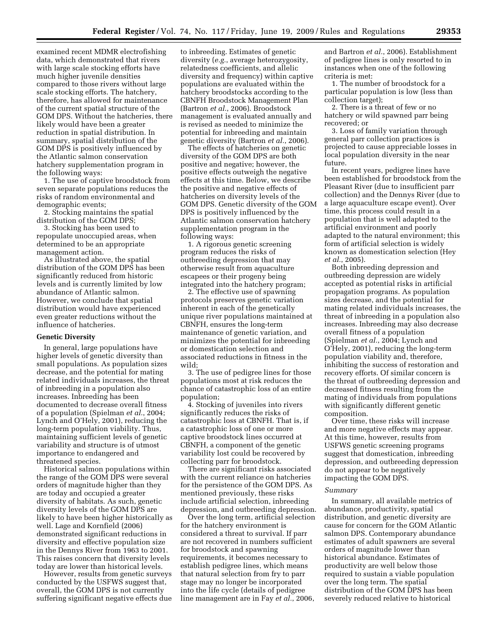examined recent MDMR electrofishing data, which demonstrated that rivers with large scale stocking efforts have much higher juvenile densities compared to those rivers without large scale stocking efforts. The hatchery, therefore, has allowed for maintenance of the current spatial structure of the GOM DPS. Without the hatcheries, there likely would have been a greater reduction in spatial distribution. In summary, spatial distribution of the GOM DPS is positively influenced by the Atlantic salmon conservation hatchery supplementation program in the following ways:

1. The use of captive broodstock from seven separate populations reduces the risks of random environmental and demographic events;

2. Stocking maintains the spatial distribution of the GOM DPS;

3. Stocking has been used to repopulate unoccupied areas, when determined to be an appropriate management action.

As illustrated above, the spatial distribution of the GOM DPS has been significantly reduced from historic levels and is currently limited by low abundance of Atlantic salmon. However, we conclude that spatial distribution would have experienced even greater reductions without the influence of hatcheries.

# **Genetic Diversity**

In general, large populations have higher levels of genetic diversity than small populations. As population sizes decrease, and the potential for mating related individuals increases, the threat of inbreeding in a population also increases. Inbreeding has been documented to decrease overall fitness of a population (Spielman *et al.*, 2004; Lynch and O'Hely, 2001), reducing the long-term population viability. Thus, maintaining sufficient levels of genetic variability and structure is of utmost importance to endangered and threatened species.

Historical salmon populations within the range of the GOM DPS were several orders of magnitude higher than they are today and occupied a greater diversity of habitats. As such, genetic diversity levels of the GOM DPS are likely to have been higher historically as well. Lage and Kornfield (2006) demonstrated significant reductions in diversity and effective population size in the Dennys River from 1963 to 2001. This raises concern that diversity levels today are lower than historical levels.

However, results from genetic surveys conducted by the USFWS suggest that, overall, the GOM DPS is not currently suffering significant negative effects due

to inbreeding. Estimates of genetic diversity (*e.g.*, average heterozygosity, relatedness coefficients, and allelic diversity and frequency) within captive populations are evaluated within the hatchery broodstocks according to the CBNFH Broodstock Management Plan (Bartron *et al.*, 2006). Broodstock management is evaluated annually and is revised as needed to minimize the potential for inbreeding and maintain genetic diversity (Bartron *et al.*, 2006).

The effects of hatcheries on genetic diversity of the GOM DPS are both positive and negative; however, the positive effects outweigh the negative effects at this time. Below, we describe the positive and negative effects of hatcheries on diversity levels of the GOM DPS. Genetic diversity of the GOM DPS is positively influenced by the Atlantic salmon conservation hatchery supplementation program in the following ways:

1. A rigorous genetic screening program reduces the risks of outbreeding depression that may otherwise result from aquaculture escapees or their progeny being integrated into the hatchery program;

2. The effective use of spawning protocols preserves genetic variation inherent in each of the genetically unique river populations maintained at CBNFH, ensures the long-term maintenance of genetic variation, and minimizes the potential for inbreeding or domestication selection and associated reductions in fitness in the wild;

3. The use of pedigree lines for those populations most at risk reduces the chance of catastrophic loss of an entire population;

4. Stocking of juveniles into rivers significantly reduces the risks of catastrophic loss at CBNFH. That is, if a catastrophic loss of one or more captive broodstock lines occurred at CBNFH, a component of the genetic variability lost could be recovered by collecting parr for broodstock.

There are significant risks associated with the current reliance on hatcheries for the persistence of the GOM DPS. As mentioned previously, these risks include artificial selection, inbreeding depression, and outbreeding depression.

Over the long term, artificial selection for the hatchery environment is considered a threat to survival. If parr are not recovered in numbers sufficient for broodstock and spawning requirements, it becomes necessary to establish pedigree lines, which means that natural selection from fry to parr stage may no longer be incorporated into the life cycle (details of pedigree line management are in Fay *et al.*, 2006,

and Bartron *et al.*, 2006). Establishment of pedigree lines is only resorted to in instances when one of the following criteria is met:

1. The number of broodstock for a particular population is low (less than collection target);

2. There is a threat of few or no hatchery or wild spawned parr being recovered; or

3. Loss of family variation through general parr collection practices is projected to cause appreciable losses in local population diversity in the near future.

In recent years, pedigree lines have been established for broodstock from the Pleasant River (due to insufficient parr collection) and the Dennys River (due to a large aquaculture escape event). Over time, this process could result in a population that is well adapted to the artificial environment and poorly adapted to the natural environment; this form of artificial selection is widely known as domestication selection (Hey *et al.*, 2005).

Both inbreeding depression and outbreeding depression are widely accepted as potential risks in artificial propagation programs. As population sizes decrease, and the potential for mating related individuals increases, the threat of inbreeding in a population also increases. Inbreeding may also decrease overall fitness of a population (Spielman *et al.*, 2004; Lynch and O'Hely, 2001), reducing the long-term population viability and, therefore, inhibiting the success of restoration and recovery efforts. Of similar concern is the threat of outbreeding depression and decreased fitness resulting from the mating of individuals from populations with significantly different genetic composition.

Over time, these risks will increase and more negative effects may appear. At this time, however, results from USFWS genetic screening programs suggest that domestication, inbreeding depression, and outbreeding depression do not appear to be negatively impacting the GOM DPS.

#### *Summary*

In summary, all available metrics of abundance, productivity, spatial distribution, and genetic diversity are cause for concern for the GOM Atlantic salmon DPS. Contemporary abundance estimates of adult spawners are several orders of magnitude lower than historical abundance. Estimates of productivity are well below those required to sustain a viable population over the long term. The spatial distribution of the GOM DPS has been severely reduced relative to historical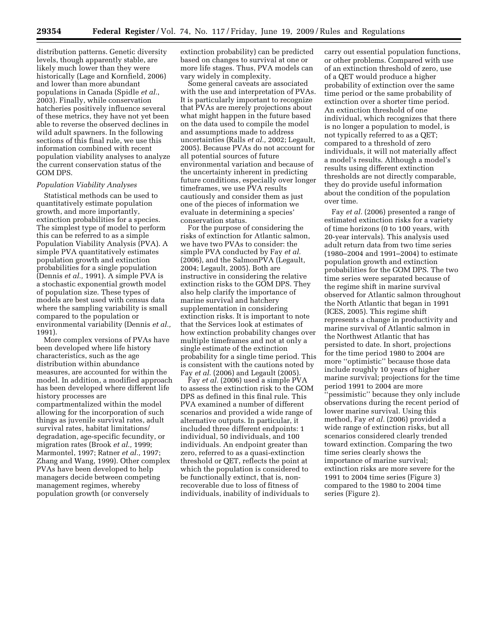distribution patterns. Genetic diversity levels, though apparently stable, are likely much lower than they were historically (Lage and Kornfield, 2006) and lower than more abundant populations in Canada (Spidle *et al.*, 2003). Finally, while conservation hatcheries positively influence several of these metrics, they have not yet been able to reverse the observed declines in wild adult spawners. In the following sections of this final rule, we use this information combined with recent population viability analyses to analyze the current conservation status of the GOM DPS.

# *Population Viability Analyses*

Statistical methods can be used to quantitatively estimate population growth, and more importantly, extinction probabilities for a species. The simplest type of model to perform this can be referred to as a simple Population Viability Analysis (PVA). A simple PVA quantitatively estimates population growth and extinction probabilities for a single population (Dennis *et al.,* 1991). A simple PVA is a stochastic exponential growth model of population size. These types of models are best used with census data where the sampling variability is small compared to the population or environmental variability (Dennis *et al.,*  1991).

More complex versions of PVAs have been developed where life history characteristics, such as the age distribution within abundance measures, are accounted for within the model. In addition, a modified approach has been developed where different life history processes are compartmentalized within the model allowing for the incorporation of such things as juvenile survival rates, adult survival rates, habitat limitations/ degradation, age-specific fecundity, or migration rates (Brook *et al.,* 1999; Marmontel, 1997; Ratner *et al.,* 1997; Zhang and Wang, 1999). Other complex PVAs have been developed to help managers decide between competing management regimes, whereby population growth (or conversely

extinction probability) can be predicted based on changes to survival at one or more life stages. Thus, PVA models can vary widely in complexity.

Some general caveats are associated with the use and interpretation of PVAs. It is particularly important to recognize that PVAs are merely projections about what might happen in the future based on the data used to compile the model and assumptions made to address uncertainties (Ralls *et al.,* 2002; Legault, 2005). Because PVAs do not account for all potential sources of future environmental variation and because of the uncertainty inherent in predicting future conditions, especially over longer timeframes, we use PVA results cautiously and consider them as just one of the pieces of information we evaluate in determining a species' conservation status.

For the purpose of considering the risks of extinction for Atlantic salmon, we have two PVAs to consider: the simple PVA conducted by Fay *et al.*  (2006), and the SalmonPVA (Legault, 2004; Legault, 2005). Both are instructive in considering the relative extinction risks to the GOM DPS. They also help clarify the importance of marine survival and hatchery supplementation in considering extinction risks. It is important to note that the Services look at estimates of how extinction probability changes over multiple timeframes and not at only a single estimate of the extinction probability for a single time period. This is consistent with the cautions noted by Fay *et al.* (2006) and Legault (2005).

Fay *et al.* (2006) used a simple PVA to assess the extinction risk to the GOM DPS as defined in this final rule. This PVA examined a number of different scenarios and provided a wide range of alternative outputs. In particular, it included three different endpoints: 1 individual, 50 individuals, and 100 individuals. An endpoint greater than zero, referred to as a quasi-extinction threshold or QET, reflects the point at which the population is considered to be functionally extinct, that is, nonrecoverable due to loss of fitness of individuals, inability of individuals to

carry out essential population functions, or other problems. Compared with use of an extinction threshold of zero, use of a QET would produce a higher probability of extinction over the same time period or the same probability of extinction over a shorter time period. An extinction threshold of one individual, which recognizes that there is no longer a population to model, is not typically referred to as a QET; compared to a threshold of zero individuals, it will not materially affect a model's results. Although a model's results using different extinction thresholds are not directly comparable, they do provide useful information about the condition of the population over time.

Fay *et al.* (2006) presented a range of estimated extinction risks for a variety of time horizons (0 to 100 years, with 20-year intervals). This analysis used adult return data from two time series (1980–2004 and 1991–2004) to estimate population growth and extinction probabilities for the GOM DPS. The two time series were separated because of the regime shift in marine survival observed for Atlantic salmon throughout the North Atlantic that began in 1991 (ICES, 2005). This regime shift represents a change in productivity and marine survival of Atlantic salmon in the Northwest Atlantic that has persisted to date. In short, projections for the time period 1980 to 2004 are more ''optimistic'' because those data include roughly 10 years of higher marine survival; projections for the time period 1991 to 2004 are more ''pessimistic'' because they only include observations during the recent period of lower marine survival. Using this method, Fay *et al.* (2006) provided a wide range of extinction risks, but all scenarios considered clearly trended toward extinction. Comparing the two time series clearly shows the importance of marine survival; extinction risks are more severe for the 1991 to 2004 time series (Figure 3) compared to the 1980 to 2004 time series (Figure 2).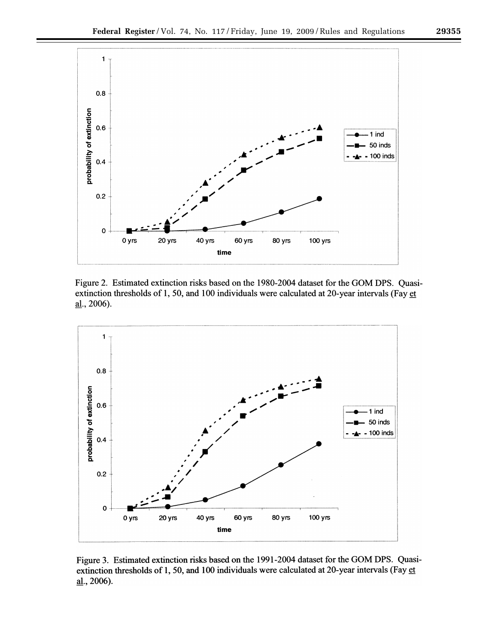

Figure 2. Estimated extinction risks based on the 1980-2004 dataset for the GOM DPS. Quasiextinction thresholds of 1, 50, and 100 individuals were calculated at 20-year intervals (Fay et al., 2006).



Figure 3. Estimated extinction risks based on the 1991-2004 dataset for the GOM DPS. Quasiextinction thresholds of 1, 50, and 100 individuals were calculated at 20-year intervals (Fay et  $\underline{\text{al}}$ ., 2006).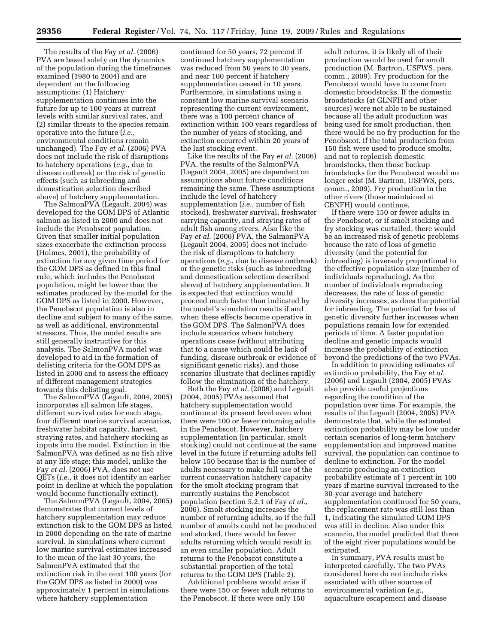The results of the Fay *et al.* (2006) PVA are based solely on the dynamics of the population during the timeframes examined (1980 to 2004) and are dependent on the following assumptions: (1) Hatchery supplementation continues into the future for up to 100 years at current levels with similar survival rates, and (2) similar threats to the species remain operative into the future (*i.e.*, environmental conditions remain unchanged). The Fay *et al.* (2006) PVA does not include the risk of disruptions to hatchery operations (*e.g.*, due to disease outbreak) or the risk of genetic effects (such as inbreeding and domestication selection described above) of hatchery supplementation.

The SalmonPVA (Legault, 2004) was developed for the GOM DPS of Atlantic salmon as listed in 2000 and does not include the Penobscot population. Given that smaller initial population sizes exacerbate the extinction process (Holmes, 2001), the probability of extinction for any given time period for the GOM DPS as defined in this final rule, which includes the Penobscot population, might be lower than the estimates produced by the model for the GOM DPS as listed in 2000. However, the Penobscot population is also in decline and subject to many of the same, as well as additional, environmental stressors. Thus, the model results are still generally instructive for this analysis. The SalmonPVA model was developed to aid in the formation of delisting criteria for the GOM DPS as listed in 2000 and to assess the efficacy of different management strategies towards this delisting goal.

The SalmonPVA (Legault, 2004, 2005) incorporates all salmon life stages, different survival rates for each stage, four different marine survival scenarios, freshwater habitat capacity, harvest, straying rates, and hatchery stocking as inputs into the model. Extinction in the SalmonPVA was defined as no fish alive at any life stage; this model, unlike the Fay *et al.* (2006) PVA, does not use QETs (*i.e.*, it does not identify an earlier point in decline at which the population would become functionally extinct).

The SalmonPVA (Legault, 2004, 2005) demonstrates that current levels of hatchery supplementation may reduce extinction risk to the GOM DPS as listed in 2000 depending on the rate of marine survival. In simulations where current low marine survival estimates increased to the mean of the last 30 years, the SalmonPVA estimated that the extinction risk in the next 100 years (for the GOM DPS as listed in 2000) was approximately 1 percent in simulations where hatchery supplementation

continued for 50 years, 72 percent if continued hatchery supplementation was reduced from 50 years to 30 years, and near 100 percent if hatchery supplementation ceased in 10 years. Furthermore, in simulations using a constant low marine survival scenario representing the current environment, there was a 100 percent chance of extinction within 100 years regardless of the number of years of stocking, and extinction occurred within 20 years of the last stocking event.

Like the results of the Fay *et al.* (2006) PVA, the results of the SalmonPVA (Legault 2004, 2005) are dependent on assumptions about future conditions remaining the same. These assumptions include the level of hatchery supplementation (*i.e.*, number of fish stocked), freshwater survival, freshwater carrying capacity, and straying rates of adult fish among rivers. Also like the Fay *et al.* (2006) PVA, the SalmonPVA (Legault 2004, 2005) does not include the risk of disruptions to hatchery operations (*e.g.*, due to disease outbreak) or the genetic risks (such as inbreeding and domestication selection described above) of hatchery supplementation. It is expected that extinction would proceed much faster than indicated by the model's simulation results if and when these effects become operative in the GOM DPS. The SalmonPVA does include scenarios where hatchery operations cease (without attributing that to a cause which could be lack of funding, disease outbreak or evidence of significant genetic risks), and those scenarios illustrate that declines rapidly follow the elimination of the hatchery.

Both the Fay *et al.* (2006) and Legault  $(2004, 2005)$  PVAs assumed that hatchery supplementation would continue at its present level even when there were 100 or fewer returning adults in the Penobscot. However, hatchery supplementation (in particular, smolt stocking) could not continue at the same level in the future if returning adults fell below 150 because that is the number of adults necessary to make full use of the current conservation hatchery capacity for the smolt stocking program that currently sustains the Penobscot population (section 5.2.1 of Fay *et al.*, 2006). Smolt stocking increases the number of returning adults, so if the full number of smolts could not be produced and stocked, there would be fewer adults returning which would result in an even smaller population. Adult returns to the Penobscot constitute a substantial proportion of the total returns to the GOM DPS (Table 2).

Additional problems would arise if there were 150 or fewer adult returns to the Penobscot. If there were only 150

adult returns, it is likely all of their production would be used for smolt production (M. Bartron, USFWS, pers. comm., 2009). Fry production for the Penobscot would have to come from domestic broodstocks. If the domestic broodstocks (at GLNFH and other sources) were not able to be sustained because all the adult production was being used for smolt production, then there would be no fry production for the Penobscot. If the total production from 150 fish were used to produce smolts, and not to replenish domestic broodstocks, then those backup broodstocks for the Penobscot would no longer exist (M. Bartron, USFWS, pers. comm., 2009). Fry production in the other rivers (those maintained at CBNFH) would continue.

If there were 150 or fewer adults in the Penobscot, or if smolt stocking and fry stocking was curtailed, there would be an increased risk of genetic problems because the rate of loss of genetic diversity (and the potential for inbreeding) is inversely proportional to the effective population size (number of individuals reproducing). As the number of individuals reproducing decreases, the rate of loss of genetic diversity increases, as does the potential for inbreeding. The potential for loss of genetic diversity further increases when populations remain low for extended periods of time. A faster population decline and genetic impacts would increase the probability of extinction beyond the predictions of the two PVAs.

In addition to providing estimates of extinction probability, the Fay *et al.*  (2006) and Legault (2004, 2005) PVAs also provide useful projections regarding the condition of the population over time. For example, the results of the Legault (2004, 2005) PVA demonstrate that, while the estimated extinction probability may be low under certain scenarios of long-term hatchery supplementation and improved marine survival, the population can continue to decline to extinction. For the model scenario producing an extinction probability estimate of 1 percent in 100 years if marine survival increased to the 30-year average and hatchery supplementation continued for 50 years, the replacement rate was still less than 1, indicating the simulated GOM DPS was still in decline. Also under this scenario, the model predicted that three of the eight river populations would be extirpated.

In summary, PVA results must be interpreted carefully. The two PVAs considered here do not include risks associated with other sources of environmental variation (*e.g.*, aquaculture escapement and disease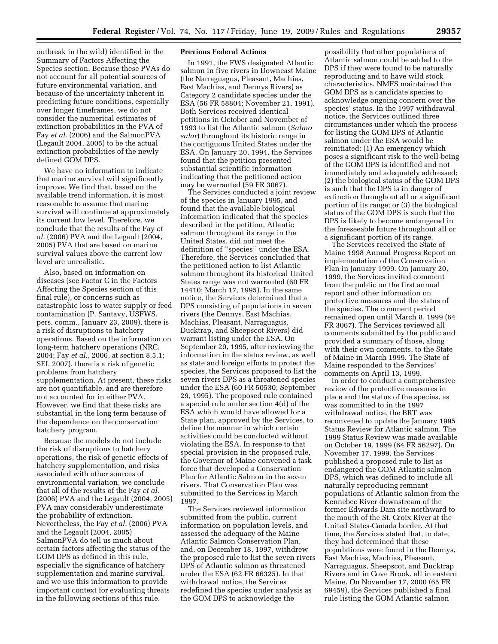outbreak in the wild) identified in the Summary of Factors Affecting the Species section. Because these PVAs do not account for all potential sources of future environmental variation, and because of the uncertainty inherent in predicting future conditions, especially over longer timeframes, we do not consider the numerical estimates of extinction probabilities in the PVA of Fay *et al.* (2006) and the SalmonPVA (Legault 2004, 2005) to be the actual extinction probabilities of the newly defined GOM DPS.

We have no information to indicate that marine survival will significantly improve. We find that, based on the available trend information, it is most reasonable to assume that marine survival will continue at approximately its current low level. Therefore, we conclude that the results of the Fay *et al.* (2006) PVA and the Legault (2004, 2005) PVA that are based on marine survival values above the current low level are unrealistic.

Also, based on information on diseases (see Factor C in the Factors Affecting the Species section of this final rule), or concerns such as catastrophic loss to water supply or feed contamination (P. Santavy, USFWS, pers. comm., January 23, 2009), there is a risk of disruptions to hatchery operations. Based on the information on long-term hatchery operations (NRC, 2004; Fay *et al.*, 2006, at section 8.5.1; SEI, 2007), there is a risk of genetic problems from hatchery supplementation. At present, these risks are not quantifiable, and are therefore not accounted for in either PVA. However, we find that these risks are substantial in the long term because of the dependence on the conservation hatchery program.

Because the models do not include the risk of disruptions to hatchery operations, the risk of genetic effects of hatchery supplementation, and risks associated with other sources of environmental variation, we conclude that all of the results of the Fay *et al.*  (2006) PVA and the Legault (2004, 2005) PVA may considerably underestimate the probability of extinction. Nevertheless, the Fay *et al.* (2006) PVA and the Legault (2004, 2005) SalmonPVA do tell us much about certain factors affecting the status of the GOM DPS as defined in this rule, especially the significance of hatchery supplementation and marine survival, and we use this information to provide important context for evaluating threats in the following sections of this rule.

# **Previous Federal Actions**

In 1991, the FWS designated Atlantic salmon in five rivers in Downeast Maine (the Narraguagus, Pleasant, Machias, East Machias, and Dennys Rivers) as Category 2 candidate species under the ESA (56 FR 58804; November 21, 1991). Both Services received identical petitions in October and November of 1993 to list the Atlantic salmon (*Salmo salar*) throughout its historic range in the contiguous United States under the ESA. On January 20, 1994, the Services found that the petition presented substantial scientific information indicating that the petitioned action may be warranted (59 FR 3067).

The Services conducted a joint review of the species in January 1995, and found that the available biological information indicated that the species described in the petition, Atlantic salmon throughout its range in the United States, did not meet the definition of ''species'' under the ESA. Therefore, the Services concluded that the petitioned action to list Atlantic salmon throughout its historical United States range was not warranted (60 FR 14410; March 17, 1995). In the same notice, the Services determined that a DPS consisting of populations in seven rivers (the Dennys, East Machias, Machias, Pleasant, Narraguagus, Ducktrap, and Sheepscot Rivers) did warrant listing under the ESA. On September 29, 1995, after reviewing the information in the status review, as well as state and foreign efforts to protect the species, the Services proposed to list the seven rivers DPS as a threatened species under the ESA (60 FR 50530; September 29, 1995). The proposed rule contained a special rule under section 4(d) of the ESA which would have allowed for a State plan, approved by the Services, to define the manner in which certain activities could be conducted without violating the ESA. In response to that special provision in the proposed rule, the Governor of Maine convened a task force that developed a Conservation Plan for Atlantic Salmon in the seven rivers. That Conservation Plan was submitted to the Services in March 1997.

The Services reviewed information submitted from the public, current information on population levels, and assessed the adequacy of the Maine Atlantic Salmon Conservation Plan, and, on December 18, 1997, withdrew the proposed rule to list the seven rivers DPS of Atlantic salmon as threatened under the ESA (62 FR 66325). In that withdrawal notice, the Services redefined the species under analysis as the GOM DPS to acknowledge the

possibility that other populations of Atlantic salmon could be added to the DPS if they were found to be naturally reproducing and to have wild stock characteristics. NMFS maintained the GOM DPS as a candidate species to acknowledge ongoing concern over the species' status. In the 1997 withdrawal notice, the Services outlined three circumstances under which the process for listing the GOM DPS of Atlantic salmon under the ESA would be reinitiated: (1) An emergency which poses a significant risk to the well-being of the GOM DPS is identified and not immediately and adequately addressed; (2) the biological status of the GOM DPS is such that the DPS is in danger of extinction throughout all or a significant portion of its range; or (3) the biological status of the GOM DPS is such that the DPS is likely to become endangered in the foreseeable future throughout all or a significant portion of its range.

The Services received the State of Maine 1998 Annual Progress Report on implementation of the Conservation Plan in January 1999. On January 20, 1999, the Services invited comment from the public on the first annual report and other information on protective measures and the status of the species. The comment period remained open until March 8, 1999 (64 FR 3067). The Services reviewed all comments submitted by the public and provided a summary of those, along with their own comments, to the State of Maine in March 1999. The State of Maine responded to the Services' comments on April 13, 1999.

In order to conduct a comprehensive review of the protective measures in place and the status of the species, as was committed to in the 1997 withdrawal notice, the BRT was reconvened to update the January 1995 Status Review for Atlantic salmon. The 1999 Status Review was made available on October 19, 1999 (64 FR 56297). On November 17, 1999, the Services published a proposed rule to list as endangered the GOM Atlantic salmon DPS, which was defined to include all naturally reproducing remnant populations of Atlantic salmon from the Kennebec River downstream of the former Edwards Dam site northward to the mouth of the St. Croix River at the United States-Canada border. At that time, the Services stated that, to date, they had determined that these populations were found in the Dennys, East Machias, Machias, Pleasant, Narraguagus, Sheepscot, and Ducktrap Rivers and in Cove Brook, all in eastern Maine. On November 17, 2000 (65 FR 69459), the Services published a final rule listing the GOM Atlantic salmon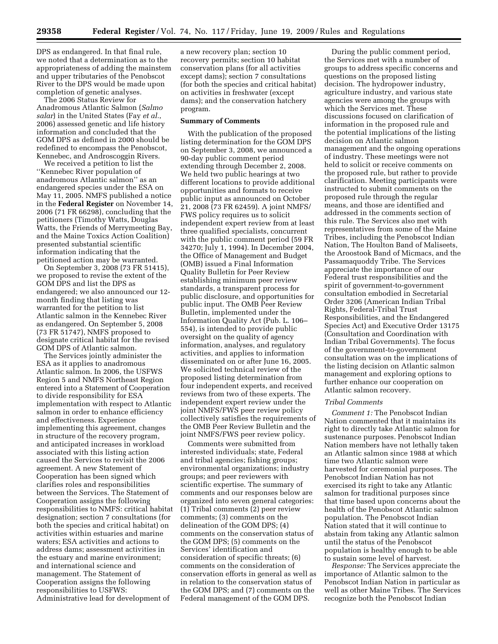DPS as endangered. In that final rule, we noted that a determination as to the appropriateness of adding the mainstem and upper tributaries of the Penobscot River to the DPS would be made upon completion of genetic analyses.

The 2006 Status Review for Anadromous Atlantic Salmon (*Salmo salar*) in the United States (Fay *et al.*, 2006) assessed genetic and life history information and concluded that the GOM DPS as defined in 2000 should be redefined to encompass the Penobscot, Kennebec, and Androscoggin Rivers.

We received a petition to list the ''Kennebec River population of anadromous Atlantic salmon'' as an endangered species under the ESA on May 11, 2005. NMFS published a notice in the **Federal Register** on November 14, 2006 (71 FR 66298), concluding that the petitioners (Timothy Watts, Douglas Watts, the Friends of Merrymeeting Bay, and the Maine Toxics Action Coalition) presented substantial scientific information indicating that the petitioned action may be warranted.

On September 3, 2008 (73 FR 51415), we proposed to revise the extent of the GOM DPS and list the DPS as endangered; we also announced our 12 month finding that listing was warranted for the petition to list Atlantic salmon in the Kennebec River as endangered. On September 5, 2008 (73 FR 51747), NMFS proposed to designate critical habitat for the revised GOM DPS of Atlantic salmon.

The Services jointly administer the ESA as it applies to anadromous Atlantic salmon. In 2006, the USFWS Region 5 and NMFS Northeast Region entered into a Statement of Cooperation to divide responsibility for ESA implementation with respect to Atlantic salmon in order to enhance efficiency and effectiveness. Experience implementing this agreement, changes in structure of the recovery program, and anticipated increases in workload associated with this listing action caused the Services to revisit the 2006 agreement. A new Statement of Cooperation has been signed which clarifies roles and responsibilities between the Services. The Statement of Cooperation assigns the following responsibilities to NMFS: critical habitat designation; section 7 consultations (for both the species and critical habitat) on activities within estuaries and marine waters; ESA activities and actions to address dams; assessment activities in the estuary and marine environment; and international science and management. The Statement of Cooperation assigns the following responsibilities to USFWS: Administrative lead for development of

a new recovery plan; section 10 recovery permits; section 10 habitat conservation plans (for all activities except dams); section 7 consultations (for both the species and critical habitat) on activities in freshwater (except dams); and the conservation hatchery program.

#### **Summary of Comments**

With the publication of the proposed listing determination for the GOM DPS on September 3, 2008, we announced a 90-day public comment period extending through December 2, 2008. We held two public hearings at two different locations to provide additional opportunities and formats to receive public input as announced on October 21, 2008 (73 FR 62459). A joint NMFS/ FWS policy requires us to solicit independent expert review from at least three qualified specialists, concurrent with the public comment period (59 FR 34270; July 1, 1994). In December 2004, the Office of Management and Budget (OMB) issued a Final Information Quality Bulletin for Peer Review establishing minimum peer review standards, a transparent process for public disclosure, and opportunities for public input. The OMB Peer Review Bulletin, implemented under the Information Quality Act (Pub. L. 106– 554), is intended to provide public oversight on the quality of agency information, analyses, and regulatory activities, and applies to information disseminated on or after June 16, 2005. We solicited technical review of the proposed listing determination from four independent experts, and received reviews from two of these experts. The independent expert review under the joint NMFS/FWS peer review policy collectively satisfies the requirements of the OMB Peer Review Bulletin and the joint NMFS/FWS peer review policy.

Comments were submitted from interested individuals; state, Federal and tribal agencies; fishing groups; environmental organizations; industry groups; and peer reviewers with scientific expertise. The summary of comments and our responses below are organized into seven general categories:  $(1)$  Tribal comments  $(2)$  peer review comments; (3) comments on the delineation of the GOM DPS; (4) comments on the conservation status of the GOM DPS; (5) comments on the Services' identification and consideration of specific threats; (6) comments on the consideration of conservation efforts in general as well as in relation to the conservation status of the GOM DPS; and (7) comments on the Federal management of the GOM DPS.

During the public comment period, the Services met with a number of groups to address specific concerns and questions on the proposed listing decision. The hydropower industry, agriculture industry, and various state agencies were among the groups with which the Services met. These discussions focused on clarification of information in the proposed rule and the potential implications of the listing decision on Atlantic salmon management and the ongoing operations of industry. These meetings were not held to solicit or receive comments on the proposed rule, but rather to provide clarification. Meeting participants were instructed to submit comments on the proposed rule through the regular means, and those are identified and addressed in the comments section of this rule. The Services also met with representatives from some of the Maine Tribes, including the Penobscot Indian Nation, The Houlton Band of Maliseets, the Aroostook Band of Micmacs, and the Passamaquoddy Tribe. The Services appreciate the importance of our Federal trust responsibilities and the spirit of government-to-government consultation embodied in Secretarial Order 3206 (American Indian Tribal Rights, Federal-Tribal Trust Responsibilities, and the Endangered Species Act) and Executive Order 13175 (Consultation and Coordination with Indian Tribal Governments). The focus of the government-to-government consultation was on the implications of the listing decision on Atlantic salmon management and exploring options to further enhance our cooperation on Atlantic salmon recovery.

# *Tribal Comments*

*Comment 1:* The Penobscot Indian Nation commented that it maintains its right to directly take Atlantic salmon for sustenance purposes. Penobscot Indian Nation members have not lethally taken an Atlantic salmon since 1988 at which time two Atlantic salmon were harvested for ceremonial purposes. The Penobscot Indian Nation has not exercised its right to take any Atlantic salmon for traditional purposes since that time based upon concerns about the health of the Penobscot Atlantic salmon population. The Penobscot Indian Nation stated that it will continue to abstain from taking any Atlantic salmon until the status of the Penobscot population is healthy enough to be able to sustain some level of harvest.

*Response:* The Services appreciate the importance of Atlantic salmon to the Penobscot Indian Nation in particular as well as other Maine Tribes. The Services recognize both the Penobscot Indian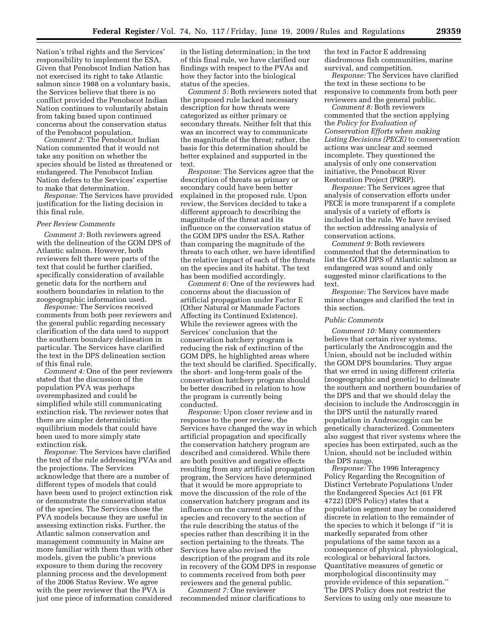Nation's tribal rights and the Services' responsibility to implement the ESA. Given that Penobscot Indian Nation has not exercised its right to take Atlantic salmon since 1988 on a voluntary basis, the Services believe that there is no conflict provided the Penobscot Indian Nation continues to voluntarily abstain from taking based upon continued concerns about the conservation status of the Penobscot population.

*Comment 2:* The Penobscot Indian Nation commented that it would not take any position on whether the species should be listed as threatened or endangered. The Penobscot Indian Nation defers to the Services' expertise to make that determination.

*Response:* The Services have provided justification for the listing decision in this final rule.

#### *Peer Review Comments*

*Comment 3:* Both reviewers agreed with the delineation of the GOM DPS of Atlantic salmon. However, both reviewers felt there were parts of the text that could be further clarified, specifically consideration of available genetic data for the northern and southern boundaries in relation to the zoogeographic information used.

*Response:* The Services received comments from both peer reviewers and the general public regarding necessary clarification of the data used to support the southern boundary delineation in particular. The Services have clarified the text in the DPS delineation section of this final rule.

*Comment 4:* One of the peer reviewers stated that the discussion of the population PVA was perhaps overemphasized and could be simplified while still communicating extinction risk. The reviewer notes that there are simpler deterministic equilibrium models that could have been used to more simply state extinction risk.

*Response:* The Services have clarified the text of the rule addressing PVAs and the projections. The Services acknowledge that there are a number of different types of models that could have been used to project extinction risk or demonstrate the conservation status of the species. The Services chose the PVA models because they are useful in assessing extinction risks. Further, the Atlantic salmon conservation and management community in Maine are more familiar with them than with other models, given the public's previous exposure to them during the recovery planning process and the development of the 2006 Status Review. We agree with the peer reviewer that the PVA is just one piece of information considered

in the listing determination; in the text of this final rule, we have clarified our findings with respect to the PVAs and how they factor into the biological status of the species.

*Comment 5:* Both reviewers noted that the proposed rule lacked necessary description for how threats were categorized as either primary or secondary threats. Neither felt that this was an incorrect way to communicate the magnitude of the threat; rather, the basis for this determination should be better explained and supported in the text.

*Response:* The Services agree that the description of threats as primary or secondary could have been better explained in the proposed rule. Upon review, the Services decided to take a different approach to describing the magnitude of the threat and its influence on the conservation status of the GOM DPS under the ESA. Rather than comparing the magnitude of the threats to each other, we have identified the relative impact of each of the threats on the species and its habitat. The text has been modified accordingly.

*Comment 6:* One of the reviewers had concerns about the discussion of artificial propagation under Factor E (Other Natural or Manmade Factors Affecting its Continued Existence). While the reviewer agrees with the Services' conclusion that the conservation hatchery program is reducing the risk of extinction of the GOM DPS, he highlighted areas where the text should be clarified. Specifically, the short- and long-term goals of the conservation hatchery program should be better described in relation to how the program is currently being conducted.

*Response:* Upon closer review and in response to the peer review, the Services have changed the way in which artificial propagation and specifically the conservation hatchery program are described and considered. While there are both positive and negative effects resulting from any artificial propagation program, the Services have determined that it would be more appropriate to move the discussion of the role of the conservation hatchery program and its influence on the current status of the species and recovery to the section of the rule describing the status of the species rather than describing it in the section pertaining to the threats. The Services have also revised the description of the program and its role in recovery of the GOM DPS in response to comments received from both peer reviewers and the general public.

*Comment 7:* One reviewer recommended minor clarifications to the text in Factor E addressing diadromous fish communities, marine survival, and competition.

*Response:* The Services have clarified the text in these sections to be responsive to comments from both peer reviewers and the general public.

*Comment 8:* Both reviewers commented that the section applying the *Policy for Evaluation of Conservation Efforts when making Listing Decisions (PECE)* to conservation actions was unclear and seemed incomplete. They questioned the analysis of only one conservation initiative, the Penobscot River Restoration Project (PRRP).

*Response:* The Services agree that analysis of conservation efforts under PECE is more transparent if a complete analysis of a variety of efforts is included in the rule. We have revised the section addressing analysis of conservation actions.

*Comment 9:* Both reviewers commented that the determination to list the GOM DPS of Atlantic salmon as endangered was sound and only suggested minor clarifications to the text.

*Response:* The Services have made minor changes and clarified the text in this section.

#### *Public Comments*

*Comment 10:* Many commenters believe that certain river systems, particularly the Androscoggin and the Union, should not be included within the GOM DPS boundaries. They argue that we erred in using different criteria (zoogeographic and genetic) to delineate the southern and northern boundaries of the DPS and that we should delay the decision to include the Androscoggin in the DPS until the naturally reared population in Androscoggin can be genetically characterized. Commenters also suggest that river systems where the species has been extirpated, such as the Union, should not be included within the DPS range.

*Response:* The 1996 Interagency Policy Regarding the Recognition of Distinct Vertebrate Populations Under the Endangered Species Act (61 FR 4722) (DPS Policy) states that a population segment may be considered discrete in relation to the remainder of the species to which it belongs if ''it is markedly separated from other populations of the same taxon as a consequence of physical, physiological, ecological or behavioral factors. Quantitative measures of genetic or morphological discontinuity may provide evidence of this separation.'' The DPS Policy does not restrict the Services to using only one measure to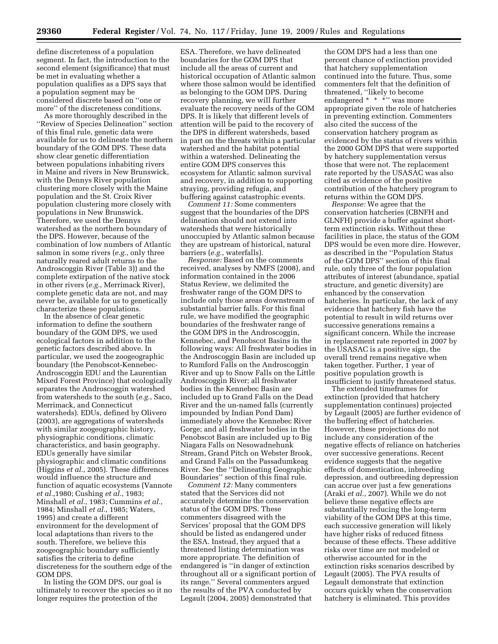define discreteness of a population segment. In fact, the introduction to the second element (significance) that must be met in evaluating whether a population qualifies as a DPS says that a population segment may be considered discrete based on ''one or more'' of the discreteness conditions.

As more thoroughly described in the ''Review of Species Delineation'' section of this final rule, genetic data were available for us to delineate the northern boundary of the GOM DPS. These data show clear genetic differentiation between populations inhabiting rivers in Maine and rivers in New Brunswick, with the Dennys River population clustering more closely with the Maine population and the St. Croix River population clustering more closely with populations in New Brunswick. Therefore, we used the Dennys watershed as the northern boundary of the DPS. However, because of the combination of low numbers of Atlantic salmon in some rivers (*e.g.*, only three naturally reared adult returns to the Androscoggin River (Table 3)) and the complete extirpation of the native stock in other rivers (*e.g.*, Merrimack River), complete genetic data are not, and may never be, available for us to genetically characterize these populations.

In the absence of clear genetic information to define the southern boundary of the GOM DPS, we used ecological factors in addition to the genetic factors described above. In particular, we used the zoogeographic boundary (the Penobscot-Kennebec-Androscoggin EDU and the Laurentian Mixed Forest Province) that ecologically separates the Androscoggin watershed from watersheds to the south (*e.g.*, Saco, Merrimack, and Connecticut watersheds). EDUs, defined by Olivero (2003), are aggregations of watersheds with similar zoogeographic history, physiographic conditions, climatic characteristics, and basin geography. EDUs generally have similar physiographic and climatic conditions (Higgins *et al.*, 2005). These differences would influence the structure and function of aquatic ecosystems (Vannote *et al.*,1980; Cushing *et al.*, 1983; Minshall *et al.*, 1983; Cummins *et al.*, 1984; Minshall *et al.*, 1985; Waters, 1995) and create a different environment for the development of local adaptations than rivers to the south. Therefore, we believe this zoogeographic boundary sufficiently satisfies the criteria to define discreteness for the southern edge of the GOM DPS.

In listing the GOM DPS, our goal is ultimately to recover the species so it no longer requires the protection of the

ESA. Therefore, we have delineated boundaries for the GOM DPS that include all the areas of current and historical occupation of Atlantic salmon where those salmon would be identified as belonging to the GOM DPS. During recovery planning, we will further evaluate the recovery needs of the GOM DPS. It is likely that different levels of attention will be paid to the recovery of the DPS in different watersheds, based in part on the threats within a particular watershed and the habitat potential within a watershed. Delineating the entire GOM DPS conserves this ecosystem for Atlantic salmon survival and recovery, in addition to supporting straying, providing refugia, and buffering against catastrophic events.

*Comment 11:* Some commenters suggest that the boundaries of the DPS delineation should not extend into watersheds that were historically unoccupied by Atlantic salmon because they are upstream of historical, natural barriers (*e.g.*, waterfalls).

*Response:* Based on the comments received, analyses by NMFS (2008), and information contained in the 2006 Status Review, we delimited the freshwater range of the GOM DPS to include only those areas downstream of substantial barrier falls. For this final rule, we have modified the geographic boundaries of the freshwater range of the GOM DPS in the Androscoggin, Kennebec, and Penobscot Basins in the following ways: All freshwater bodies in the Androscoggin Basin are included up to Rumford Falls on the Androscoggin River and up to Snow Falls on the Little Androscoggin River; all freshwater bodies in the Kennebec Basin are included up to Grand Falls on the Dead River and the un-named falls (currently impounded by Indian Pond Dam) immediately above the Kennebec River Gorge; and all freshwater bodies in the Penobscot Basin are included up to Big Niagara Falls on Nesowadnehunk Stream, Grand Pitch on Webster Brook, and Grand Falls on the Passadumkeag River. See the ''Delineating Geographic Boundaries'' section of this final rule.

*Comment 12:* Many commenters stated that the Services did not accurately determine the conservation status of the GOM DPS. These commenters disagreed with the Services' proposal that the GOM DPS should be listed as endangered under the ESA. Instead, they argued that a threatened listing determination was more appropriate. The definition of endangered is ''in danger of extinction throughout all or a significant portion of its range.'' Several commenters argued the results of the PVA conducted by Legault (2004, 2005) demonstrated that

the GOM DPS had a less than one percent chance of extinction provided that hatchery supplementation continued into the future. Thus, some commenters felt that the definition of threatened, ''likely to become endangered \* \* \* \* was more appropriate given the role of hatcheries in preventing extinction. Commenters also cited the success of the conservation hatchery program as evidenced by the status of rivers within the 2000 GOM DPS that were supported by hatchery supplementation versus those that were not. The replacement rate reported by the USASAC was also cited as evidence of the positive contribution of the hatchery program to returns within the GOM DPS.

*Response:* We agree that the conservation hatcheries (CBNFH and GLNFH) provide a buffer against shortterm extinction risks. Without these facilities in place, the status of the GOM DPS would be even more dire. However, as described in the ''Population Status of the GOM DPS'' section of this final rule, only three of the four population attributes of interest (abundance, spatial structure, and genetic diversity) are enhanced by the conservation hatcheries. In particular, the lack of any evidence that hatchery fish have the potential to result in wild returns over successive generations remains a significant concern. While the increase in replacement rate reported in 2007 by the USASAC is a positive sign, the overall trend remains negative when taken together. Further, 1 year of positive population growth is insufficient to justify threatened status.

The extended timeframes for extinction (provided that hatchery supplementation continues) projected by Legault (2005) are further evidence of the buffering effect of hatcheries. However, these projections do not include any consideration of the negative effects of reliance on hatcheries over successive generations. Recent evidence suggests that the negative effects of domestication, inbreeding depression, and outbreeding depression can accrue over just a few generations (Araki *et al.*, 2007). While we do not believe these negative effects are substantially reducing the long-term viability of the GOM DPS at this time, each successive generation will likely have higher risks of reduced fitness because of these effects. These additive risks over time are not modeled or otherwise accounted for in the extinction risks scenarios described by Legault (2005). The PVA results of Legault demonstrate that extinction occurs quickly when the conservation hatchery is eliminated. This provides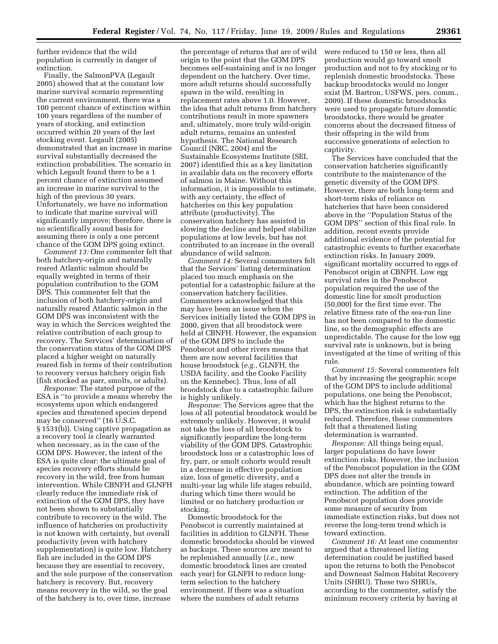further evidence that the wild population is currently in danger of extinction.

Finally, the SalmonPVA (Legault 2005) showed that at the constant low marine survival scenario representing the current environment, there was a 100 percent chance of extinction within 100 years regardless of the number of years of stocking, and extinction occurred within 20 years of the last stocking event. Legault (2005) demonstrated that an increase in marine survival substantially decreased the extinction probabilities. The scenario in which Legault found there to be a 1 percent chance of extinction assumed an increase in marine survival to the high of the previous 30 years. Unfortunately, we have no information to indicate that marine survival will significantly improve; therefore, there is no scientifically sound basis for assuming there is only a one percent chance of the GOM DPS going extinct.

*Comment 13:* One commenter felt that both hatchery-origin and naturally reared Atlantic salmon should be equally weighted in terms of their population contribution to the GOM DPS. This commenter felt that the inclusion of both hatchery-origin and naturally reared Atlantic salmon in the GOM DPS was inconsistent with the way in which the Services weighted the relative contribution of each group to recovery. The Services' determination of the conservation status of the GOM DPS placed a higher weight on naturally reared fish in terms of their contribution to recovery versus hatchery origin fish (fish stocked as parr, smolts, or adults).

*Response:* The stated purpose of the ESA is ''to provide a means whereby the ecosystems upon which endangered species and threatened species depend may be conserved'' (16 U.S.C. § 1531(b)). Using captive propagation as a recovery tool is clearly warranted when necessary, as in the case of the GOM DPS. However, the intent of the ESA is quite clear: the ultimate goal of species recovery efforts should be recovery in the wild, free from human intervention. While CBNFH and GLNFH clearly reduce the immediate risk of extinction of the GOM DPS, they have not been shown to substantially contribute to recovery in the wild. The influence of hatcheries on productivity is not known with certainty, but overall productivity (even with hatchery supplementation) is quite low. Hatchery fish are included in the GOM DPS because they are essential to recovery, and the sole purpose of the conservation hatchery is recovery. But, recovery means recovery in the wild, so the goal of the hatchery is to, over time, increase

the percentage of returns that are of wild origin to the point that the GOM DPS becomes self-sustaining and is no longer dependent on the hatchery. Over time, more adult returns should successfully spawn in the wild, resulting in replacement rates above 1.0. However, the idea that adult returns from hatchery contributions result in more spawners and, ultimately, more truly wild-origin adult returns, remains an untested hypothesis. The National Research Council (NRC, 2004) and the Sustainable Ecosystems Institute (SEI, 2007) identified this as a key limitation in available data on the recovery efforts of salmon in Maine. Without this information, it is impossible to estimate, with any certainty, the effect of hatcheries on this key population attribute (productivity). The conservation hatchery has assisted in slowing the decline and helped stabilize populations at low levels, but has not contributed to an increase in the overall abundance of wild salmon.

*Comment 14:* Several commenters felt that the Services' listing determination placed too much emphasis on the potential for a catastrophic failure at the conservation hatchery facilities. Commenters acknowledged that this may have been an issue when the Services initially listed the GOM DPS in 2000, given that all broodstock were held at CBNFH. However, the expansion of the GOM DPS to include the Penobscot and other rivers means that there are now several facilities that house broodstock (*e.g.*, GLNFH, the USDA facility, and the Cooke Facility on the Kennebec). Thus, loss of all broodstock due to a catastrophic failure is highly unlikely.

*Response:* The Services agree that the loss of all potential broodstock would be extremely unlikely. However, it would not take the loss of all broodstock to significantly jeopardize the long-term viability of the GOM DPS. Catastrophic broodstock loss or a catastrophic loss of fry, parr, or smolt cohorts would result in a decrease in effective population size, loss of genetic diversity, and a multi-year lag while life stages rebuild, during which time there would be limited or no hatchery production or stocking.

Domestic broodstock for the Penobscot is currently maintained at facilities in addition to GLNFH. These domestic broodstocks should be viewed as backups. These sources are meant to be replenished annually (*i.e.,* new domestic broodstock lines are created each year) for GLNFH to reduce longterm selection to the hatchery environment. If there was a situation where the numbers of adult returns

were reduced to 150 or less, then all production would go toward smolt production and not to fry stocking or to replenish domestic broodstocks. These backup broodstocks would no longer exist (M. Bartron, USFWS, pers. comm., 2009). If these domestic broodstocks were used to propagate future domestic broodstocks, there would be greater concerns about the decreased fitness of their offspring in the wild from successive generations of selection to captivity.

The Services have concluded that the conservation hatcheries significantly contribute to the maintenance of the genetic diversity of the GOM DPS. However, there are both long-term and short-term risks of reliance on hatcheries that have been considered above in the ''Population Status of the GOM DPS'' section of this final rule. In addition, recent events provide additional evidence of the potential for catastrophic events to further exacerbate extinction risks. In January 2009, significant mortality occurred to eggs of Penobscot origin at CBNFH. Low egg survival rates in the Penobscot population required the use of the domestic line for smolt production (50,000) for the first time ever. The relative fitness rate of the sea-run line has not been compared to the domestic line, so the demographic effects are unpredictable. The cause for the low egg survival rate is unknown, but is being investigated at the time of writing of this rule.

*Comment 15:* Several commenters felt that by increasing the geographic scope of the GOM DPS to include additional populations, one being the Penobscot, which has the highest returns to the DPS, the extinction risk is substantially reduced. Therefore, these commenters felt that a threatened listing determination is warranted.

*Response:* All things being equal, larger populations do have lower extinction risks. However, the inclusion of the Penobscot population in the GOM DPS does not alter the trends in abundance, which are pointing toward extinction. The addition of the Penobscot population does provide some measure of security from immediate extinction risks, but does not reverse the long-term trend which is toward extinction.

*Comment 16:* At least one commenter argued that a threatened listing determination could be justified based upon the returns to both the Penobscot and Downeast Salmon Habitat Recovery Units (SHRU). These two SHRUs, according to the commenter, satisfy the minimum recovery criteria by having at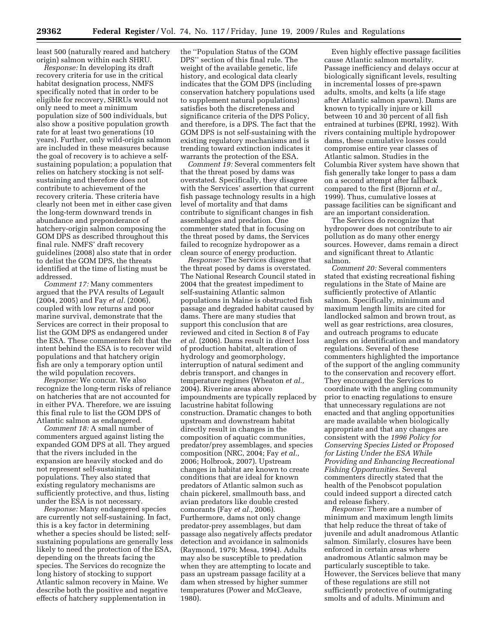least 500 (naturally reared and hatchery origin) salmon within each SHRU.

*Response:* In developing its draft recovery criteria for use in the critical habitat designation process, NMFS specifically noted that in order to be eligible for recovery, SHRUs would not only need to meet a minimum population size of 500 individuals, but also show a positive population growth rate for at least two generations (10 years). Further, only wild-origin salmon are included in these measures because the goal of recovery is to achieve a selfsustaining population; a population that relies on hatchery stocking is not selfsustaining and therefore does not contribute to achievement of the recovery criteria. These criteria have clearly not been met in either case given the long-term downward trends in abundance and preponderance of hatchery-origin salmon composing the GOM DPS as described throughout this final rule. NMFS' draft recovery guidelines (2008) also state that in order to delist the GOM DPS, the threats identified at the time of listing must be addressed.

*Comment 17:* Many commenters argued that the PVA results of Legault (2004, 2005) and Fay *et al.* (2006), coupled with low returns and poor marine survival, demonstrate that the Services are correct in their proposal to list the GOM DPS as endangered under the ESA. These commenters felt that the intent behind the ESA is to recover wild populations and that hatchery origin fish are only a temporary option until the wild population recovers.

*Response:* We concur. We also recognize the long-term risks of reliance on hatcheries that are not accounted for in either PVA. Therefore, we are issuing this final rule to list the GOM DPS of Atlantic salmon as endangered.

*Comment 18:* A small number of commenters argued against listing the expanded GOM DPS at all. They argued that the rivers included in the expansion are heavily stocked and do not represent self-sustaining populations. They also stated that existing regulatory mechanisms are sufficiently protective, and thus, listing under the ESA is not necessary.

*Response:* Many endangered species are currently not self-sustaining. In fact, this is a key factor in determining whether a species should be listed; selfsustaining populations are generally less likely to need the protection of the ESA, depending on the threats facing the species. The Services do recognize the long history of stocking to support Atlantic salmon recovery in Maine. We describe both the positive and negative effects of hatchery supplementation in

the ''Population Status of the GOM DPS'' section of this final rule. The weight of the available genetic, life history, and ecological data clearly indicates that the GOM DPS (including conservation hatchery populations used to supplement natural populations) satisfies both the discreteness and significance criteria of the DPS Policy, and therefore, is a DPS. The fact that the GOM DPS is not self-sustaining with the existing regulatory mechanisms and is trending toward extinction indicates it warrants the protection of the ESA.

*Comment 19:* Several commenters felt that the threat posed by dams was overstated. Specifically, they disagree with the Services' assertion that current fish passage technology results in a high level of mortality and that dams contribute to significant changes in fish assemblages and predation. One commenter stated that in focusing on the threat posed by dams, the Services failed to recognize hydropower as a clean source of energy production.

*Response:* The Services disagree that the threat posed by dams is overstated. The National Research Council stated in 2004 that the greatest impediment to self-sustaining Atlantic salmon populations in Maine is obstructed fish passage and degraded habitat caused by dams. There are many studies that support this conclusion that are reviewed and cited in Section 8 of Fay *et al.* (2006). Dams result in direct loss of production habitat, alteration of hydrology and geomorphology, interruption of natural sediment and debris transport, and changes in temperature regimes (Wheaton *et al.,*  2004). Riverine areas above impoundments are typically replaced by lacustrine habitat following construction. Dramatic changes to both upstream and downstream habitat directly result in changes in the composition of aquatic communities, predator/prey assemblages, and species composition (NRC, 2004; Fay *et al.,*  2006; Holbrook, 2007). Upstream changes in habitat are known to create conditions that are ideal for known predators of Atlantic salmon such as chain pickerel, smallmouth bass, and avian predators like double crested comorants (Fay *et al.,* 2006). Furthermore, dams not only change predator-prey assemblages, but dam passage also negatively affects predator detection and avoidance in salmonids (Raymond, 1979; Mesa, 1994). Adults may also be susceptible to predation when they are attempting to locate and pass an upstream passage facility at a dam when stressed by higher summer temperatures (Power and McCleave, 1980).

Even highly effective passage facilities cause Atlantic salmon mortality. Passage inefficiency and delays occur at biologically significant levels, resulting in incremental losses of pre-spawn adults, smolts, and kelts (a life stage after Atlantic salmon spawn). Dams are known to typically injure or kill between 10 and 30 percent of all fish entrained at turbines (EPRI, 1992). With rivers containing multiple hydropower dams, these cumulative losses could compromise entire year classes of Atlantic salmon. Studies in the Columbia River system have shown that fish generally take longer to pass a dam on a second attempt after fallback compared to the first (Bjornn *et al.,*  1999). Thus, cumulative losses at passage facilities can be significant and are an important consideration.

The Services do recognize that hydropower does not contribute to air pollution as do many other energy sources. However, dams remain a direct and significant threat to Atlantic salmon.

*Comment 20:* Several commenters stated that existing recreational fishing regulations in the State of Maine are sufficiently protective of Atlantic salmon. Specifically, minimum and maximum length limits are cited for landlocked salmon and brown trout, as well as gear restrictions, area closures, and outreach programs to educate anglers on identification and mandatory regulations. Several of these commenters highlighted the importance of the support of the angling community to the conservation and recovery effort. They encouraged the Services to coordinate with the angling community prior to enacting regulations to ensure that unnecessary regulations are not enacted and that angling opportunities are made available when biologically appropriate and that any changes are consistent with the *1996 Policy for Conserving Species Listed or Proposed for Listing Under the ESA While Providing and Enhancing Recreational Fishing Opportunities*. Several commenters directly stated that the health of the Penobscot population could indeed support a directed catch and release fishery.

*Response:* There are a number of minimum and maximum length limits that help reduce the threat of take of juvenile and adult anadromous Atlantic salmon. Similarly, closures have been enforced in certain areas where anadromous Atlantic salmon may be particularly susceptible to take. However, the Services believe that many of these regulations are still not sufficiently protective of outmigrating smolts and of adults. Minimum and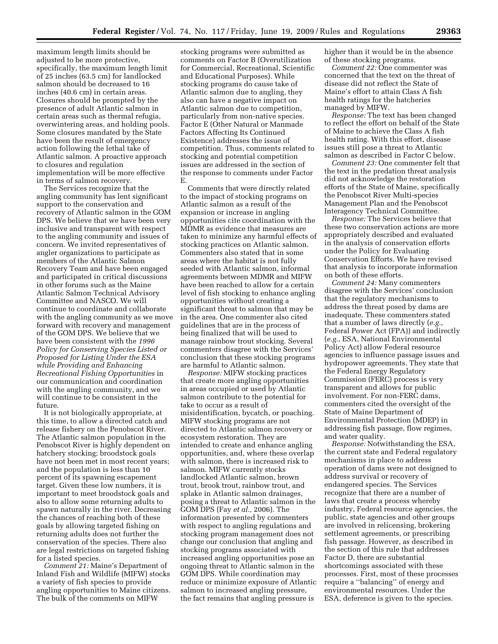maximum length limits should be adjusted to be more protective, specifically, the maximum length limit of 25 inches (63.5 cm) for landlocked salmon should be decreased to 16 inches (40.6 cm) in certain areas. Closures should be prompted by the presence of adult Atlantic salmon in certain areas such as thermal refugia, overwintering areas, and holding pools. Some closures mandated by the State have been the result of emergency action following the lethal take of Atlantic salmon. A proactive approach to closures and regulation implementation will be more effective in terms of salmon recovery.

The Services recognize that the angling community has lent significant support to the conservation and recovery of Atlantic salmon in the GOM DPS. We believe that we have been very inclusive and transparent with respect to the angling community and issues of concern. We invited representatives of angler organizations to participate as members of the Atlantic Salmon Recovery Team and have been engaged and participated in critical discussions in other forums such as the Maine Atlantic Salmon Technical Advisory Committee and NASCO. We will continue to coordinate and collaborate with the angling community as we move forward with recovery and management of the GOM DPS. We believe that we have been consistent with the *1996 Policy for Conserving Species Listed or Proposed for Listing Under the ESA while Providing and Enhancing Recreational Fishing Opportunities* in our communication and coordination with the angling community, and we will continue to be consistent in the future.

It is not biologically appropriate, at this time, to allow a directed catch and release fishery on the Penobscot River. The Atlantic salmon population in the Penobscot River is highly dependent on hatchery stocking; broodstock goals have not been met in most recent years; and the population is less than 10 percent of its spawning escapement target. Given these low numbers, it is important to meet broodstock goals and also to allow some returning adults to spawn naturally in the river. Decreasing the chances of reaching both of these goals by allowing targeted fishing on returning adults does not further the conservation of the species. There also are legal restrictions on targeted fishing for a listed species.

*Comment 21:* Maine's Department of Inland Fish and Wildlife (MIFW) stocks a variety of fish species to provide angling opportunities to Maine citizens. The bulk of the comments on MIFW

stocking programs were submitted as comments on Factor B (Overutilization for Commercial, Recreational, Scientific and Educational Purposes). While stocking programs do cause take of Atlantic salmon due to angling, they also can have a negative impact on Atlantic salmon due to competition, particularly from non-native species. Factor E (Other Natural or Manmade Factors Affecting Its Continued Existence) addresses the issue of competition. Thus, comments related to stocking and potential competition issues are addressed in the section of the response to comments under Factor E.

Comments that were directly related to the impact of stocking programs on Atlantic salmon as a result of the expansion or increase in angling opportunities cite coordination with the MDMR as evidence that measures are taken to minimize any harmful effects of stocking practices on Atlantic salmon. Commenters also stated that in some areas where the habitat is not fully seeded with Atlantic salmon, informal agreements between MDMR and MIFW have been reached to allow for a certain level of fish stocking to enhance angling opportunities without creating a significant threat to salmon that may be in the area. One commenter also cited guidelines that are in the process of being finalized that will be used to manage rainbow trout stocking. Several commenters disagree with the Services' conclusion that these stocking programs are harmful to Atlantic salmon.

*Response:* MIFW stocking practices that create more angling opportunities in areas occupied or used by Atlantic salmon contribute to the potential for take to occur as a result of misidentification, bycatch, or poaching. MIFW stocking programs are not directed to Atlantic salmon recovery or ecosystem restoration. They are intended to create and enhance angling opportunities, and, where these overlap with salmon, there is increased risk to salmon. MIFW currently stocks landlocked Atlantic salmon, brown trout, brook trout, rainbow trout, and splake in Atlantic salmon drainages, posing a threat to Atlantic salmon in the GOM DPS (Fay *et al.,* 2006). The information presented by commenters with respect to angling regulations and stocking program management does not change our conclusion that angling and stocking programs associated with increased angling opportunities pose an ongoing threat to Atlantic salmon in the GOM DPS. While coordination may reduce or minimize exposure of Atlantic salmon to increased angling pressure, the fact remains that angling pressure is

higher than it would be in the absence of these stocking programs.

*Comment 22:* One commenter was concerned that the text on the threat of disease did not reflect the State of Maine's effort to attain Class A fish health ratings for the hatcheries managed by MIFW.

*Response:* The text has been changed to reflect the effort on behalf of the State of Maine to achieve the Class A fish health rating. With this effort, disease issues still pose a threat to Atlantic salmon as described in Factor C below.

*Comment 23:* One commenter felt that the text in the predation threat analysis did not acknowledge the restoration efforts of the State of Maine, specifically the Penobscot River Multi-species Management Plan and the Penobscot Interagency Technical Committee.

*Response:* The Services believe that these two conservation actions are more appropriately described and evaluated in the analysis of conservation efforts under the Policy for Evaluating Conservation Efforts. We have revised that analysis to incorporate information on both of these efforts.

*Comment 24:* Many commenters disagree with the Services' conclusion that the regulatory mechanisms to address the threat posed by dams are inadequate. These commenters stated that a number of laws directly (*e.g.*, Federal Power Act (FPA)) and indirectly (*e.g.*, ESA, National Environmental Policy Act) allow Federal resource agencies to influence passage issues and hydropower agreements. They state that the Federal Energy Regulatory Commission (FERC) process is very transparent and allows for public involvement. For non-FERC dams, commenters cited the oversight of the State of Maine Department of Environmental Protection (MDEP) in addressing fish passage, flow regimes, and water quality.

*Response:* Notwithstanding the ESA, the current state and Federal regulatory mechanisms in place to address operation of dams were not designed to address survival or recovery of endangered species. The Services recognize that there are a number of laws that create a process whereby industry, Federal resource agencies, the public, state agencies and other groups are involved in relicensing, brokering settlement agreements, or prescribing fish passage. However, as described in the section of this rule that addresses Factor D, there are substantial shortcomings associated with these processes. First, most of these processes require a ''balancing'' of energy and environmental resources. Under the ESA, deference is given to the species.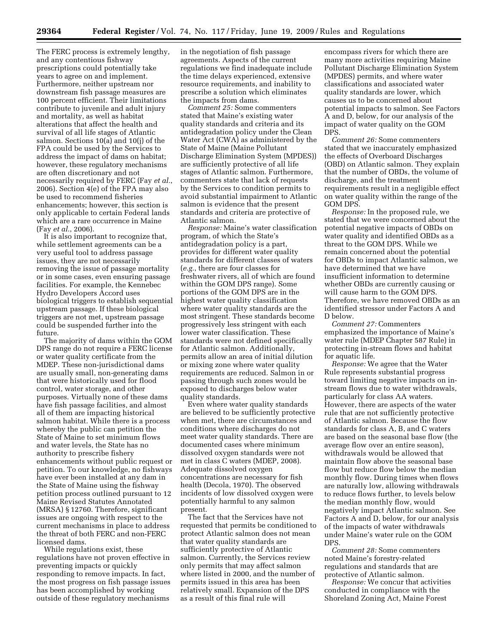The FERC process is extremely lengthy, and any contentious fishway prescriptions could potentially take years to agree on and implement. Furthermore, neither upstream nor downstream fish passage measures are 100 percent efficient. Their limitations contribute to juvenile and adult injury and mortality, as well as habitat alterations that affect the health and survival of all life stages of Atlantic salmon. Sections 10(a) and 10(j) of the FPA could be used by the Services to address the impact of dams on habitat; however, these regulatory mechanisms are often discretionary and not necessarily required by FERC (Fay *et al.*, 2006). Section 4(e) of the FPA may also be used to recommend fisheries enhancements; however, this section is only applicable to certain Federal lands which are a rare occurrence in Maine (Fay *et al.*, 2006).

It is also important to recognize that, while settlement agreements can be a very useful tool to address passage issues, they are not necessarily removing the issue of passage mortality or in some cases, even ensuring passage facilities. For example, the Kennebec Hydro Developers Accord uses biological triggers to establish sequential upstream passage. If these biological triggers are not met, upstream passage could be suspended further into the future.

The majority of dams within the GOM DPS range do not require a FERC license or water quality certificate from the MDEP. These non-jurisdictional dams are usually small, non-generating dams that were historically used for flood control, water storage, and other purposes. Virtually none of these dams have fish passage facilities, and almost all of them are impacting historical salmon habitat. While there is a process whereby the public can petition the State of Maine to set minimum flows and water levels, the State has no authority to prescribe fishery enhancements without public request or petition. To our knowledge, no fishways have ever been installed at any dam in the State of Maine using the fishway petition process outlined pursuant to 12 Maine Revised Statutes Annotated (MRSA) § 12760. Therefore, significant issues are ongoing with respect to the current mechanisms in place to address the threat of both FERC and non-FERC licensed dams.

While regulations exist, these regulations have not proven effective in preventing impacts or quickly responding to remove impacts. In fact, the most progress on fish passage issues has been accomplished by working outside of these regulatory mechanisms

in the negotiation of fish passage agreements. Aspects of the current regulations we find inadequate include the time delays experienced, extensive resource requirements, and inability to prescribe a solution which eliminates the impacts from dams.

*Comment 25:* Some commenters stated that Maine's existing water quality standards and criteria and its antidegradation policy under the Clean Water Act (CWA) as administered by the State of Maine (Maine Pollutant Discharge Elimination System (MPDES)) are sufficiently protective of all life stages of Atlantic salmon. Furthermore, commenters state that lack of requests by the Services to condition permits to avoid substantial impairment to Atlantic salmon is evidence that the present standards and criteria are protective of Atlantic salmon.

*Response:* Maine's water classification program, of which the State's antidegradation policy is a part, provides for different water quality standards for different classes of waters (*e.g.*, there are four classes for freshwater rivers, all of which are found within the GOM DPS range). Some portions of the GOM DPS are in the highest water quality classification where water quality standards are the most stringent. These standards become progressively less stringent with each lower water classification. These standards were not defined specifically for Atlantic salmon. Additionally, permits allow an area of initial dilution or mixing zone where water quality requirements are reduced. Salmon in or passing through such zones would be exposed to discharges below water quality standards.

Even where water quality standards are believed to be sufficiently protective when met, there are circumstances and conditions where discharges do not meet water quality standards. There are documented cases where minimum dissolved oxygen standards were not met in class C waters (MDEP, 2008). Adequate dissolved oxygen concentrations are necessary for fish health (Decola, 1970). The observed incidents of low dissolved oxygen were potentially harmful to any salmon present.

The fact that the Services have not requested that permits be conditioned to protect Atlantic salmon does not mean that water quality standards are sufficiently protective of Atlantic salmon. Currently, the Services review only permits that may affect salmon where listed in 2000, and the number of permits issued in this area has been relatively small. Expansion of the DPS as a result of this final rule will

encompass rivers for which there are many more activities requiring Maine Pollutant Discharge Elimination System (MPDES) permits, and where water classifications and associated water quality standards are lower, which causes us to be concerned about potential impacts to salmon. See Factors A and D, below, for our analysis of the impact of water quality on the GOM DPS.

*Comment 26:* Some commenters stated that we inaccurately emphasized the effects of Overboard Discharges (OBD) on Atlantic salmon. They explain that the number of OBDs, the volume of discharge, and the treatment requirements result in a negligible effect on water quality within the range of the GOM DPS.

*Response:* In the proposed rule, we stated that we were concerned about the potential negative impacts of OBDs on water quality and identified OBDs as a threat to the GOM DPS. While we remain concerned about the potential for OBDs to impact Atlantic salmon, we have determined that we have insufficient information to determine whether OBDs are currently causing or will cause harm to the GOM DPS. Therefore, we have removed OBDs as an identified stressor under Factors A and D below.

*Comment 27:* Commenters emphasized the importance of Maine's water rule (MDEP Chapter 587 Rule) in protecting in-stream flows and habitat for aquatic life.

*Response:* We agree that the Water Rule represents substantial progress toward limiting negative impacts on instream flows due to water withdrawals, particularly for class AA waters. However, there are aspects of the water rule that are not sufficiently protective of Atlantic salmon. Because the flow standards for class A, B, and C waters are based on the seasonal base flow (the average flow over an entire season), withdrawals would be allowed that maintain flow above the seasonal base flow but reduce flow below the median monthly flow. During times when flows are naturally low, allowing withdrawals to reduce flows further, to levels below the median monthly flow, would negatively impact Atlantic salmon. See Factors A and D, below, for our analysis of the impacts of water withdrawals under Maine's water rule on the GOM DPS.

*Comment 28:* Some commenters noted Maine's forestry-related regulations and standards that are protective of Atlantic salmon.

*Response:* We concur that activities conducted in compliance with the Shoreland Zoning Act, Maine Forest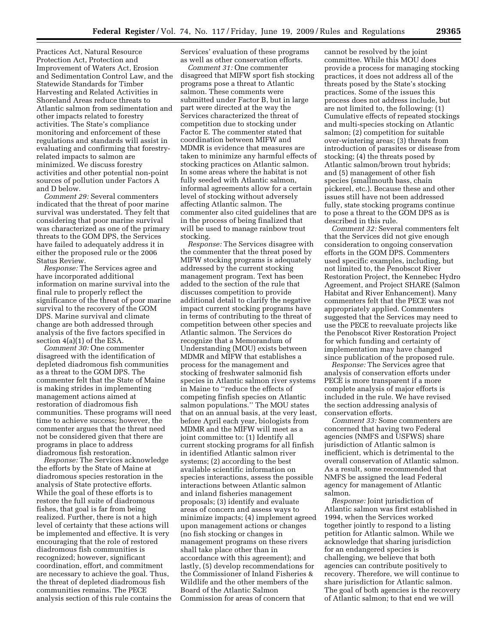Practices Act, Natural Resource Protection Act, Protection and Improvement of Waters Act, Erosion and Sedimentation Control Law, and the Statewide Standards for Timber Harvesting and Related Activities in Shoreland Areas reduce threats to Atlantic salmon from sedimentation and other impacts related to forestry activities. The State's compliance monitoring and enforcement of these regulations and standards will assist in evaluating and confirming that forestryrelated impacts to salmon are minimized. We discuss forestry activities and other potential non-point sources of pollution under Factors A and D below.

*Comment 29:* Several commenters indicated that the threat of poor marine survival was understated. They felt that considering that poor marine survival was characterized as one of the primary threats to the GOM DPS, the Services have failed to adequately address it in either the proposed rule or the 2006 Status Review.

*Response:* The Services agree and have incorporated additional information on marine survival into the final rule to properly reflect the significance of the threat of poor marine survival to the recovery of the GOM DPS. Marine survival and climate change are both addressed through analysis of the five factors specified in section 4(a)(1) of the ESA.

*Comment 30:* One commenter disagreed with the identification of depleted diadromous fish communities as a threat to the GOM DPS. The commenter felt that the State of Maine is making strides in implementing management actions aimed at restoration of diadromous fish communities. These programs will need time to achieve success; however, the commenter argues that the threat need not be considered given that there are programs in place to address diadromous fish restoration.

*Response:* The Services acknowledge the efforts by the State of Maine at diadromous species restoration in the analysis of State protective efforts. While the goal of these efforts is to restore the full suite of diadromous fishes, that goal is far from being realized. Further, there is not a high level of certainty that these actions will be implemented and effective. It is very encouraging that the role of restored diadromous fish communities is recognized; however, significant coordination, effort, and commitment are necessary to achieve the goal. Thus, the threat of depleted diadromous fish communities remains. The PECE analysis section of this rule contains the Services' evaluation of these programs as well as other conservation efforts.

*Comment 31:* One commenter disagreed that MIFW sport fish stocking programs pose a threat to Atlantic salmon. These comments were submitted under Factor B, but in large part were directed at the way the Services characterized the threat of competition due to stocking under Factor E. The commenter stated that coordination between MIFW and MDMR is evidence that measures are taken to minimize any harmful effects of stocking practices on Atlantic salmon. In some areas where the habitat is not fully seeded with Atlantic salmon, informal agreements allow for a certain level of stocking without adversely affecting Atlantic salmon. The commenter also cited guidelines that are in the process of being finalized that will be used to manage rainbow trout stocking.

*Response:* The Services disagree with the commenter that the threat posed by MIFW stocking programs is adequately addressed by the current stocking management program. Text has been added to the section of the rule that discusses competition to provide additional detail to clarify the negative impact current stocking programs have in terms of contributing to the threat of competition between other species and Atlantic salmon. The Services do recognize that a Memorandum of Understanding (MOU) exists between MDMR and MIFW that establishes a process for the management and stocking of freshwater salmonid fish species in Atlantic salmon river systems in Maine to ''reduce the effects of competing finfish species on Atlantic salmon populations.'' The MOU states that on an annual basis, at the very least, before April each year, biologists from MDMR and the MIFW will meet as a joint committee to: (1) Identify all current stocking programs for all finfish in identified Atlantic salmon river systems; (2) according to the best available scientific information on species interactions, assess the possible interactions between Atlantic salmon and inland fisheries management proposals; (3) identify and evaluate areas of concern and assess ways to minimize impacts; (4) implement agreed upon management actions or changes (no fish stocking or changes in management programs on these rivers shall take place other than in accordance with this agreement); and lastly, (5) develop recommendations for the Commissioner of Inland Fisheries & Wildlife and the other members of the Board of the Atlantic Salmon Commission for areas of concern that

cannot be resolved by the joint committee. While this MOU does provide a process for managing stocking practices, it does not address all of the threats posed by the State's stocking practices. Some of the issues this process does not address include, but are not limited to, the following: (1) Cumulative effects of repeated stockings and multi-species stocking on Atlantic salmon; (2) competition for suitable over-wintering areas; (3) threats from introduction of parasites or disease from stocking; (4) the threats posed by Atlantic salmon/brown trout hybrids; and (5) management of other fish species (smallmouth bass, chain pickerel, etc.). Because these and other issues still have not been addressed fully, state stocking programs continue to pose a threat to the GOM DPS as is described in this rule.

*Comment 32:* Several commenters felt that the Services did not give enough consideration to ongoing conservation efforts in the GOM DPS. Commenters used specific examples, including, but not limited to, the Penobscot River Restoration Project, the Kennebec Hydro Agreement, and Project SHARE (Salmon Habitat and River Enhancement). Many commenters felt that the PECE was not appropriately applied. Commenters suggested that the Services may need to use the PECE to reevaluate projects like the Penobscot River Restoration Project for which funding and certainty of implementation may have changed since publication of the proposed rule.

*Response:* The Services agree that analysis of conservation efforts under PECE is more transparent if a more complete analysis of major efforts is included in the rule. We have revised the section addressing analysis of conservation efforts.

*Comment 33:* Some commenters are concerned that having two Federal agencies (NMFS and USFWS) share jurisdiction of Atlantic salmon is inefficient, which is detrimental to the overall conservation of Atlantic salmon. As a result, some recommended that NMFS be assigned the lead Federal agency for management of Atlantic salmon.

*Response:* Joint jurisdiction of Atlantic salmon was first established in 1994, when the Services worked together jointly to respond to a listing petition for Atlantic salmon. While we acknowledge that sharing jurisdiction for an endangered species is challenging, we believe that both agencies can contribute positively to recovery. Therefore, we will continue to share jurisdiction for Atlantic salmon. The goal of both agencies is the recovery of Atlantic salmon; to that end we will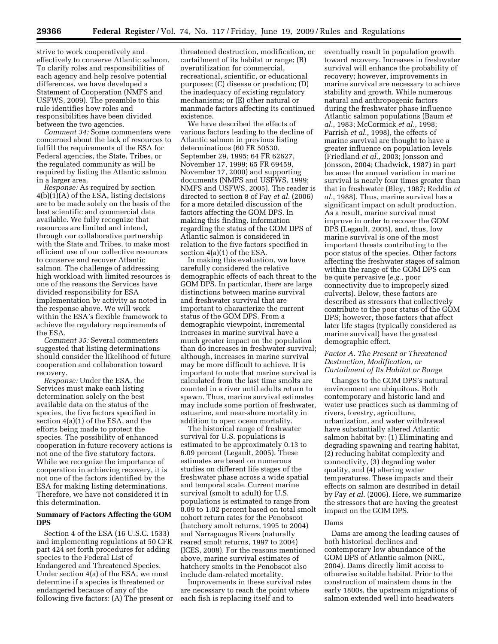strive to work cooperatively and effectively to conserve Atlantic salmon. To clarify roles and responsibilities of each agency and help resolve potential differences, we have developed a Statement of Cooperation (NMFS and USFWS, 2009). The preamble to this rule identifies how roles and responsibilities have been divided between the two agencies.

*Comment 34:* Some commenters were concerned about the lack of resources to fulfill the requirements of the ESA for Federal agencies, the State, Tribes, or the regulated community as will be required by listing the Atlantic salmon in a larger area.

*Response:* As required by section  $4(b)(1)(A)$  of the ESA, listing decisions are to be made solely on the basis of the best scientific and commercial data available. We fully recognize that resources are limited and intend, through our collaborative partnership with the State and Tribes, to make most efficient use of our collective resources to conserve and recover Atlantic salmon. The challenge of addressing high workload with limited resources is one of the reasons the Services have divided responsibility for ESA implementation by activity as noted in the response above. We will work within the ESA's flexible framework to achieve the regulatory requirements of the ESA.

*Comment 35:* Several commenters suggested that listing determinations should consider the likelihood of future cooperation and collaboration toward recovery.

*Response:* Under the ESA, the Services must make each listing determination solely on the best available data on the status of the species, the five factors specified in section 4(a)(1) of the ESA, and the efforts being made to protect the species. The possibility of enhanced cooperation in future recovery actions is not one of the five statutory factors. While we recognize the importance of cooperation in achieving recovery, it is not one of the factors identified by the ESA for making listing determinations. Therefore, we have not considered it in this determination.

# **Summary of Factors Affecting the GOM DPS**

Section 4 of the ESA (16 U.S.C. 1533) and implementing regulations at 50 CFR part 424 set forth procedures for adding species to the Federal List of Endangered and Threatened Species. Under section 4(a) of the ESA, we must determine if a species is threatened or endangered because of any of the following five factors: (A) The present or

threatened destruction, modification, or curtailment of its habitat or range; (B) overutilization for commercial, recreational, scientific, or educational purposes; (C) disease or predation; (D) the inadequacy of existing regulatory mechanisms; or (E) other natural or manmade factors affecting its continued existence.

We have described the effects of various factors leading to the decline of Atlantic salmon in previous listing determinations (60 FR 50530, September 29, 1995; 64 FR 62627, November 17, 1999; 65 FR 69459, November 17, 2000) and supporting documents (NMFS and USFWS, 1999; NMFS and USFWS, 2005). The reader is directed to section 8 of Fay *et al.* (2006) for a more detailed discussion of the factors affecting the GOM DPS. In making this finding, information regarding the status of the GOM DPS of Atlantic salmon is considered in relation to the five factors specified in section 4(a)(1) of the ESA.

In making this evaluation, we have carefully considered the relative demographic effects of each threat to the GOM DPS. In particular, there are large distinctions between marine survival and freshwater survival that are important to characterize the current status of the GOM DPS. From a demographic viewpoint, incremental increases in marine survival have a much greater impact on the population than do increases in freshwater survival; although, increases in marine survival may be more difficult to achieve. It is important to note that marine survival is calculated from the last time smolts are counted in a river until adults return to spawn. Thus, marine survival estimates may include some portion of freshwater, estuarine, and near-shore mortality in addition to open ocean mortality.

The historical range of freshwater survival for U.S. populations is estimated to be approximately 0.13 to 6.09 percent (Legault, 2005). These estimates are based on numerous studies on different life stages of the freshwater phase across a wide spatial and temporal scale. Current marine survival (smolt to adult) for U.S. populations is estimated to range from 0.09 to 1.02 percent based on total smolt cohort return rates for the Penobscot (hatchery smolt returns, 1995 to 2004) and Narraguagus Rivers (naturally reared smolt returns, 1997 to 2004) (ICES, 2008). For the reasons mentioned above, marine survival estimates of hatchery smolts in the Penobscot also include dam-related mortality.

Improvements in these survival rates are necessary to reach the point where each fish is replacing itself and to

eventually result in population growth toward recovery. Increases in freshwater survival will enhance the probability of recovery; however, improvements in marine survival are necessary to achieve stability and growth. While numerous natural and anthropogenic factors during the freshwater phase influence Atlantic salmon populations (Baum *et al.*, 1983; McCormick *et al.*, 1998; Parrish *et al.*, 1998), the effects of marine survival are thought to have a greater influence on population levels (Friedland *et al.*, 2003; Jonsson and Jonsson, 2004; Chadwick, 1987) in part because the annual variation in marine survival is nearly four times greater than that in freshwater (Bley, 1987; Reddin *et al.*, 1988). Thus, marine survival has a significant impact on adult production. As a result, marine survival must improve in order to recover the GOM DPS (Legault, 2005), and, thus, low marine survival is one of the most important threats contributing to the poor status of the species. Other factors affecting the freshwater stages of salmon within the range of the GOM DPS can be quite pervasive (*e.g.*, poor connectivity due to improperly sized culverts). Below, these factors are described as stressors that collectively contribute to the poor status of the GOM DPS; however, those factors that affect later life stages (typically considered as marine survival) have the greatest demographic effect.

# *Factor A. The Present or Threatened Destruction, Modification, or Curtailment of Its Habitat or Range*

Changes to the GOM DPS's natural environment are ubiquitous. Both contemporary and historic land and water use practices such as damming of rivers, forestry, agriculture, urbanization, and water withdrawal have substantially altered Atlantic salmon habitat by: (1) Eliminating and degrading spawning and rearing habitat, (2) reducing habitat complexity and connectivity, (3) degrading water quality, and (4) altering water temperatures. These impacts and their effects on salmon are described in detail by Fay *et al.* (2006). Here, we summarize the stressors that are having the greatest impact on the GOM DPS.

# Dams

Dams are among the leading causes of both historical declines and contemporary low abundance of the GOM DPS of Atlantic salmon (NRC, 2004). Dams directly limit access to otherwise suitable habitat. Prior to the construction of mainstem dams in the early 1800s, the upstream migrations of salmon extended well into headwaters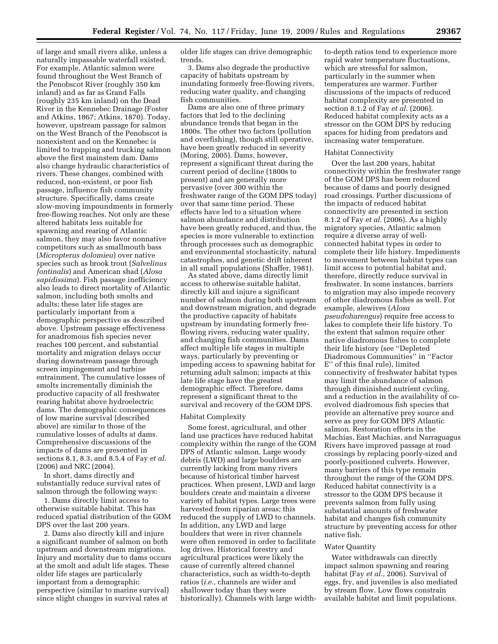of large and small rivers alike, unless a naturally impassable waterfall existed. For example, Atlantic salmon were found throughout the West Branch of the Penobscot River (roughly 350 km inland) and as far as Grand Falls (roughly 235 km inland) on the Dead River in the Kennebec Drainage (Foster and Atkins, 1867; Atkins, 1870). Today, however, upstream passage for salmon on the West Branch of the Penobscot is nonexistent and on the Kennebec is limited to trapping and trucking salmon above the first mainstem dam. Dams also change hydraulic characteristics of rivers. These changes, combined with reduced, non-existent, or poor fish passage, influence fish community structure. Specifically, dams create slow-moving impoundments in formerly free-flowing reaches. Not only are these altered habitats less suitable for spawning and rearing of Atlantic salmon, they may also favor nonnative competitors such as smallmouth bass (*Micropterus dolomieu*) over native species such as brook trout (*Salvelinus fontinalis*) and American shad (*Alosa sapidissima*). Fish passage inefficiency also leads to direct mortality of Atlantic salmon, including both smolts and adults; these later life stages are particularly important from a demographic perspective as described above. Upstream passage effectiveness for anadromous fish species never reaches 100 percent, and substantial mortality and migration delays occur during downstream passage through screen impingement and turbine entrainment. The cumulative losses of smolts incrementally diminish the productive capacity of all freshwater rearing habitat above hydroelectric dams. The demographic consequences of low marine survival (described above) are similar to those of the cumulative losses of adults at dams. Comprehensive discussions of the impacts of dams are presented in sections 8.1, 8.3, and 8.5.4 of Fay *et al.*  (2006) and NRC (2004).

In short, dams directly and substantially reduce survival rates of salmon through the following ways:

1. Dams directly limit access to otherwise suitable habitat. This has reduced spatial distribution of the GOM DPS over the last 200 years.

2. Dams also directly kill and injure a significant number of salmon on both upstream and downstream migrations. Injury and mortality due to dams occurs at the smolt and adult life stages. These older life stages are particularly important from a demographic perspective (similar to marine survival) since slight changes in survival rates at

older life stages can drive demographic trends.

3. Dams also degrade the productive capacity of habitats upstream by inundating formerly free-flowing rivers, reducing water quality, and changing fish communities.

Dams are also one of three primary factors that led to the declining abundance trends that began in the 1800s. The other two factors (pollution and overfishing), though still operative, have been greatly reduced in severity (Moring, 2005). Dams, however, represent a significant threat during the current period of decline (1800s to present) and are generally more pervasive (over 300 within the freshwater range of the GOM DPS today) over that same time period. These effects have led to a situation where salmon abundance and distribution have been greatly reduced, and thus, the species is more vulnerable to extinction through processes such as demographic and environmental stochasticity, natural catastrophes, and genetic drift inherent in all small populations (Shaffer, 1981).

As stated above, dams directly limit access to otherwise suitable habitat, directly kill and injure a significant number of salmon during both upstream and downstream migration, and degrade the productive capacity of habitats upstream by inundating formerly freeflowing rivers, reducing water quality, and changing fish communities. Dams affect multiple life stages in multiple ways, particularly by preventing or impeding access to spawning habitat for returning adult salmon; impacts at this late life stage have the greatest demographic effect. Therefore, dams represent a significant threat to the survival and recovery of the GOM DPS.

#### Habitat Complexity

Some forest, agricultural, and other land use practices have reduced habitat complexity within the range of the GOM DPS of Atlantic salmon. Large woody debris (LWD) and large boulders are currently lacking from many rivers because of historical timber harvest practices. When present, LWD and large boulders create and maintain a diverse variety of habitat types. Large trees were harvested from riparian areas; this reduced the supply of LWD to channels. In addition, any LWD and large boulders that were in river channels were often removed in order to facilitate log drives. Historical forestry and agricultural practices were likely the cause of currently altered channel characteristics, such as width-to-depth ratios (*i.e.*, channels are wider and shallower today than they were historically). Channels with large widthto-depth ratios tend to experience more rapid water temperature fluctuations, which are stressful for salmon, particularly in the summer when temperatures are warmer. Further discussions of the impacts of reduced habitat complexity are presented in section 8.1.2 of Fay *et al.* (2006). Reduced habitat complexity acts as a stressor on the GOM DPS by reducing spaces for hiding from predators and increasing water temperature.

#### Habitat Connectivity

Over the last 200 years, habitat connectivity within the freshwater range of the GOM DPS has been reduced because of dams and poorly designed road crossings. Further discussions of the impacts of reduced habitat connectivity are presented in section 8.1.2 of Fay *et al.* (2006). As a highly migratory species, Atlantic salmon require a diverse array of wellconnected habitat types in order to complete their life history. Impediments to movement between habitat types can limit access to potential habitat and, therefore, directly reduce survival in freshwater. In some instances, barriers to migration may also impede recovery of other diadromous fishes as well. For example, alewives (*Alosa pseudoharengus*) require free access to lakes to complete their life history. To the extent that salmon require other native diadromous fishes to complete their life history (see ''Depleted Diadromous Communities'' in ''Factor E'' of this final rule), limited connectivity of freshwater habitat types may limit the abundance of salmon through diminished nutrient cycling, and a reduction in the availability of coevolved diadromous fish species that provide an alternative prey source and serve as prey for GOM DPS Atlantic salmon. Restoration efforts in the Machias, East Machias, and Narraguagus Rivers have improved passage at road crossings by replacing poorly-sized and poorly-positioned culverts. However, many barriers of this type remain throughout the range of the GOM DPS. Reduced habitat connectivity is a stressor to the GOM DPS because it prevents salmon from fully using substantial amounts of freshwater habitat and changes fish community structure by preventing access for other native fish.

# Water Quantity

Water withdrawals can directly impact salmon spawning and rearing habitat (Fay *et al.*, 2006). Survival of eggs, fry, and juveniles is also mediated by stream flow. Low flows constrain available habitat and limit populations.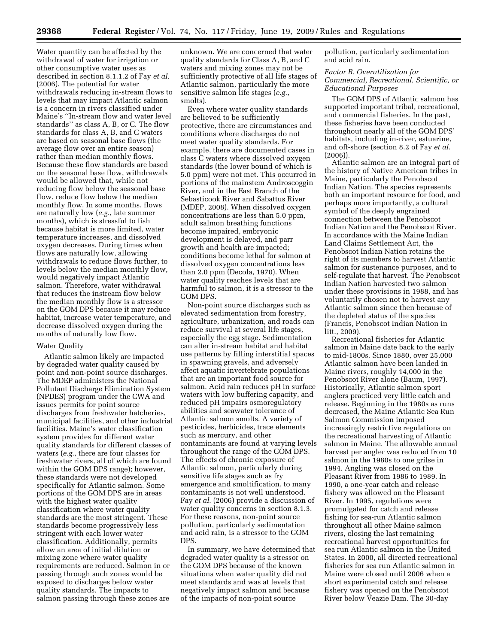Water quantity can be affected by the withdrawal of water for irrigation or other consumptive water uses as described in section 8.1.1.2 of Fay *et al.*  (2006). The potential for water withdrawals reducing in-stream flows to levels that may impact Atlantic salmon is a concern in rivers classified under Maine's ''In-stream flow and water level standards'' as class A, B, or C. The flow standards for class A, B, and C waters are based on seasonal base flows (the average flow over an entire season) rather than median monthly flows. Because these flow standards are based on the seasonal base flow, withdrawals would be allowed that, while not reducing flow below the seasonal base flow, reduce flow below the median monthly flow. In some months, flows are naturally low (*e.g.*, late summer months), which is stressful to fish because habitat is more limited, water temperature increases, and dissolved oxygen decreases. During times when flows are naturally low, allowing withdrawals to reduce flows further, to levels below the median monthly flow, would negatively impact Atlantic salmon. Therefore, water withdrawal that reduces the instream flow below the median monthly flow is a stressor on the GOM DPS because it may reduce habitat, increase water temperature, and decrease dissolved oxygen during the months of naturally low flow.

#### Water Quality

Atlantic salmon likely are impacted by degraded water quality caused by point and non-point source discharges. The MDEP administers the National Pollutant Discharge Elimination System (NPDES) program under the CWA and issues permits for point source discharges from freshwater hatcheries, municipal facilities, and other industrial facilities. Maine's water classification system provides for different water quality standards for different classes of waters (*e.g.*, there are four classes for freshwater rivers, all of which are found within the GOM DPS range); however, these standards were not developed specifically for Atlantic salmon. Some portions of the GOM DPS are in areas with the highest water quality classification where water quality standards are the most stringent. These standards become progressively less stringent with each lower water classification. Additionally, permits allow an area of initial dilution or mixing zone where water quality requirements are reduced. Salmon in or passing through such zones would be exposed to discharges below water quality standards. The impacts to salmon passing through these zones are

unknown. We are concerned that water quality standards for Class A, B, and C waters and mixing zones may not be sufficiently protective of all life stages of Atlantic salmon, particularly the more sensitive salmon life stages (*e.g.*, smolts).

Even where water quality standards are believed to be sufficiently protective, there are circumstances and conditions where discharges do not meet water quality standards. For example, there are documented cases in class C waters where dissolved oxygen standards (the lower bound of which is 5.0 ppm) were not met. This occurred in portions of the mainstem Androscoggin River, and in the East Branch of the Sebasticook River and Sabattus River (MDEP, 2008). When dissolved oxygen concentrations are less than 5.0 ppm, adult salmon breathing functions become impaired, embryonic development is delayed, and parr growth and health are impacted; conditions become lethal for salmon at dissolved oxygen concentrations less than 2.0 ppm (Decola, 1970). When water quality reaches levels that are harmful to salmon, it is a stressor to the GOM DPS.

Non-point source discharges such as elevated sedimentation from forestry, agriculture, urbanization, and roads can reduce survival at several life stages, especially the egg stage. Sedimentation can alter in-stream habitat and habitat use patterns by filling interstitial spaces in spawning gravels, and adversely affect aquatic invertebrate populations that are an important food source for salmon. Acid rain reduces pH in surface waters with low buffering capacity, and reduced pH impairs osmoregulatory abilities and seawater tolerance of Atlantic salmon smolts. A variety of pesticides, herbicides, trace elements such as mercury, and other contaminants are found at varying levels throughout the range of the GOM DPS. The effects of chronic exposure of Atlantic salmon, particularly during sensitive life stages such as fry emergence and smoltification, to many contaminants is not well understood. Fay *et al.* (2006) provide a discussion of water quality concerns in section 8.1.3. For these reasons, non-point source pollution, particularly sedimentation and acid rain, is a stressor to the GOM DPS.

In summary, we have determined that degraded water quality is a stressor on the GOM DPS because of the known situations when water quality did not meet standards and was at levels that negatively impact salmon and because of the impacts of non-point source

pollution, particularly sedimentation and acid rain.

*Factor B. Overutilization for Commercial, Recreational, Scientific, or Educational Purposes* 

The GOM DPS of Atlantic salmon has supported important tribal, recreational, and commercial fisheries. In the past, these fisheries have been conducted throughout nearly all of the GOM DPS' habitats, including in-river, estuarine, and off-shore (section 8.2 of Fay *et al.*  (2006)).

Atlantic salmon are an integral part of the history of Native American tribes in Maine, particularly the Penobscot Indian Nation. The species represents both an important resource for food, and perhaps more importantly, a cultural symbol of the deeply engrained connection between the Penobscot Indian Nation and the Penobscot River. In accordance with the Maine Indian Land Claims Settlement Act, the Penobscot Indian Nation retains the right of its members to harvest Atlantic salmon for sustenance purposes, and to self-regulate that harvest. The Penobscot Indian Nation harvested two salmon under these provisions in 1988, and has voluntarily chosen not to harvest any Atlantic salmon since then because of the depleted status of the species (Francis, Penobscot Indian Nation in litt., 2009).

Recreational fisheries for Atlantic salmon in Maine date back to the early to mid-1800s. Since 1880, over 25,000 Atlantic salmon have been landed in Maine rivers, roughly 14,000 in the Penobscot River alone (Baum, 1997). Historically, Atlantic salmon sport anglers practiced very little catch and release. Beginning in the 1980s as runs decreased, the Maine Atlantic Sea Run Salmon Commission imposed increasingly restrictive regulations on the recreational harvesting of Atlantic salmon in Maine. The allowable annual harvest per angler was reduced from 10 salmon in the 1980s to one grilse in 1994. Angling was closed on the Pleasant River from 1986 to 1989. In 1990, a one-year catch and release fishery was allowed on the Pleasant River. In 1995, regulations were promulgated for catch and release fishing for sea-run Atlantic salmon throughout all other Maine salmon rivers, closing the last remaining recreational harvest opportunities for sea run Atlantic salmon in the United States. In 2000, all directed recreational fisheries for sea run Atlantic salmon in Maine were closed until 2006 when a short experimental catch and release fishery was opened on the Penobscot River below Veazie Dam. The 30-day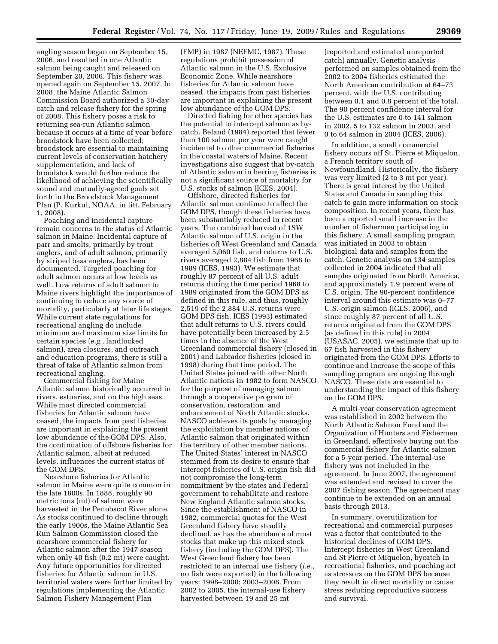angling season began on September 15, 2006, and resulted in one Atlantic salmon being caught and released on September 20, 2006. This fishery was opened again on September 15, 2007. In 2008, the Maine Atlantic Salmon Commission Board authorized a 30-day catch and release fishery for the spring of 2008. This fishery poses a risk to returning sea-run Atlantic salmon because it occurs at a time of year before broodstock have been collected; broodstock are essential to maintaining current levels of conservation hatchery supplementation, and lack of broodstock would further reduce the likelihood of achieving the scientifically sound and mutually-agreed goals set forth in the Broodstock Management Plan (P. Kurkul, NOAA, in litt. February 1, 2008).

Poaching and incidental capture remain concerns to the status of Atlantic salmon in Maine. Incidental capture of parr and smolts, primarily by trout anglers, and of adult salmon, primarily by striped bass anglers, has been documented. Targeted poaching for adult salmon occurs at low levels as well. Low returns of adult salmon to Maine rivers highlight the importance of continuing to reduce any source of mortality, particularly at later life stages. While current state regulations for recreational angling do include minimum and maximum size limits for certain species (*e.g.*, landlocked salmon), area closures, and outreach and education programs, there is still a threat of take of Atlantic salmon from recreational angling.

Commercial fishing for Maine Atlantic salmon historically occurred in rivers, estuaries, and on the high seas. While most directed commercial fisheries for Atlantic salmon have ceased, the impacts from past fisheries are important in explaining the present low abundance of the GOM DPS. Also, the continuation of offshore fisheries for Atlantic salmon, albeit at reduced levels, influences the current status of the GOM DPS.

Nearshore fisheries for Atlantic salmon in Maine were quite common in the late 1800s. In 1888, roughly 90 metric tons (mt) of salmon were harvested in the Penobscot River alone. As stocks continued to decline through the early 1900s, the Maine Atlantic Sea Run Salmon Commission closed the nearshore commercial fishery for Atlantic salmon after the 1947 season when only 40 fish (0.2 mt) were caught. Any future opportunities for directed fisheries for Atlantic salmon in U.S. territorial waters were further limited by regulations implementing the Atlantic Salmon Fishery Management Plan

(FMP) in 1987 (NEFMC, 1987). These regulations prohibit possession of Atlantic salmon in the U.S. Exclusive Economic Zone. While nearshore fisheries for Atlantic salmon have ceased, the impacts from past fisheries are important in explaining the present low abundance of the GOM DPS.

Directed fishing for other species has the potential to intercept salmon as bycatch. Beland (1984) reported that fewer than 100 salmon per year were caught incidental to other commercial fisheries in the coastal waters of Maine. Recent investigations also suggest that by-catch of Atlantic salmon in herring fisheries is not a significant source of mortality for U.S. stocks of salmon (ICES, 2004).

Offshore, directed fisheries for Atlantic salmon continue to affect the GOM DPS, though these fisheries have been substantially reduced in recent years. The combined harvest of 1SW Atlantic salmon of U.S. origin in the fisheries off West Greenland and Canada averaged 5,060 fish, and returns to U.S. rivers averaged 2,884 fish from 1968 to 1989 (ICES, 1993). We estimate that roughly 87 percent of all U.S. adult returns during the time period 1968 to 1989 originated from the GOM DPS as defined in this rule, and thus, roughly 2,519 of the 2,884 U.S. returns were GOM DPS fish. ICES (1993) estimated that adult returns to U.S. rivers could have potentially been increased by 2.5 times in the absence of the West Greenland commercial fishery (closed in 2001) and Labrador fisheries (closed in 1998) during that time period. The United States joined with other North Atlantic nations in 1982 to form NASCO for the purpose of managing salmon through a cooperative program of conservation, restoration, and enhancement of North Atlantic stocks. NASCO achieves its goals by managing the exploitation by member nations of Atlantic salmon that originated within the territory of other member nations. The United States' interest in NASCO stemmed from its desire to ensure that intercept fisheries of U.S. origin fish did not compromise the long-term commitment by the states and Federal government to rehabilitate and restore New England Atlantic salmon stocks. Since the establishment of NASCO in 1982, commercial quotas for the West Greenland fishery have steadily declined, as has the abundance of most stocks that make up this mixed stock fishery (including the GOM DPS). The West Greenland fishery has been restricted to an internal use fishery (*i.e.*, no fish were exported) in the following years: 1998–2000; 2003–2008. From 2002 to 2005, the internal-use fishery harvested between 19 and 25 mt

(reported and estimated unreported catch) annually. Genetic analysis performed on samples obtained from the 2002 to 2004 fisheries estimated the North American contribution at 64–73 percent, with the U.S. contributing between 0.1 and 0.8 percent of the total. The 90 percent confidence interval for the U.S. estimates are 0 to 141 salmon in 2002, 5 to 132 salmon in 2003, and 0 to 64 salmon in 2004 (ICES, 2006).

In addition, a small commercial fishery occurs off St. Pierre et Miquelon, a French territory south of Newfoundland. Historically, the fishery was very limited (2 to 3 mt per year). There is great interest by the United States and Canada in sampling this catch to gain more information on stock composition. In recent years, there has been a reported small increase in the number of fishermen participating in this fishery. A small sampling program was initiated in 2003 to obtain biological data and samples from the catch. Genetic analysis on 134 samples collected in 2004 indicated that all samples originated from North America, and approximately 1.9 percent were of U.S. origin. The 90-percent confidence interval around this estimate was 0–77 U.S.-origin salmon (ICES, 2006), and since roughly 87 percent of all U.S. returns originated from the GOM DPS (as defined in this rule) in 2004 (USASAC, 2005), we estimate that up to 67 fish harvested in this fishery originated from the GOM DPS. Efforts to continue and increase the scope of this sampling program are ongoing through NASCO. These data are essential to understanding the impact of this fishery on the GOM DPS.

A multi-year conservation agreement was established in 2002 between the North Atlantic Salmon Fund and the Organization of Hunters and Fishermen in Greenland, effectively buying out the commercial fishery for Atlantic salmon for a 5-year period. The internal-use fishery was not included in the agreement. In June 2007, the agreement was extended and revised to cover the 2007 fishing season. The agreement may continue to be extended on an annual basis through 2013.

In summary, overutilization for recreational and commercial purposes was a factor that contributed to the historical declines of GOM DPS. Intercept fisheries in West Greenland and St Pierre et Miquelon, bycatch in recreational fisheries, and poaching act as stressors on the GOM DPS because they result in direct mortality or cause stress reducing reproductive success and survival.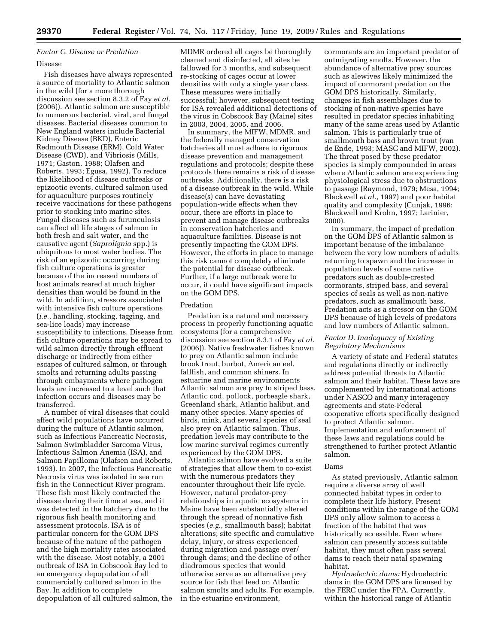# *Factor C. Disease or Predation*

#### Disease

Fish diseases have always represented a source of mortality to Atlantic salmon in the wild (for a more thorough discussion see section 8.3.2 of Fay *et al.*  (2006)). Atlantic salmon are susceptible to numerous bacterial, viral, and fungal diseases. Bacterial diseases common to New England waters include Bacterial Kidney Disease (BKD), Enteric Redmouth Disease (ERM), Cold Water Disease (CWD), and Vibriosis (Mills, 1971; Gaston, 1988; Olafsen and Roberts, 1993; Egusa, 1992). To reduce the likelihood of disease outbreaks or epizootic events, cultured salmon used for aquaculture purposes routinely receive vaccinations for these pathogens prior to stocking into marine sites. Fungal diseases such as furunculosis can affect all life stages of salmon in both fresh and salt water, and the causative agent (*Saprolignia* spp.) is ubiquitous to most water bodies. The risk of an epizootic occurring during fish culture operations is greater because of the increased numbers of host animals reared at much higher densities than would be found in the wild. In addition, stressors associated with intensive fish culture operations (*i.e.*, handling, stocking, tagging, and sea-lice loads) may increase susceptibility to infections. Disease from fish culture operations may be spread to wild salmon directly through effluent discharge or indirectly from either escapes of cultured salmon, or through smolts and returning adults passing through embayments where pathogen loads are increased to a level such that infection occurs and diseases may be transferred.

A number of viral diseases that could affect wild populations have occurred during the culture of Atlantic salmon, such as Infectious Pancreatic Necrosis, Salmon Swimbladder Sarcoma Virus, Infectious Salmon Anemia (ISA), and Salmon Papilloma (Olafsen and Roberts, 1993). In 2007, the Infectious Pancreatic Necrosis virus was isolated in sea run fish in the Connecticut River program. These fish most likely contracted the disease during their time at sea, and it was detected in the hatchery due to the rigorous fish health monitoring and assessment protocols. ISA is of particular concern for the GOM DPS because of the nature of the pathogen and the high mortality rates associated with the disease. Most notably, a 2001 outbreak of ISA in Cobscook Bay led to an emergency depopulation of all commercially cultured salmon in the Bay. In addition to complete depopulation of all cultured salmon, the

MDMR ordered all cages be thoroughly cleaned and disinfected, all sites be fallowed for 3 months, and subsequent re-stocking of cages occur at lower densities with only a single year class. These measures were initially successful; however, subsequent testing for ISA revealed additional detections of the virus in Cobscook Bay (Maine) sites in 2003, 2004, 2005, and 2006.

In summary, the MIFW, MDMR, and the federally managed conservation hatcheries all must adhere to rigorous disease prevention and management regulations and protocols; despite these protocols there remains a risk of disease outbreaks. Additionally, there is a risk of a disease outbreak in the wild. While disease(s) can have devastating population-wide effects when they occur, there are efforts in place to prevent and manage disease outbreaks in conservation hatcheries and aquaculture facilities. Disease is not presently impacting the GOM DPS. However, the efforts in place to manage this risk cannot completely eliminate the potential for disease outbreak. Further, if a large outbreak were to occur, it could have significant impacts on the GOM DPS.

# Predation

Predation is a natural and necessary process in properly functioning aquatic ecosystems (for a comprehensive discussion see section 8.3.1 of Fay *et al.*  (2006)). Native freshwater fishes known to prey on Atlantic salmon include brook trout, burbot, American eel, fallfish, and common shiners. In estuarine and marine environments Atlantic salmon are prey to striped bass, Atlantic cod, pollock, porbeagle shark, Greenland shark, Atlantic halibut, and many other species. Many species of birds, mink, and several species of seal also prey on Atlantic salmon. Thus, predation levels may contribute to the low marine survival regimes currently experienced by the GOM DPS.

Atlantic salmon have evolved a suite of strategies that allow them to co-exist with the numerous predators they encounter throughout their life cycle. However, natural predator-prey relationships in aquatic ecosystems in Maine have been substantially altered through the spread of nonnative fish species (*e.g.*, smallmouth bass); habitat alterations; site specific and cumulative delay, injury, or stress experienced during migration and passage over/ through dams; and the decline of other diadromous species that would otherwise serve as an alternative prey source for fish that feed on Atlantic salmon smolts and adults. For example, in the estuarine environment,

cormorants are an important predator of outmigrating smolts. However, the abundance of alternative prey sources such as alewives likely minimized the impact of cormorant predation on the GOM DPS historically. Similarly, changes in fish assemblages due to stocking of non-native species have resulted in predator species inhabiting many of the same areas used by Atlantic salmon. This is particularly true of smallmouth bass and brown trout (van de Ende, 1993; MASC and MIFW, 2002). The threat posed by these predator species is simply compounded in areas where Atlantic salmon are experiencing physiological stress due to obstructions to passage (Raymond, 1979; Mesa, 1994; Blackwell *et al.*, 1997) and poor habitat quality and complexity (Cunjak, 1996; Blackwell and Krohn, 1997; Larinier, 2000).

In summary, the impact of predation on the GOM DPS of Atlantic salmon is important because of the imbalance between the very low numbers of adults returning to spawn and the increase in population levels of some native predators such as double-crested cormorants, striped bass, and several species of seals as well as non-native predators, such as smallmouth bass. Predation acts as a stressor on the GOM DPS because of high levels of predators and low numbers of Atlantic salmon.

# *Factor D. Inadequacy of Existing Regulatory Mechanisms*

A variety of state and Federal statutes and regulations directly or indirectly address potential threats to Atlantic salmon and their habitat. These laws are complemented by international actions under NASCO and many interagency agreements and state-Federal cooperative efforts specifically designed to protect Atlantic salmon. Implementation and enforcement of these laws and regulations could be strengthened to further protect Atlantic salmon.

# Dams

As stated previously, Atlantic salmon require a diverse array of well connected habitat types in order to complete their life history. Present conditions within the range of the GOM DPS only allow salmon to access a fraction of the habitat that was historically accessible. Even where salmon can presently access suitable habitat, they must often pass several dams to reach their natal spawning habitat.

*Hydroelectric dams:* Hydroelectric dams in the GOM DPS are licensed by the FERC under the FPA. Currently, within the historical range of Atlantic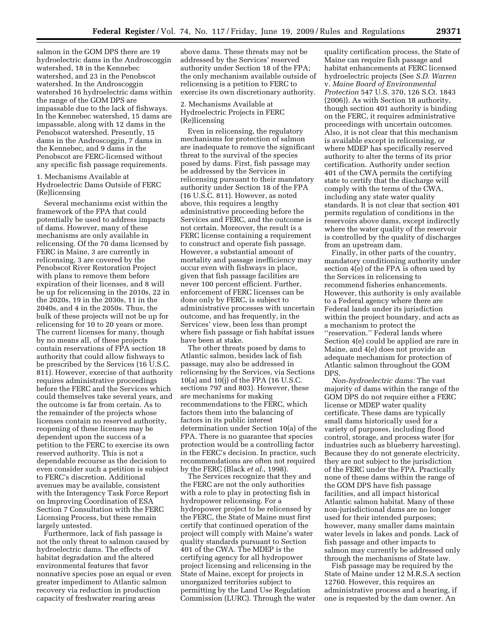salmon in the GOM DPS there are 19 hydroelectric dams in the Androscoggin watershed, 18 in the Kennebec watershed, and 23 in the Penobscot watershed. In the Androscoggin watershed 16 hydroelectric dams within the range of the GOM DPS are impassable due to the lack of fishways. In the Kennebec watershed, 15 dams are impassable, along with 12 dams in the Penobscot watershed. Presently, 15 dams in the Androscoggin, 7 dams in the Kennebec, and 9 dams in the Penobscot are FERC-licensed without any specific fish passage requirements.

1. Mechanisms Available at Hydroelectric Dams Outside of FERC (Re)licensing

Several mechanisms exist within the framework of the FPA that could potentially be used to address impacts of dams. However, many of these mechanisms are only available in relicensing. Of the 70 dams licensed by FERC in Maine, 3 are currently in relicensing, 3 are covered by the Penobscot River Restoration Project with plans to remove them before expiration of their licenses, and 8 will be up for relicensing in the 2010s, 22 in the 2020s, 19 in the 2030s, 11 in the 2040s, and 4 in the 2050s. Thus, the bulk of these projects will not be up for relicensing for 10 to 20 years or more. The current licenses for many, though by no means all, of these projects contain reservations of FPA section 18 authority that could allow fishways to be prescribed by the Services (16 U.S.C. 811). However, exercise of that authority requires administrative proceedings before the FERC and the Services which could themselves take several years, and the outcome is far from certain. As to the remainder of the projects whose licenses contain no reserved authority, reopening of these licenses may be dependent upon the success of a petition to the FERC to exercise its own reserved authority. This is not a dependable recourse as the decision to even consider such a petition is subject to FERC's discretion. Additional avenues may be available, consistent with the Interagency Task Force Report on Improving Coordination of ESA Section 7 Consultation with the FERC Licensing Process, but these remain largely untested.

Furthermore, lack of fish passage is not the only threat to salmon caused by hydroelectric dams. The effects of habitat degradation and the altered environmental features that favor nonnative species pose an equal or even greater impediment to Atlantic salmon recovery via reduction in production capacity of freshwater rearing areas

above dams. These threats may not be addressed by the Services' reserved authority under Section 18 of the FPA; the only mechanism available outside of relicensing is a petition to FERC to exercise its own discretionary authority.

2. Mechanisms Available at Hydroelectric Projects in FERC (Re)licensing

Even in relicensing, the regulatory mechanisms for protection of salmon are inadequate to remove the significant threat to the survival of the species posed by dams. First, fish passage may be addressed by the Services in relicensing pursuant to their mandatory authority under Section 18 of the FPA (16 U.S.C. 811). However, as noted above, this requires a lengthy administrative proceeding before the Services and FERC, and the outcome is not certain. Moreover, the result is a FERC license containing a requirement to construct and operate fish passage. However, a substantial amount of mortality and passage inefficiency may occur even with fishways in place, given that fish passage facilities are never 100 percent efficient. Further, enforcement of FERC licenses can be done only by FERC, is subject to administrative processes with uncertain outcome, and has frequently, in the Services' view, been less than prompt where fish passage or fish habitat issues have been at stake.

The other threats posed by dams to Atlantic salmon, besides lack of fish passage, may also be addressed in relicensing by the Services, via Sections 10(a) and 10(j) of the FPA (16 U.S.C. sections 797 and 803). However, these are mechanisms for making recommendations to the FERC, which factors them into the balancing of factors in its public interest determination under Section 10(a) of the FPA. There is no guarantee that species protection would be a controlling factor in the FERC's decision. In practice, such recommendations are often not required by the FERC (Black *et al.*, 1998).

The Services recognize that they and the FERC are not the only authorities with a role to play in protecting fish in hydropower relicensing. For a hydropower project to be relicensed by the FERC, the State of Maine must first certify that continued operation of the project will comply with Maine's water quality standards pursuant to Section 401 of the CWA. The MDEP is the certifying agency for all hydropower project licensing and relicensing in the State of Maine, except for projects in unorganized territories subject to permitting by the Land Use Regulation Commission (LURC). Through the water

quality certification process, the State of Maine can require fish passage and habitat enhancements at FERC licensed hydroelectric projects (See *S.D. Warren*  v. *Maine Board of Environmental Protection* 547 U.S. 370, 126 S.Ct. 1843 (2006)). As with Section 18 authority, though section 401 authority is binding on the FERC, it requires administrative proceedings with uncertain outcomes. Also, it is not clear that this mechanism is available except in relicensing, or where MDEP has specifically reserved authority to alter the terms of its prior certification. Authority under section 401 of the CWA permits the certifying state to certify that the discharge will comply with the terms of the CWA, including any state water quality standards. It is not clear that section 401 permits regulation of conditions in the reservoirs above dams, except indirectly where the water quality of the reservoir is controlled by the quality of discharges from an upstream dam.

Finally, in other parts of the country, mandatory conditioning authority under section 4(e) of the FPA is often used by the Services in relicensing to recommend fisheries enhancements. However, this authority is only available to a Federal agency where there are Federal lands under its jurisdiction within the project boundary, and acts as a mechanism to protect the ''reservation.'' Federal lands where Section 4(e) could be applied are rare in Maine, and 4(e) does not provide an adequate mechanism for protection of Atlantic salmon throughout the GOM DPS.

*Non-hydroelectric dams:* The vast majority of dams within the range of the GOM DPS do not require either a FERC license or MDEP water quality certificate. These dams are typically small dams historically used for a variety of purposes, including flood control, storage, and process water (for industries such as blueberry harvesting). Because they do not generate electricity, they are not subject to the jurisdiction of the FERC under the FPA. Practically none of these dams within the range of the GOM DPS have fish passage facilities, and all impact historical Atlantic salmon habitat. Many of these non-jurisdictional dams are no longer used for their intended purposes; however, many smaller dams maintain water levels in lakes and ponds. Lack of fish passage and other impacts to salmon may currently be addressed only through the mechanisms of State law.

Fish passage may be required by the State of Maine under 12 M.R.S.A section 12760. However, this requires an administrative process and a hearing, if one is requested by the dam owner. An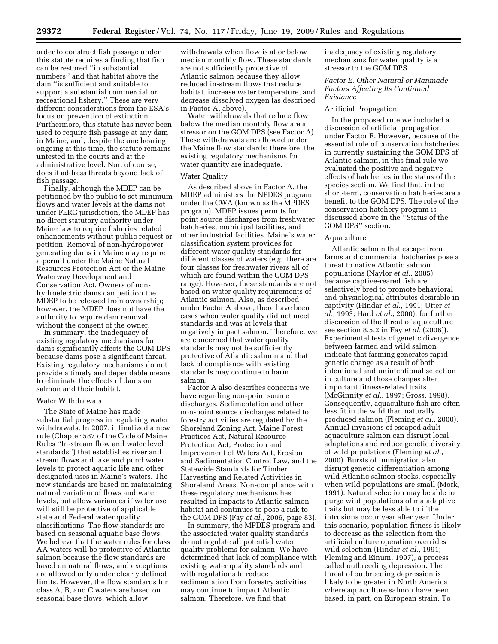order to construct fish passage under this statute requires a finding that fish can be restored ''in substantial numbers'' and that habitat above the dam ''is sufficient and suitable to support a substantial commercial or recreational fishery.'' These are very different considerations from the ESA's focus on prevention of extinction. Furthermore, this statute has never been used to require fish passage at any dam in Maine, and, despite the one hearing ongoing at this time, the statute remains untested in the courts and at the administrative level. Nor, of course, does it address threats beyond lack of fish passage.

Finally, although the MDEP can be petitioned by the public to set minimum flows and water levels at the dams not under FERC jurisdiction, the MDEP has no direct statutory authority under Maine law to require fisheries related enhancements without public request or petition. Removal of non-hydropower generating dams in Maine may require a permit under the Maine Natural Resources Protection Act or the Maine Waterway Development and Conservation Act. Owners of nonhydroelectric dams can petition the MDEP to be released from ownership; however, the MDEP does not have the authority to require dam removal without the consent of the owner.

In summary, the inadequacy of existing regulatory mechanisms for dams significantly affects the GOM DPS because dams pose a significant threat. Existing regulatory mechanisms do not provide a timely and dependable means to eliminate the effects of dams on salmon and their habitat.

# Water Withdrawals

The State of Maine has made substantial progress in regulating water withdrawals. In 2007, it finalized a new rule (Chapter 587 of the Code of Maine Rules ''In-stream flow and water level standards'') that establishes river and stream flows and lake and pond water levels to protect aquatic life and other designated uses in Maine's waters. The new standards are based on maintaining natural variation of flows and water levels, but allow variances if water use will still be protective of applicable state and Federal water quality classifications. The flow standards are based on seasonal aquatic base flows. We believe that the water rules for class AA waters will be protective of Atlantic salmon because the flow standards are based on natural flows, and exceptions are allowed only under clearly defined limits. However, the flow standards for class A, B, and C waters are based on seasonal base flows, which allow

withdrawals when flow is at or below median monthly flow. These standards are not sufficiently protective of Atlantic salmon because they allow reduced in-stream flows that reduce habitat, increase water temperature, and decrease dissolved oxygen (as described in Factor A, above).

Water withdrawals that reduce flow below the median monthly flow are a stressor on the GOM DPS (see Factor A). These withdrawals are allowed under the Maine flow standards; therefore, the existing regulatory mechanisms for water quantity are inadequate.

# Water Quality

As described above in Factor A, the MDEP administers the NPDES program under the CWA (known as the MPDES program). MDEP issues permits for point source discharges from freshwater hatcheries, municipal facilities, and other industrial facilities. Maine's water classification system provides for different water quality standards for different classes of waters (*e.g.*, there are four classes for freshwater rivers all of which are found within the GOM DPS range). However, these standards are not based on water quality requirements of Atlantic salmon. Also, as described under Factor A above, there have been cases when water quality did not meet standards and was at levels that negatively impact salmon. Therefore, we are concerned that water quality standards may not be sufficiently protective of Atlantic salmon and that lack of compliance with existing standards may continue to harm salmon.

Factor A also describes concerns we have regarding non-point source discharges. Sedimentation and other non-point source discharges related to forestry activities are regulated by the Shoreland Zoning Act, Maine Forest Practices Act, Natural Resource Protection Act, Protection and Improvement of Waters Act, Erosion and Sedimentation Control Law, and the Statewide Standards for Timber Harvesting and Related Activities in Shoreland Areas. Non-compliance with these regulatory mechanisms has resulted in impacts to Atlantic salmon habitat and continues to pose a risk to the GOM DPS (Fay *et al.*, 2006, page 83).

In summary, the MPDES program and the associated water quality standards do not regulate all potential water quality problems for salmon. We have determined that lack of compliance with existing water quality standards and with regulations to reduce sedimentation from forestry activities may continue to impact Atlantic salmon. Therefore, we find that

inadequacy of existing regulatory mechanisms for water quality is a stressor to the GOM DPS.

# *Factor E. Other Natural or Manmade Factors Affecting Its Continued Existence*

#### Artificial Propagation

In the proposed rule we included a discussion of artificial propagation under Factor E. However, because of the essential role of conservation hatcheries in currently sustaining the GOM DPS of Atlantic salmon, in this final rule we evaluated the positive and negative effects of hatcheries in the status of the species section. We find that, in the short-term, conservation hatcheries are a benefit to the GOM DPS. The role of the conservation hatchery program is discussed above in the ''Status of the GOM DPS'' section.

# Aquaculture

Atlantic salmon that escape from farms and commercial hatcheries pose a threat to native Atlantic salmon populations (Naylor *et al.*, 2005) because captive-reared fish are selectively bred to promote behavioral and physiological attributes desirable in captivity (Hindar *et al.*, 1991; Utter *et al.*, 1993; Hard *et al.*, 2000); for further discussion of the threat of aquaculture see section 8.5.2 in Fay *et al.* (2006)). Experimental tests of genetic divergence between farmed and wild salmon indicate that farming generates rapid genetic change as a result of both intentional and unintentional selection in culture and those changes alter important fitness-related traits (McGinnity *et al.*, 1997; Gross, 1998). Consequently, aquaculture fish are often less fit in the wild than naturally produced salmon (Fleming *et al.*, 2000). Annual invasions of escaped adult aquaculture salmon can disrupt local adaptations and reduce genetic diversity of wild populations (Fleming *et al.*, 2000). Bursts of immigration also disrupt genetic differentiation among wild Atlantic salmon stocks, especially when wild populations are small (Mork, 1991). Natural selection may be able to purge wild populations of maladaptive traits but may be less able to if the intrusions occur year after year. Under this scenario, population fitness is likely to decrease as the selection from the artificial culture operation overrides wild selection (Hindar *et al.*, 1991; Fleming and Einum, 1997), a process called outbreeding depression. The threat of outbreeding depression is likely to be greater in North America where aquaculture salmon have been based, in part, on European strain. To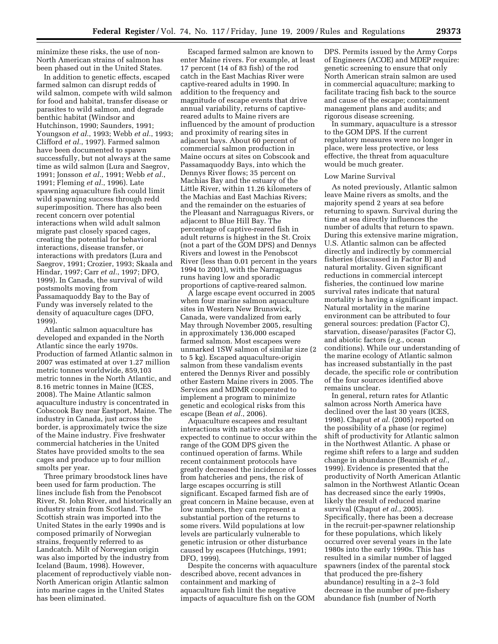minimize these risks, the use of non-North American strains of salmon has been phased out in the United States.

In addition to genetic effects, escaped farmed salmon can disrupt redds of wild salmon, compete with wild salmon for food and habitat, transfer disease or parasites to wild salmon, and degrade benthic habitat (Windsor and Hutchinson, 1990; Saunders, 1991; Youngson *et al.*, 1993; Webb *et al.*, 1993; Clifford *et al.*, 1997). Farmed salmon have been documented to spawn successfully, but not always at the same time as wild salmon (Lura and Saegrov, 1991; Jonsson *et al.*, 1991; Webb *et al.*, 1991; Fleming *et al.*, 1996). Late spawning aquaculture fish could limit wild spawning success through redd superimposition. There has also been recent concern over potential interactions when wild adult salmon migrate past closely spaced cages, creating the potential for behavioral interactions, disease transfer, or interactions with predators (Lura and Saegrov, 1991; Crozier, 1993; Skaala and Hindar, 1997; Carr *et al.*, 1997; DFO, 1999). In Canada, the survival of wild postsmolts moving from Passamaquoddy Bay to the Bay of Fundy was inversely related to the density of aquaculture cages (DFO, 1999).

Atlantic salmon aquaculture has developed and expanded in the North Atlantic since the early 1970s. Production of farmed Atlantic salmon in 2007 was estimated at over 1.27 million metric tonnes worldwide, 859,103 metric tonnes in the North Atlantic, and 8.16 metric tonnes in Maine (ICES, 2008). The Maine Atlantic salmon aquaculture industry is concentrated in Cobscook Bay near Eastport, Maine. The industry in Canada, just across the border, is approximately twice the size of the Maine industry. Five freshwater commercial hatcheries in the United States have provided smolts to the sea cages and produce up to four million smolts per year.

Three primary broodstock lines have been used for farm production. The lines include fish from the Penobscot River, St. John River, and historically an industry strain from Scotland. The Scottish strain was imported into the United States in the early 1990s and is composed primarily of Norwegian strains, frequently referred to as Landcatch. Milt of Norwegian origin was also imported by the industry from Iceland (Baum, 1998). However, placement of reproductively viable non-North American origin Atlantic salmon into marine cages in the United States has been eliminated.

Escaped farmed salmon are known to enter Maine rivers. For example, at least 17 percent (14 of 83 fish) of the rod catch in the East Machias River were captive-reared adults in 1990. In addition to the frequency and magnitude of escape events that drive annual variability, returns of captivereared adults to Maine rivers are influenced by the amount of production and proximity of rearing sites in adjacent bays. About 60 percent of commercial salmon production in Maine occurs at sites on Cobscook and Passamaquoddy Bays, into which the Dennys River flows; 35 percent on Machias Bay and the estuary of the Little River, within 11.26 kilometers of the Machias and East Machias Rivers; and the remainder on the estuaries of the Pleasant and Narraguagus Rivers, or adjacent to Blue Hill Bay. The percentage of captive-reared fish in adult returns is highest in the St. Croix (not a part of the GOM DPS) and Dennys Rivers and lowest in the Penobscot River (less than 0.01 percent in the years 1994 to 2001), with the Narraguagus runs having low and sporadic proportions of captive-reared salmon.

A large escape event occurred in 2005 when four marine salmon aquaculture sites in Western New Brunswick, Canada, were vandalized from early May through November 2005, resulting in approximately 136,000 escaped farmed salmon. Most escapees were unmarked 1SW salmon of similar size (2 to 5 kg). Escaped aquaculture-origin salmon from these vandalism events entered the Dennys River and possibly other Eastern Maine rivers in 2005. The Services and MDMR cooperated to implement a program to minimize genetic and ecological risks from this escape (Bean *et al.*, 2006).

Aquaculture escapees and resultant interactions with native stocks are expected to continue to occur within the range of the GOM DPS given the continued operation of farms. While recent containment protocols have greatly decreased the incidence of losses from hatcheries and pens, the risk of large escapes occurring is still significant. Escaped farmed fish are of great concern in Maine because, even at low numbers, they can represent a substantial portion of the returns to some rivers. Wild populations at low levels are particularly vulnerable to genetic intrusion or other disturbance caused by escapees (Hutchings, 1991; DFO, 1999).

Despite the concerns with aquaculture described above, recent advances in containment and marking of aquaculture fish limit the negative impacts of aquaculture fish on the GOM

DPS. Permits issued by the Army Corps of Engineers (ACOE) and MDEP require: genetic screening to ensure that only North American strain salmon are used in commercial aquaculture; marking to facilitate tracing fish back to the source and cause of the escape; containment management plans and audits; and rigorous disease screening.

In summary, aquaculture is a stressor to the GOM DPS. If the current regulatory measures were no longer in place, were less protective, or less effective, the threat from aquaculture would be much greater.

#### Low Marine Survival

As noted previously, Atlantic salmon leave Maine rivers as smolts, and the majority spend 2 years at sea before returning to spawn. Survival during the time at sea directly influences the number of adults that return to spawn. During this extensive marine migration, U.S. Atlantic salmon can be affected directly and indirectly by commercial fisheries (discussed in Factor B) and natural mortality. Given significant reductions in commercial intercept fisheries, the continued low marine survival rates indicate that natural mortality is having a significant impact. Natural mortality in the marine environment can be attributed to four general sources: predation (Factor C), starvation, disease/parasites (Factor C), and abiotic factors (*e.g.*, ocean conditions). While our understanding of the marine ecology of Atlantic salmon has increased substantially in the past decade, the specific role or contribution of the four sources identified above remains unclear.

In general, return rates for Atlantic salmon across North America have declined over the last 30 years (ICES, 1998). Chaput *et al.* (2005) reported on the possibility of a phase (or regime) shift of productivity for Atlantic salmon in the Northwest Atlantic. A phase or regime shift refers to a large and sudden change in abundance (Beamish *et al.*, 1999). Evidence is presented that the productivity of North American Atlantic salmon in the Northwest Atlantic Ocean has decreased since the early 1990s, likely the result of reduced marine survival (Chaput *et al.*, 2005). Specifically, there has been a decrease in the recruit-per-spawner relationship for these populations, which likely occurred over several years in the late 1980s into the early 1990s. This has resulted in a similar number of lagged spawners (index of the parental stock that produced the pre-fishery abundance) resulting in a 2–3 fold decrease in the number of pre-fishery abundance fish (number of North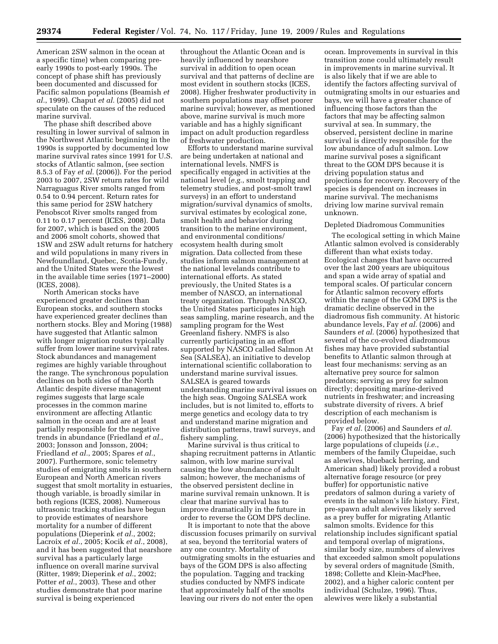American 2SW salmon in the ocean at a specific time) when comparing preearly 1990s to post-early 1990s. The concept of phase shift has previously been documented and discussed for Pacific salmon populations (Beamish *et al.*, 1999). Chaput *et al.* (2005) did not speculate on the causes of the reduced marine survival.

The phase shift described above resulting in lower survival of salmon in the Northwest Atlantic beginning in the 1990s is supported by documented low marine survival rates since 1991 for U.S. stocks of Atlantic salmon, (see section 8.5.3 of Fay *et al.* (2006)). For the period 2003 to 2007, 2SW return rates for wild Narraguagus River smolts ranged from 0.54 to 0.94 percent. Return rates for this same period for 2SW hatchery Penobscot River smolts ranged from 0.11 to 0.17 percent (ICES, 2008). Data for 2007, which is based on the 2005 and 2006 smolt cohorts, showed that 1SW and 2SW adult returns for hatchery and wild populations in many rivers in Newfoundland, Quebec, Scotia-Fundy, and the United States were the lowest in the available time series (1971–2000) (ICES, 2008).

North American stocks have experienced greater declines than European stocks, and southern stocks have experienced greater declines than northern stocks. Bley and Moring (1988) have suggested that Atlantic salmon with longer migration routes typically suffer from lower marine survival rates. Stock abundances and management regimes are highly variable throughout the range. The synchronous population declines on both sides of the North Atlantic despite diverse management regimes suggests that large scale processes in the common marine environment are affecting Atlantic salmon in the ocean and are at least partially responsible for the negative trends in abundance (Friedland *et al.*, 2003; Jonsson and Jonsson, 2004; Friedland *et al.*, 2005; Spares *et al.*, 2007). Furthermore, sonic telemetry studies of emigrating smolts in southern European and North American rivers suggest that smolt mortality in estuaries, though variable, is broadly similar in both regions (ICES, 2008). Numerous ultrasonic tracking studies have begun to provide estimates of nearshore mortality for a number of different populations (Dieperink *et al.*, 2002; Lacroix *et al.*, 2005; Kocik *et al.*, 2008), and it has been suggested that nearshore survival has a particularly large influence on overall marine survival (Ritter, 1989; Dieperink *et al.*, 2002; Potter *et al.*, 2003). These and other studies demonstrate that poor marine survival is being experienced

throughout the Atlantic Ocean and is heavily influenced by nearshore survival in addition to open ocean survival and that patterns of decline are most evident in southern stocks (ICES, 2008). Higher freshwater productivity in southern populations may offset poorer marine survival; however, as mentioned above, marine survival is much more variable and has a highly significant impact on adult production regardless of freshwater production.

Efforts to understand marine survival are being undertaken at national and international levels. NMFS is specifically engaged in activities at the national level (*e.g.*, smolt trapping and telemetry studies, and post-smolt trawl surveys) in an effort to understand migration/survival dynamics of smolts, survival estimates by ecological zone, smolt health and behavior during transition to the marine environment, and environmental conditions/ ecosystem health during smolt migration. Data collected from these studies inform salmon management at the national levelands contribute to international efforts. As stated previously, the United States is a member of NASCO, an international treaty organization. Through NASCO, the United States participates in high seas sampling, marine research, and the sampling program for the West Greenland fishery. NMFS is also currently participating in an effort supported by NASCO called Salmon At Sea (SALSEA), an initiative to develop international scientific collaboration to understand marine survival issues. SALSEA is geared towards understanding marine survival issues on the high seas. Ongoing SALSEA work includes, but is not limited to, efforts to merge genetics and ecology data to try and understand marine migration and distribution patterns, trawl surveys, and fishery sampling.

Marine survival is thus critical to shaping recruitment patterns in Atlantic salmon, with low marine survival causing the low abundance of adult salmon; however, the mechanisms of the observed persistent decline in marine survival remain unknown. It is clear that marine survival has to improve dramatically in the future in order to reverse the GOM DPS decline.

It is important to note that the above discussion focuses primarily on survival at sea, beyond the territorial waters of any one country. Mortality of outmigrating smolts in the estuaries and bays of the GOM DPS is also affecting the population. Tagging and tracking studies conducted by NMFS indicate that approximately half of the smolts leaving our rivers do not enter the open

ocean. Improvements in survival in this transition zone could ultimately result in improvements in marine survival. It is also likely that if we are able to identify the factors affecting survival of outmigrating smolts in our estuaries and bays, we will have a greater chance of influencing those factors than the factors that may be affecting salmon survival at sea. In summary, the observed, persistent decline in marine survival is directly responsible for the low abundance of adult salmon. Low marine survival poses a significant threat to the GOM DPS because it is driving population status and projections for recovery. Recovery of the species is dependent on increases in marine survival. The mechanisms driving low marine survival remain unknown.

#### Depleted Diadromous Communities

The ecological setting in which Maine Atlantic salmon evolved is considerably different than what exists today. Ecological changes that have occurred over the last 200 years are ubiquitous and span a wide array of spatial and temporal scales. Of particular concern for Atlantic salmon recovery efforts within the range of the GOM DPS is the dramatic decline observed in the diadromous fish community. At historic abundance levels, Fay *et al.* (2006) and Saunders *et al.* (2006) hypothesized that several of the co-evolved diadromous fishes may have provided substantial benefits to Atlantic salmon through at least four mechanisms: serving as an alternative prey source for salmon predators; serving as prey for salmon directly; depositing marine-derived nutrients in freshwater; and increasing substrate diversity of rivers. A brief description of each mechanism is provided below.

Fay *et al.* (2006) and Saunders *et al.*  (2006) hypothesized that the historically large populations of clupeids (*i.e.*, members of the family Clupeidae, such as alewives, blueback herring, and American shad) likely provided a robust alternative forage resource (or prey buffer) for opportunistic native predators of salmon during a variety of events in the salmon's life history. First, pre-spawn adult alewives likely served as a prey buffer for migrating Atlantic salmon smolts. Evidence for this relationship includes significant spatial and temporal overlap of migrations, similar body size, numbers of alewives that exceeded salmon smolt populations by several orders of magnitude (Smith, 1898; Collette and Klein-MacPhee, 2002), and a higher caloric content per individual (Schulze, 1996). Thus, alewives were likely a substantial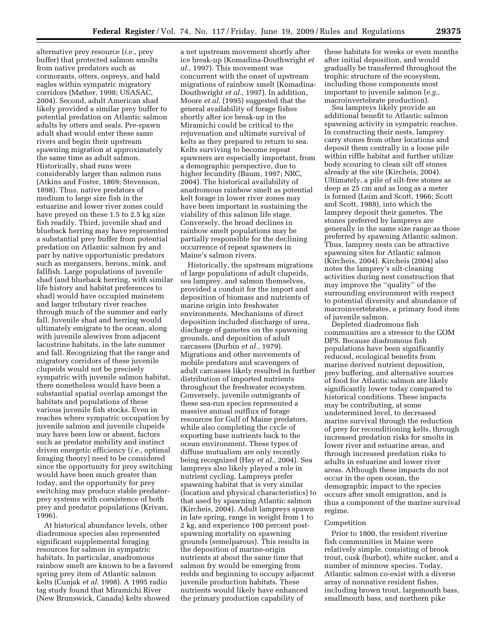alternative prey resource (*i.e.*, prey buffer) that protected salmon smolts from native predators such as cormorants, otters, ospreys, and bald eagles within sympatric migratory corridors (Mather, 1998; USASAC, 2004). Second, adult American shad likely provided a similar prey buffer to potential predation on Atlantic salmon adults by otters and seals. Pre-spawn adult shad would enter these same rivers and begin their upstream spawning migration at approximately the same time as adult salmon. Historically, shad runs were considerably larger than salmon runs (Atkins and Foster, 1869; Stevenson, 1898). Thus, native predators of medium to large size fish in the estuarine and lower river zones could have preyed on these 1.5 to 2.5 kg size fish readily. Third, juvenile shad and blueback herring may have represented a substantial prey buffer from potential predation on Atlantic salmon fry and parr by native opportunistic predators such as mergansers, herons, mink, and fallfish. Large populations of juvenile shad (and blueback herring, with similar life history and habitat preferences to shad) would have occupied mainstem and larger tributary river reaches through much of the summer and early fall. Juvenile shad and herring would ultimately emigrate to the ocean, along with juvenile alewives from adjacent lacustrine habitats, in the late summer and fall. Recognizing that the range and migratory corridors of these juvenile clupeids would not be precisely sympatric with juvenile salmon habitat, there nonetheless would have been a substantial spatial overlap amongst the habitats and populations of these various juvenile fish stocks. Even in reaches where sympatric occupation by juvenile salmon and juvenile clupeids may have been low or absent, factors such as predator mobility and instinct driven energetic efficiency (*i.e.*, optimal foraging theory) need to be considered since the opportunity for prey switching would have been much greater than today, and the opportunity for prey switching may produce stable predatorprey systems with coexistence of both prey and predator populations (Krivan, 1996).

At historical abundance levels, other diadromous species also represented significant supplemental foraging resources for salmon in sympatric habitats. In particular, anadromous rainbow smelt are known to be a favored spring prey item of Atlantic salmon kelts (Cunjak *et al.* 1998). A 1995 radio tag study found that Miramichi River (New Brunswick, Canada) kelts showed

a net upstream movement shortly after ice break-up (Komadina-Douthwright *et al.*, 1997). This movement was concurrent with the onset of upstream migrations of rainbow smelt (Komadina-Douthwright *et al.*, 1997). In addition, Moore *et al.* (1995) suggested that the general availability of forage fishes shortly after ice break-up in the Miramichi could be critical to the rejuvenation and ultimate survival of kelts as they prepared to return to sea. Kelts surviving to become repeat spawners are especially important, from a demographic perspective, due to higher fecundity (Baum, 1997; NRC, 2004). The historical availability of anadromous rainbow smelt as potential kelt forage in lower river zones may have been important in sustaining the viability of this salmon life stage. Conversely, the broad declines in rainbow smelt populations may be partially responsible for the declining occurrence of repeat spawners in Maine's salmon rivers.

Historically, the upstream migrations of large populations of adult clupeids, sea lamprey, and salmon themselves, provided a conduit for the import and deposition of biomass and nutrients of marine origin into freshwater environments. Mechanisms of direct deposition included discharge of urea, discharge of gametes on the spawning grounds, and deposition of adult carcasses (Durbin *et al.*, 1979). Migrations and other movements of mobile predators and scavengers of adult carcasses likely resulted in further distribution of imported nutrients throughout the freshwater ecosystem. Conversely, juvenile outmigrants of these sea-run species represented a massive annual outflux of forage resources for Gulf of Maine predators, while also completing the cycle of exporting base nutrients back to the ocean environment. These types of diffuse mutualism are only recently being recognized (Hay *et al.*, 2004). Sea lampreys also likely played a role in nutrient cycling. Lampreys prefer spawning habitat that is very similar (location and physical characteristics) to that used by spawning Atlantic salmon (Kircheis, 2004). Adult lampreys spawn in late spring, range in weight from 1 to 2 kg, and experience 100 percent postspawning mortality on spawning grounds (semelparous). This results in the deposition of marine-origin nutrients at about the same time that salmon fry would be emerging from redds and beginning to occupy adjacent juvenile production habitats. These nutrients would likely have enhanced the primary production capability of

these habitats for weeks or even months after initial deposition, and would gradually be transferred throughout the trophic structure of the ecosystem, including those components most important to juvenile salmon (*e.g.*, macroinvertebrate production).

Sea lampreys likely provide an additional benefit to Atlantic salmon spawning activity in sympatric reaches. In constructing their nests, lamprey carry stones from other locations and deposit them centrally in a loose pile within riffle habitat and further utilize body scouring to clean silt off stones already at the site (Kircheis, 2004). Ultimately, a pile of silt-free stones as deep as 25 cm and as long as a meter is formed (Leim and Scott, 1966; Scott and Scott, 1988), into which the lamprey deposit their gametes. The stones preferred by lampreys are generally in the same size range as those preferred by spawning Atlantic salmon. Thus, lamprey nests can be attractive spawning sites for Atlantic salmon (Kircheis, 2004). Kircheis (2004) also notes the lamprey's silt-cleaning activities during nest construction that may improve the ''quality'' of the surrounding environment with respect to potential diversity and abundance of macroinvertebrates, a primary food item of juvenile salmon.

Depleted diadromous fish communities are a stressor to the GOM DPS. Because diadromous fish populations have been significantly reduced, ecological benefits from marine derived nutrient deposition, prey buffering, and alternative sources of food for Atlantic salmon are likely significantly lower today compared to historical conditions. These impacts may be contributing, at some undetermined level, to decreased marine survival through the reduction of prey for reconditioning kelts, through increased predation risks for smolts in lower river and estuarine areas, and through increased predation risks to adults in estuarine and lower river areas. Although these impacts do not occur in the open ocean, the demographic impact to the species occurs after smolt emigration, and is thus a component of the marine survival regime.

#### Competition

Prior to 1800, the resident riverine fish communities in Maine were relatively simple, consisting of brook trout, cusk (burbot), white sucker, and a number of minnow species. Today, Atlantic salmon co-exist with a diverse array of nonnative resident fishes, including brown trout, largemouth bass, smallmouth bass, and northern pike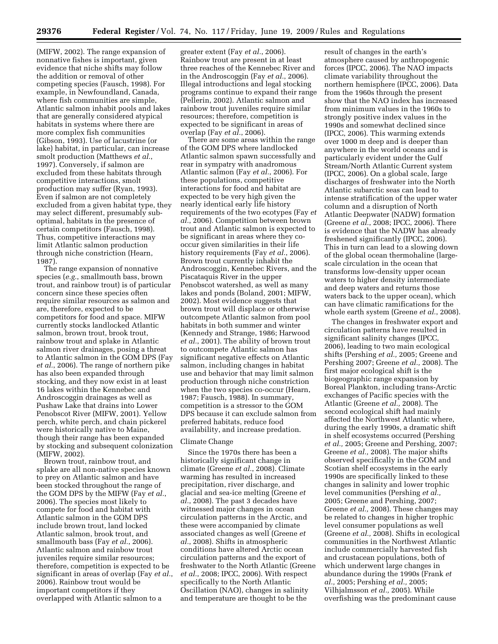(MIFW, 2002). The range expansion of nonnative fishes is important, given evidence that niche shifts may follow the addition or removal of other competing species (Fausch, 1998). For example, in Newfoundland, Canada, where fish communities are simple, Atlantic salmon inhabit pools and lakes that are generally considered atypical habitats in systems where there are more complex fish communities (Gibson, 1993). Use of lacustrine (or lake) habitat, in particular, can increase smolt production (Matthews *et al.*, 1997). Conversely, if salmon are excluded from these habitats through competitive interactions, smolt production may suffer (Ryan, 1993). Even if salmon are not completely excluded from a given habitat type, they may select different, presumably suboptimal, habitats in the presence of certain competitors (Fausch, 1998). Thus, competitive interactions may limit Atlantic salmon production through niche constriction (Hearn, 1987).

The range expansion of nonnative species (*e.g.*, smallmouth bass, brown trout, and rainbow trout) is of particular concern since these species often require similar resources as salmon and are, therefore, expected to be competitors for food and space. MIFW currently stocks landlocked Atlantic salmon, brown trout, brook trout, rainbow trout and splake in Atlantic salmon river drainages, posing a threat to Atlantic salmon in the GOM DPS (Fay *et al.*, 2006). The range of northern pike has also been expanded through stocking, and they now exist in at least 16 lakes within the Kennebec and Androscoggin drainages as well as Pushaw Lake that drains into Lower Penobscot River (MIFW, 2001). Yellow perch, white perch, and chain pickerel were historically native to Maine, though their range has been expanded by stocking and subsequent colonization (MIFW, 2002).

Brown trout, rainbow trout, and splake are all non-native species known to prey on Atlantic salmon and have been stocked throughout the range of the GOM DPS by the MIFW (Fay *et al.*, 2006). The species most likely to compete for food and habitat with Atlantic salmon in the GOM DPS include brown trout, land locked Atlantic salmon, brook trout, and smallmouth bass (Fay *et al.*, 2006). Atlantic salmon and rainbow trout juveniles require similar resources; therefore, competition is expected to be significant in areas of overlap (Fay *et al.*, 2006). Rainbow trout would be important competitors if they overlapped with Atlantic salmon to a

greater extent (Fay *et al.*, 2006). Rainbow trout are present in at least three reaches of the Kennebec River and in the Androscoggin (Fay *et al.*, 2006). Illegal introductions and legal stocking programs continue to expand their range (Pellerin, 2002). Atlantic salmon and rainbow trout juveniles require similar resources; therefore, competition is expected to be significant in areas of overlap (Fay *et al.*, 2006).

There are some areas within the range of the GOM DPS where landlocked Atlantic salmon spawn successfully and rear in sympatry with anadromous Atlantic salmon (Fay *et al.*, 2006). For these populations, competitive interactions for food and habitat are expected to be very high given the nearly identical early life history requirements of the two ecotypes (Fay *et al.*, 2006). Competition between brown trout and Atlantic salmon is expected to be significant in areas where they cooccur given similarities in their life history requirements (Fay *et al.*, 2006). Brown trout currently inhabit the Androscoggin, Kennebec Rivers, and the Piscataquis River in the upper Penobscot watershed, as well as many lakes and ponds (Boland, 2001; MIFW, 2002). Most evidence suggests that brown trout will displace or otherwise outcompete Atlantic salmon from pool habitats in both summer and winter (Kennedy and Strange, 1986; Harwood *et al.*, 2001). The ability of brown trout to outcompete Atlantic salmon has significant negative effects on Atlantic salmon, including changes in habitat use and behavior that may limit salmon production through niche constriction when the two species co-occur (Hearn, 1987; Fausch, 1988). In summary, competition is a stressor to the GOM DPS because it can exclude salmon from preferred habitats, reduce food availability, and increase predation.

# Climate Change

Since the 1970s there has been a historically significant change in climate (Greene *et al.*, 2008). Climate warming has resulted in increased precipitation, river discharge, and glacial and sea-ice melting (Greene *et al.*, 2008). The past 3 decades have witnessed major changes in ocean circulation patterns in the Arctic, and these were accompanied by climate associated changes as well (Greene *et al.*, 2008). Shifts in atmospheric conditions have altered Arctic ocean circulation patterns and the export of freshwater to the North Atlantic (Greene *et al.*, 2008; IPCC, 2006). With respect specifically to the North Atlantic Oscillation (NAO), changes in salinity and temperature are thought to be the

result of changes in the earth's atmosphere caused by anthropogenic forces (IPCC, 2006). The NAO impacts climate variability throughout the northern hemisphere (IPCC, 2006). Data from the 1960s through the present show that the NAO index has increased from minimum values in the 1960s to strongly positive index values in the 1990s and somewhat declined since (IPCC, 2006). This warming extends over 1000 m deep and is deeper than anywhere in the world oceans and is particularly evident under the Gulf Stream/North Atlantic Current system (IPCC, 2006). On a global scale, large discharges of freshwater into the North Atlantic subarctic seas can lead to intense stratification of the upper water column and a disruption of North Atlantic Deepwater (NADW) formation (Greene *et al.*, 2008; IPCC, 2006). There is evidence that the NADW has already freshened significantly (IPCC, 2006). This in turn can lead to a slowing down of the global ocean thermohaline (largescale circulation in the ocean that transforms low-density upper ocean waters to higher density intermediate and deep waters and returns those waters back to the upper ocean), which can have climatic ramifications for the whole earth system (Greene *et al.*, 2008).

The changes in freshwater export and circulation patterns have resulted in significant salinity changes (IPCC, 2006), leading to two main ecological shifts (Pershing *et al.,* 2005; Greene and Pershing 2007; Greene *et al.,* 2008). The first major ecological shift is the biogeographic range expansion by Boreal Plankton, including trans-Arctic exchanges of Pacific species with the Atlantic (Greene *et al.,* 2008). The second ecological shift had mainly affected the Northwest Atlantic where, during the early 1990s, a dramatic shift in shelf ecosystems occurred (Pershing *et al.,* 2005; Greene and Pershing, 2007; Greene *et al.,* 2008). The major shifts observed specifically in the GOM and Scotian shelf ecosystems in the early 1990s are specifically linked to these changes in salinity and lower trophic level communities (Pershing *et al.,*  2005; Greene and Pershing, 2007; Greene *et al.,* 2008). These changes may be related to changes in higher trophic level consumer populations as well (Greene *et al.,* 2008). Shifts in ecological communities in the Northwest Atlantic include commercially harvested fish and crustacean populations, both of which underwent large changes in abundance during the 1990s (Frank *et al.,* 2005; Pershing *et al.,* 2005; Vilhjalmsson *et al.,* 2005). While overfishing was the predominant cause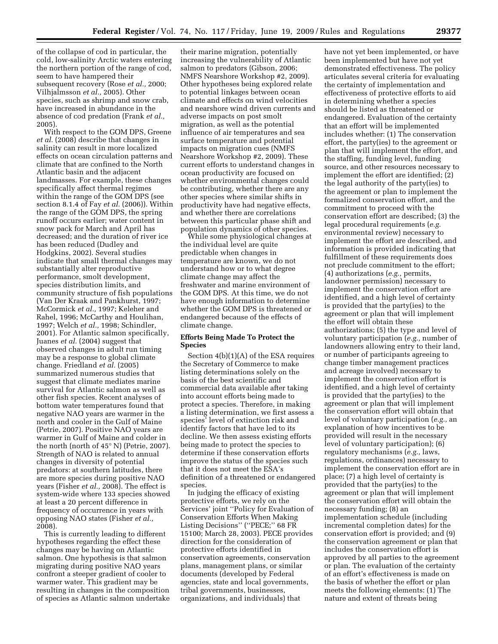of the collapse of cod in particular, the cold, low-salinity Arctic waters entering the northern portion of the range of cod, seem to have hampered their subsequent recovery (Rose *et al.,* 2000; Vilhjalmsson *et al.,* 2005). Other species, such as shrimp and snow crab, have increased in abundance in the absence of cod predation (Frank *et al.,*  2005).

With respect to the GOM DPS, Greene *et al.* (2008) describe that changes in salinity can result in more localized effects on ocean circulation patterns and climate that are confined to the North Atlantic basin and the adjacent landmasses. For example, these changes specifically affect thermal regimes within the range of the GOM DPS (see section 8.1.4 of Fay *et al.* (2006)). Within the range of the GOM DPS, the spring runoff occurs earlier; water content in snow pack for March and April has decreased; and the duration of river ice has been reduced (Dudley and Hodgkins, 2002). Several studies indicate that small thermal changes may substantially alter reproductive performance, smolt development, species distribution limits, and community structure of fish populations (Van Der Kraak and Pankhurst, 1997; McCormick *et al.,* 1997; Keleher and Rahel, 1996; McCarthy and Houlihan, 1997; Welch *et al.,* 1998; Schindler, 2001). For Atlantic salmon specifically, Juanes *et al.* (2004) suggest that observed changes in adult run timing may be a response to global climate change. Friedland *et al.* (2005) summarized numerous studies that suggest that climate mediates marine survival for Atlantic salmon as well as other fish species. Recent analyses of bottom water temperatures found that negative NAO years are warmer in the north and cooler in the Gulf of Maine (Petrie, 2007). Positive NAO years are warmer in Gulf of Maine and colder in the north (north of 45° N) (Petrie, 2007). Strength of NAO is related to annual changes in diversity of potential predators: at southern latitudes, there are more species during positive NAO years (Fisher *et al.,* 2008). The effect is system-wide where 133 species showed at least a 20 percent difference in frequency of occurrence in years with opposing NAO states (Fisher *et al.,*  2008).

This is currently leading to different hypotheses regarding the effect these changes may be having on Atlantic salmon. One hypothesis is that salmon migrating during positive NAO years confront a steeper gradient of cooler to warmer water. This gradient may be resulting in changes in the composition of species as Atlantic salmon undertake

their marine migration, potentially increasing the vulnerability of Atlantic salmon to predators (Gibson, 2006; NMFS Nearshore Workshop #2, 2009). Other hypotheses being explored relate to potential linkages between ocean climate and effects on wind velocities and nearshore wind driven currents and adverse impacts on post smolt migration, as well as the potential influence of air temperatures and sea surface temperature and potential impacts on migration cues (NMFS Nearshore Workshop #2, 2009). These current efforts to understand changes in ocean productivity are focused on whether environmental changes could be contributing, whether there are any other species where similar shifts in productivity have had negative effects, and whether there are correlations between this particular phase shift and population dynamics of other species.

While some physiological changes at the individual level are quite predictable when changes in temperature are known, we do not understand how or to what degree climate change may affect the freshwater and marine environment of the GOM DPS. At this time, we do not have enough information to determine whether the GOM DPS is threatened or endangered because of the effects of climate change.

# **Efforts Being Made To Protect the Species**

Section 4(b)(1)(A) of the ESA requires the Secretary of Commerce to make listing determinations solely on the basis of the best scientific and commercial data available after taking into account efforts being made to protect a species. Therefore, in making a listing determination, we first assess a species' level of extinction risk and identify factors that have led to its decline. We then assess existing efforts being made to protect the species to determine if these conservation efforts improve the status of the species such that it does not meet the ESA's definition of a threatened or endangered species.

In judging the efficacy of existing protective efforts, we rely on the Services' joint ''Policy for Evaluation of Conservation Efforts When Making Listing Decisions'' (''PECE;'' 68 FR 15100; March 28, 2003). PECE provides direction for the consideration of protective efforts identified in conservation agreements, conservation plans, management plans, or similar documents (developed by Federal agencies, state and local governments, tribal governments, businesses, organizations, and individuals) that

have not yet been implemented, or have been implemented but have not yet demonstrated effectiveness. The policy articulates several criteria for evaluating the certainty of implementation and effectiveness of protective efforts to aid in determining whether a species should be listed as threatened or endangered. Evaluation of the certainty that an effort will be implemented includes whether: (1) The conservation effort, the party(ies) to the agreement or plan that will implement the effort, and the staffing, funding level, funding source, and other resources necessary to implement the effort are identified; (2) the legal authority of the party(ies) to the agreement or plan to implement the formalized conservation effort, and the commitment to proceed with the conservation effort are described; (3) the legal procedural requirements (*e.g.*  environmental review) necessary to implement the effort are described, and information is provided indicating that fulfillment of these requirements does not preclude commitment to the effort; (4) authorizations (*e.g.,* permits, landowner permission) necessary to implement the conservation effort are identified, and a high level of certainty is provided that the party(ies) to the agreement or plan that will implement the effort will obtain these authorizations; (5) the type and level of voluntary participation (*e.g.,* number of landowners allowing entry to their land, or number of participants agreeing to change timber management practices and acreage involved) necessary to implement the conservation effort is identified, and a high level of certainty is provided that the party(ies) to the agreement or plan that will implement the conservation effort will obtain that level of voluntary participation (*e.g.,* an explanation of how incentives to be provided will result in the necessary level of voluntary participation); (6) regulatory mechanisms (*e.g.,* laws, regulations, ordinances) necessary to implement the conservation effort are in place; (7) a high level of certainty is provided that the party(ies) to the agreement or plan that will implement the conservation effort will obtain the necessary funding; (8) an implementation schedule (including incremental completion dates) for the conservation effort is provided; and (9) the conservation agreement or plan that includes the conservation effort is approved by all parties to the agreement or plan. The evaluation of the certainty of an effort's effectiveness is made on the basis of whether the effort or plan meets the following elements: (1) The nature and extent of threats being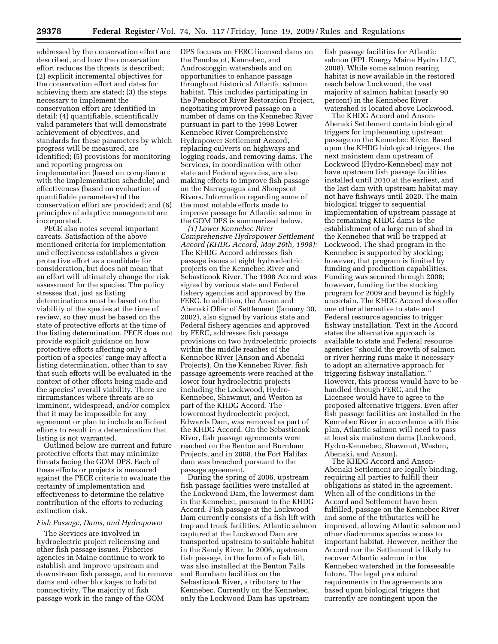addressed by the conservation effort are described, and how the conservation effort reduces the threats is described; (2) explicit incremental objectives for the conservation effort and dates for achieving them are stated; (3) the steps necessary to implement the conservation effort are identified in detail; (4) quantifiable, scientifically valid parameters that will demonstrate achievement of objectives, and standards for these parameters by which progress will be measured, are identified; (5) provisions for monitoring and reporting progress on implementation (based on compliance with the implementation schedule) and effectiveness (based on evaluation of quantifiable parameters) of the conservation effort are provided; and (6) principles of adaptive management are incorporated.

PECE also notes several important caveats. Satisfaction of the above mentioned criteria for implementation and effectiveness establishes a given protective effort as a candidate for consideration, but does not mean that an effort will ultimately change the risk assessment for the species. The policy stresses that, just as listing determinations must be based on the viability of the species at the time of review, so they must be based on the state of protective efforts at the time of the listing determination. PECE does not provide explicit guidance on how protective efforts affecting only a portion of a species' range may affect a listing determination, other than to say that such efforts will be evaluated in the context of other efforts being made and the species' overall viability. There are circumstances where threats are so imminent, widespread, and/or complex that it may be impossible for any agreement or plan to include sufficient efforts to result in a determination that listing is not warranted.

Outlined below are current and future protective efforts that may minimize threats facing the GOM DPS. Each of these efforts or projects is measured against the PECE criteria to evaluate the certainty of implementation and effectiveness to determine the relative contribution of the efforts to reducing extinction risk.

#### *Fish Passage, Dams, and Hydropower*

The Services are involved in hydroelectric project relicensing and other fish passage issues. Fisheries agencies in Maine continue to work to establish and improve upstream and downstream fish passage, and to remove dams and other blockages to habitat connectivity. The majority of fish passage work in the range of the GOM

DPS focuses on FERC licensed dams on the Penobscot, Kennebec, and Androscoggin watersheds and on opportunities to enhance passage throughout historical Atlantic salmon habitat. This includes participating in the Penobscot River Restoration Project, negotiating improved passage on a number of dams on the Kennebec River pursuant in part to the 1998 Lower Kennebec River Comprehensive Hydropower Settlement Accord, replacing culverts on highways and logging roads, and removing dams. The Services, in coordination with other state and Federal agencies, are also making efforts to improve fish passage on the Narraguagus and Sheepscot Rivers. Information regarding some of the most notable efforts made to improve passage for Atlantic salmon in the GOM DPS is summarized below.

*(1) Lower Kennebec River Comprehensive Hydropower Settlement Accord (KHDG Accord, May 26th, 1998):*  The KHDG Accord addresses fish passage issues at eight hydroelectric projects on the Kennebec River and Sebasticook River. The 1998 Accord was signed by various state and Federal fishery agencies and approved by the FERC. In addition, the Anson and Abenaki Offer of Settlement (January 30, 2002), also signed by various state and Federal fishery agencies and approved by FERC, addresses fish passage provisions on two hydroelectric projects within the middle reaches of the Kennebec River (Anson and Abenaki Projects). On the Kennebec River, fish passage agreements were reached at the lower four hydroelectric projects including the Lockwood, Hydro-Kennebec, Shawmut, and Weston as part of the KHDG Accord. The lowermost hydroelectric project, Edwards Dam, was removed as part of the KHDG Accord. On the Sebasticook River, fish passage agreements were reached on the Benton and Burnham Projects, and in 2008, the Fort Halifax dam was breached pursuant to the passage agreement.

During the spring of 2006, upstream fish passage facilities were installed at the Lockwood Dam, the lowermost dam in the Kennebec, pursuant to the KHDG Accord. Fish passage at the Lockwood Dam currently consists of a fish lift with trap and truck facilities. Atlantic salmon captured at the Lockwood Dam are transported upstream to suitable habitat in the Sandy River. In 2006, upstream fish passage, in the form of a fish lift, was also installed at the Benton Falls and Burnham facilities on the Sebasticook River, a tributary to the Kennebec. Currently on the Kennebec, only the Lockwood Dam has upstream

fish passage facilities for Atlantic salmon (FPL Energy Maine Hydro LLC, 2008). While some salmon rearing habitat is now available in the restored reach below Lockwood, the vast majority of salmon habitat (nearly 90 percent) in the Kennebec River watershed is located above Lockwood.

The KHDG Accord and Anson-Abenaki Settlement contain biological triggers for implementing upstream passage on the Kennebec River. Based upon the KHDG biological triggers, the next mainstem dam upstream of Lockwood (Hydro-Kennebec) may not have upstream fish passage facilities installed until 2010 at the earliest, and the last dam with upstream habitat may not have fishways until 2020. The main biological trigger to sequential implementation of upstream passage at the remaining KHDG dams is the establishment of a large run of shad in the Kennebec that will be trapped at Lockwood. The shad program in the Kennebec is supported by stocking; however, that program is limited by funding and production capabilities. Funding was secured through 2008; however, funding for the stocking program for 2009 and beyond is highly uncertain. The KHDG Accord does offer one other alternative to state and Federal resource agencies to trigger fishway installation. Text in the Accord states the alternative approach is available to state and Federal resource agencies ''should the growth of salmon or river herring runs make it necessary to adopt an alternative approach for triggering fishway installation.'' However, this process would have to be handled through FERC, and the Licensee would have to agree to the proposed alternative triggers. Even after fish passage facilities are installed in the Kennebec River in accordance with this plan, Atlantic salmon will need to pass at least six mainstem dams (Lockwood, Hydro-Kennebec, Shawmut, Weston, Abenaki, and Anson).

The KHDG Accord and Anson-Abenaki Settlement are legally binding, requiring all parties to fulfill their obligations as stated in the agreement. When all of the conditions in the Accord and Settlement have been fulfilled, passage on the Kennebec River and some of the tributaries will be improved, allowing Atlantic salmon and other diadromous species access to important habitat. However, neither the Accord nor the Settlement is likely to recover Atlantic salmon in the Kennebec watershed in the foreseeable future. The legal procedural requirements in the agreements are based upon biological triggers that currently are contingent upon the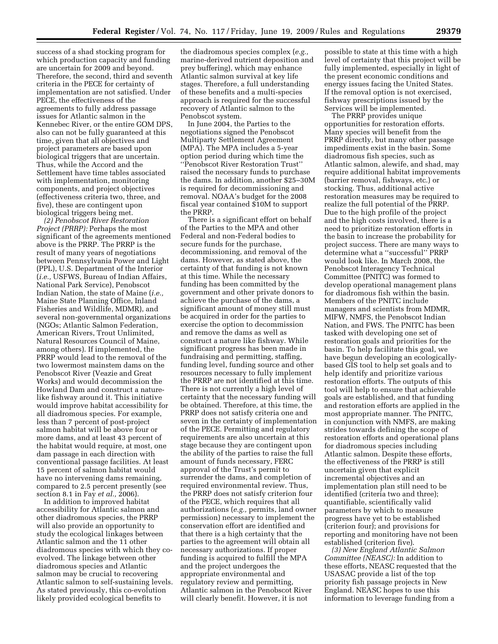success of a shad stocking program for which production capacity and funding are uncertain for 2009 and beyond. Therefore, the second, third and seventh criteria in the PECE for certainty of implementation are not satisfied. Under PECE, the effectiveness of the agreements to fully address passage issues for Atlantic salmon in the Kennebec River, or the entire GOM DPS, also can not be fully guaranteed at this time, given that all objectives and project parameters are based upon biological triggers that are uncertain. Thus, while the Accord and the Settlement have time tables associated with implementation, monitoring components, and project objectives (effectiveness criteria two, three, and five), these are contingent upon biological triggers being met.

*(2) Penobscot River Restoration Project (PRRP):* Perhaps the most significant of the agreements mentioned above is the PRRP. The PRRP is the result of many years of negotiations between Pennsylvania Power and Light (PPL), U.S. Department of the Interior (*i.e.,* USFWS, Bureau of Indian Affairs, National Park Service), Penobscot Indian Nation, the state of Maine (*i.e.,*  Maine State Planning Office, Inland Fisheries and Wildlife, MDMR), and several non-governmental organizations (NGOs; Atlantic Salmon Federation, American Rivers, Trout Unlimited, Natural Resources Council of Maine, among others). If implemented, the PRRP would lead to the removal of the two lowermost mainstem dams on the Penobscot River (Veazie and Great Works) and would decommission the Howland Dam and construct a naturelike fishway around it. This initiative would improve habitat accessibility for all diadromous species. For example, less than 7 percent of post-project salmon habitat will be above four or more dams, and at least 43 percent of the habitat would require, at most, one dam passage in each direction with conventional passage facilities. At least 15 percent of salmon habitat would have no intervening dams remaining, compared to 2.5 percent presently (see section 8.1 in Fay *et al.,* 2006).

In addition to improved habitat accessibility for Atlantic salmon and other diadromous species, the PRRP will also provide an opportunity to study the ecological linkages between Atlantic salmon and the 11 other diadromous species with which they coevolved. The linkage between other diadromous species and Atlantic salmon may be crucial to recovering Atlantic salmon to self-sustaining levels. As stated previously, this co-evolution likely provided ecological benefits to

the diadromous species complex (*e.g.,*  marine-derived nutrient deposition and prey buffering), which may enhance Atlantic salmon survival at key life stages. Therefore, a full understanding of these benefits and a multi-species approach is required for the successful recovery of Atlantic salmon to the Penobscot system.

In June 2004, the Parties to the negotiations signed the Penobscot Multiparty Settlement Agreement (MPA). The MPA includes a 5-year option period during which time the ''Penobscot River Restoration Trust'' raised the necessary funds to purchase the dams. In addition, another \$25–30M is required for decommissioning and removal. NOAA's budget for the 2008 fiscal year contained \$10M to support the PRRP.

There is a significant effort on behalf of the Parties to the MPA and other Federal and non-Federal bodies to secure funds for the purchase, decommissioning, and removal of the dams. However, as stated above, the certainty of that funding is not known at this time. While the necessary funding has been committed by the government and other private donors to achieve the purchase of the dams, a significant amount of money still must be acquired in order for the parties to exercise the option to decommission and remove the dams as well as construct a nature like fishway. While significant progress has been made in fundraising and permitting, staffing, funding level, funding source and other resources necessary to fully implement the PRRP are not identified at this time. There is not currently a high level of certainty that the necessary funding will be obtained. Therefore, at this time, the PRRP does not satisfy criteria one and seven in the certainty of implementation of the PECE. Permitting and regulatory requirements are also uncertain at this stage because they are contingent upon the ability of the parties to raise the full amount of funds necessary, FERC approval of the Trust's permit to surrender the dams, and completion of required environmental review. Thus, the PRRP does not satisfy criterion four of the PECE, which requires that all authorizations (*e.g.,* permits, land owner permission) necessary to implement the conservation effort are identified and that there is a high certainty that the parties to the agreement will obtain all necessary authorizations. If proper funding is acquired to fulfill the MPA and the project undergoes the appropriate environmental and regulatory review and permitting, Atlantic salmon in the Penobscot River will clearly benefit. However, it is not

possible to state at this time with a high level of certainty that this project will be fully implemented, especially in light of the present economic conditions and energy issues facing the United States. If the removal option is not exercised, fishway prescriptions issued by the Services will be implemented.

The PRRP provides unique opportunities for restoration efforts. Many species will benefit from the PRRP directly, but many other passage impediments exist in the basin. Some diadromous fish species, such as Atlantic salmon, alewife, and shad, may require additional habitat improvements (barrier removal, fishways, etc.) or stocking. Thus, additional active restoration measures may be required to realize the full potential of the PRRP. Due to the high profile of the project and the high costs involved, there is a need to prioritize restoration efforts in the basin to increase the probability for project success. There are many ways to determine what a ''successful'' PRRP would look like. In March 2008, the Penobscot Interagency Technical Committee (PNITC) was formed to develop operational management plans for diadromous fish within the basin. Members of the PNITC include managers and scientists from MDMR, MIFW, NMFS, the Penobscot Indian Nation, and FWS. The PNITC has been tasked with developing one set of restoration goals and priorities for the basin. To help facilitate this goal, we have begun developing an ecologicallybased GIS tool to help set goals and to help identify and prioritize various restoration efforts. The outputs of this tool will help to ensure that achievable goals are established, and that funding and restoration efforts are applied in the most appropriate manner. The PNITC, in conjunction with NMFS, are making strides towards defining the scope of restoration efforts and operational plans for diadromous species including Atlantic salmon. Despite these efforts, the effectiveness of the PRRP is still uncertain given that explicit incremental objectives and an implementation plan still need to be identified (criteria two and three); quantifiable, scientifically valid parameters by which to measure progress have yet to be established (criterion four); and provisions for reporting and monitoring have not been established (criterion five).

*(3) New England Atlantic Salmon Committee (NEASC):* In addition to these efforts, NEASC requested that the USASAC provide a list of the top priority fish passage projects in New England. NEASC hopes to use this information to leverage funding from a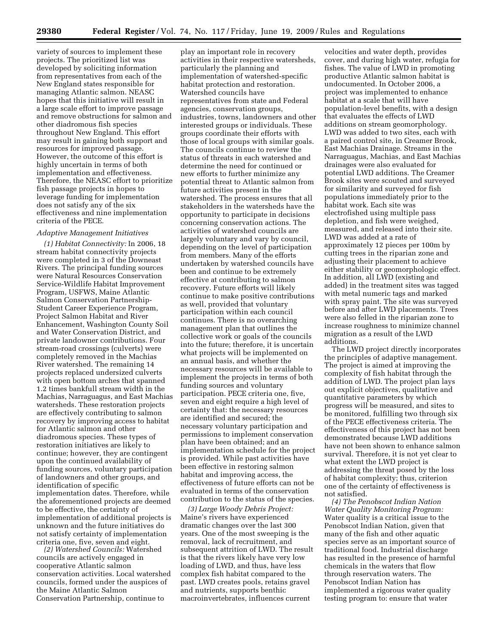variety of sources to implement these projects. The prioritized list was developed by soliciting information from representatives from each of the New England states responsible for managing Atlantic salmon. NEASC hopes that this initiative will result in a large scale effort to improve passage and remove obstructions for salmon and other diadromous fish species throughout New England. This effort may result in gaining both support and resources for improved passage. However, the outcome of this effort is highly uncertain in terms of both implementation and effectiveness. Therefore, the NEASC effort to prioritize fish passage projects in hopes to leverage funding for implementation does not satisfy any of the six effectiveness and nine implementation criteria of the PECE.

#### *Adaptive Management Initiatives*

*(1) Habitat Connectivity:* In 2006, 18 stream habitat connectivity projects were completed in 3 of the Downeast Rivers. The principal funding sources were Natural Resources Conservation Service-Wildlife Habitat Improvement Program, USFWS, Maine Atlantic Salmon Conservation Partnership-Student Career Experience Program, Project Salmon Habitat and River Enhancement, Washington County Soil and Water Conservation District, and private landowner contributions. Four stream-road crossings (culverts) were completely removed in the Machias River watershed. The remaining 14 projects replaced undersized culverts with open bottom arches that spanned 1.2 times bankfull stream width in the Machias, Narraguagus, and East Machias watersheds. These restoration projects are effectively contributing to salmon recovery by improving access to habitat for Atlantic salmon and other diadromous species. These types of restoration initiatives are likely to continue; however, they are contingent upon the continued availability of funding sources, voluntary participation of landowners and other groups, and identification of specific implementation dates. Therefore, while the aforementioned projects are deemed to be effective, the certainty of implementation of additional projects is unknown and the future initiatives do not satisfy certainty of implementation criteria one, five, seven and eight.

*(2) Watershed Councils:* Watershed councils are actively engaged in cooperative Atlantic salmon conservation activities. Local watershed councils, formed under the auspices of the Maine Atlantic Salmon Conservation Partnership, continue to

play an important role in recovery activities in their respective watersheds, particularly the planning and implementation of watershed-specific habitat protection and restoration. Watershed councils have representatives from state and Federal agencies, conservation groups, industries, towns, landowners and other interested groups or individuals. These groups coordinate their efforts with those of local groups with similar goals. The councils continue to review the status of threats in each watershed and determine the need for continued or new efforts to further minimize any potential threat to Atlantic salmon from future activities present in the watershed. The process ensures that all stakeholders in the watersheds have the opportunity to participate in decisions concerning conservation actions. The activities of watershed councils are largely voluntary and vary by council, depending on the level of participation from members. Many of the efforts undertaken by watershed councils have been and continue to be extremely effective at contributing to salmon recovery. Future efforts will likely continue to make positive contributions as well, provided that voluntary participation within each council continues. There is no overarching management plan that outlines the collective work or goals of the councils into the future; therefore, it is uncertain what projects will be implemented on an annual basis, and whether the necessary resources will be available to implement the projects in terms of both funding sources and voluntary participation. PECE criteria one, five, seven and eight require a high level of certainty that: the necessary resources are identified and secured; the necessary voluntary participation and permissions to implement conservation plan have been obtained; and an implementation schedule for the project is provided. While past activities have been effective in restoring salmon habitat and improving access, the effectiveness of future efforts can not be evaluated in terms of the conservation contribution to the status of the species.

*(3) Large Woody Debris Project:*  Maine's rivers have experienced dramatic changes over the last 300 years. One of the most sweeping is the removal, lack of recruitment, and subsequent attrition of LWD. The result is that the rivers likely have very low loading of LWD, and thus, have less complex fish habitat compared to the past. LWD creates pools, retains gravel and nutrients, supports benthic macroinvertebrates, influences current

velocities and water depth, provides cover, and during high water, refugia for fishes. The value of LWD in promoting productive Atlantic salmon habitat is undocumented. In October 2006, a project was implemented to enhance habitat at a scale that will have population-level benefits, with a design that evaluates the effects of LWD additions on stream geomorphology. LWD was added to two sites, each with a paired control site, in Creamer Brook, East Machias Drainage. Streams in the Narraguagus, Machias, and East Machias drainages were also evaluated for potential LWD additions. The Creamer Brook sites were scouted and surveyed for similarity and surveyed for fish populations immediately prior to the habitat work. Each site was electrofished using multiple pass depletion, and fish were weighed, measured, and released into their site. LWD was added at a rate of approximately 12 pieces per 100m by cutting trees in the riparian zone and adjusting their placement to achieve either stability or geomorphologic effect. In addition, all LWD (existing and added) in the treatment sites was tagged with metal numeric tags and marked with spray paint. The site was surveyed before and after LWD placements. Trees were also felled in the riparian zone to increase roughness to minimize channel migration as a result of the LWD additions.

The LWD project directly incorporates the principles of adaptive management. The project is aimed at improving the complexity of fish habitat through the addition of LWD. The project plan lays out explicit objectives, qualitative and quantitative parameters by which progress will be measured, and sites to be monitored, fulfilling two through six of the PECE effectiveness criteria. The effectiveness of this project has not been demonstrated because LWD additions have not been shown to enhance salmon survival. Therefore, it is not yet clear to what extent the LWD project is addressing the threat posed by the loss of habitat complexity; thus, criterion one of the certainty of effectiveness is not satisfied.

*(4) The Penobscot Indian Nation Water Quality Monitoring Program:*  Water quality is a critical issue to the Penobscot Indian Nation, given that many of the fish and other aquatic species serve as an important source of traditional food. Industrial discharge has resulted in the presence of harmful chemicals in the waters that flow through reservation waters. The Penobscot Indian Nation has implemented a rigorous water quality testing program to: ensure that water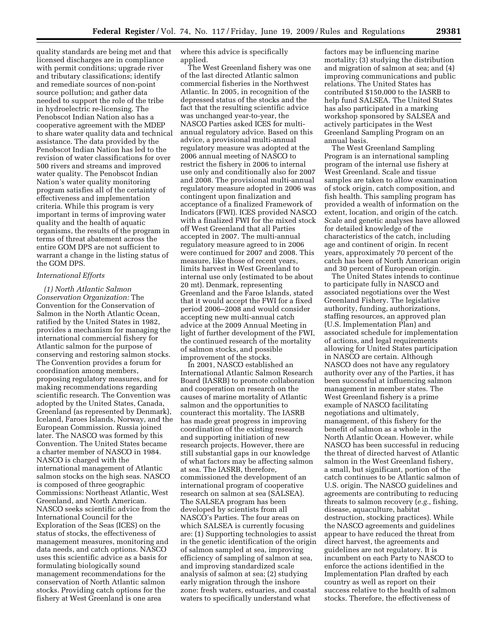quality standards are being met and that licensed discharges are in compliance with permit conditions; upgrade river and tributary classifications; identify and remediate sources of non-point source pollution; and gather data needed to support the role of the tribe in hydroelectric re-licensing. The Penobscot Indian Nation also has a cooperative agreement with the MDEP to share water quality data and technical assistance. The data provided by the Penobscot Indian Nation has led to the revision of water classifications for over 500 rivers and streams and improved water quality. The Penobscot Indian Nation's water quality monitoring program satisfies all of the certainty of effectiveness and implementation criteria. While this program is very important in terms of improving water quality and the health of aquatic organisms, the results of the program in terms of threat abatement across the entire GOM DPS are not sufficient to warrant a change in the listing status of the GOM DPS.

# *International Efforts*

*(1) North Atlantic Salmon Conservation Organization:* The Convention for the Conservation of Salmon in the North Atlantic Ocean, ratified by the United States in 1982, provides a mechanism for managing the international commercial fishery for Atlantic salmon for the purpose of conserving and restoring salmon stocks. The Convention provides a forum for coordination among members, proposing regulatory measures, and for making recommendations regarding scientific research. The Convention was adopted by the United States, Canada, Greenland (as represented by Denmark), Iceland, Faroes Islands, Norway, and the European Commission. Russia joined later. The NASCO was formed by this Convention. The United States became a charter member of NASCO in 1984. NASCO is charged with the international management of Atlantic salmon stocks on the high seas. NASCO is composed of three geographic Commissions: Northeast Atlantic, West Greenland, and North American. NASCO seeks scientific advice from the International Council for the Exploration of the Seas (ICES) on the status of stocks, the effectiveness of management measures, monitoring and data needs, and catch options. NASCO uses this scientific advice as a basis for formulating biologically sound management recommendations for the conservation of North Atlantic salmon stocks. Providing catch options for the fishery at West Greenland is one area

where this advice is specifically applied.

The West Greenland fishery was one of the last directed Atlantic salmon commercial fisheries in the Northwest Atlantic. In 2005, in recognition of the depressed status of the stocks and the fact that the resulting scientific advice was unchanged year-to-year, the NASCO Parties asked ICES for multiannual regulatory advice. Based on this advice, a provisional multi-annual regulatory measure was adopted at the 2006 annual meeting of NASCO to restrict the fishery in 2006 to internal use only and conditionally also for 2007 and 2008. The provisional multi-annual regulatory measure adopted in 2006 was contingent upon finalization and acceptance of a finalized Framework of Indicators (FWI). ICES provided NASCO with a finalized FWI for the mixed stock off West Greenland that all Parties accepted in 2007. The multi-annual regulatory measure agreed to in 2006 were continued for 2007 and 2008. This measure, like those of recent years, limits harvest in West Greenland to internal use only (estimated to be about 20 mt). Denmark, representing Greenland and the Faroe Islands, stated that it would accept the FWI for a fixed period 2006–2008 and would consider accepting new multi-annual catch advice at the 2009 Annual Meeting in light of further development of the FWI, the continued research of the mortality of salmon stocks, and possible improvement of the stocks.

In 2001, NASCO established an International Atlantic Salmon Research Board (IASRB) to promote collaboration and cooperation on research on the causes of marine mortality of Atlantic salmon and the opportunities to counteract this mortality. The IASRB has made great progress in improving coordination of the existing research and supporting initiation of new research projects. However, there are still substantial gaps in our knowledge of what factors may be affecting salmon at sea. The IASRB, therefore, commissioned the development of an international program of cooperative research on salmon at sea (SALSEA). The SALSEA program has been developed by scientists from all NASCO's Parties. The four areas on which SALSEA is currently focusing are: (1) Supporting technologies to assist in the genetic identification of the origin of salmon sampled at sea, improving efficiency of sampling of salmon at sea, and improving standardized scale analysis of salmon at sea; (2) studying early migration through the inshore zone: fresh waters, estuaries, and coastal waters to specifically understand what

factors may be influencing marine mortality; (3) studying the distribution and migration of salmon at sea; and (4) improving communications and public relations. The United States has contributed \$150,000 to the IASRB to help fund SALSEA. The United States has also participated in a marking workshop sponsored by SALSEA and actively participates in the West Greenland Sampling Program on an annual basis.

The West Greenland Sampling Program is an international sampling program of the internal use fishery at West Greenland. Scale and tissue samples are taken to allow examination of stock origin, catch composition, and fish health. This sampling program has provided a wealth of information on the extent, location, and origin of the catch. Scale and genetic analyses have allowed for detailed knowledge of the characteristics of the catch, including age and continent of origin. In recent years, approximately 70 percent of the catch has been of North American origin and 30 percent of European origin.

The United States intends to continue to participate fully in NASCO and associated negotiations over the West Greenland Fishery. The legislative authority, funding, authorizations, staffing resources, an approved plan (U.S. Implementation Plan) and associated schedule for implementation of actions, and legal requirements allowing for United States participation in NASCO are certain. Although NASCO does not have any regulatory authority over any of the Parties, it has been successful at influencing salmon management in member states. The West Greenland fishery is a prime example of NASCO facilitating negotiations and ultimately, management, of this fishery for the benefit of salmon as a whole in the North Atlantic Ocean. However, while NASCO has been successful in reducing the threat of directed harvest of Atlantic salmon in the West Greenland fishery, a small, but significant, portion of the catch continues to be Atlantic salmon of U.S. origin. The NASCO guidelines and agreements are contributing to reducing threats to salmon recovery (*e.g.*, fishing, disease, aquaculture, habitat destruction, stocking practices). While the NASCO agreements and guidelines appear to have reduced the threat from direct harvest, the agreements and guidelines are not regulatory. It is incumbent on each Party to NASCO to enforce the actions identified in the Implementation Plan drafted by each country as well as report on their success relative to the health of salmon stocks. Therefore, the effectiveness of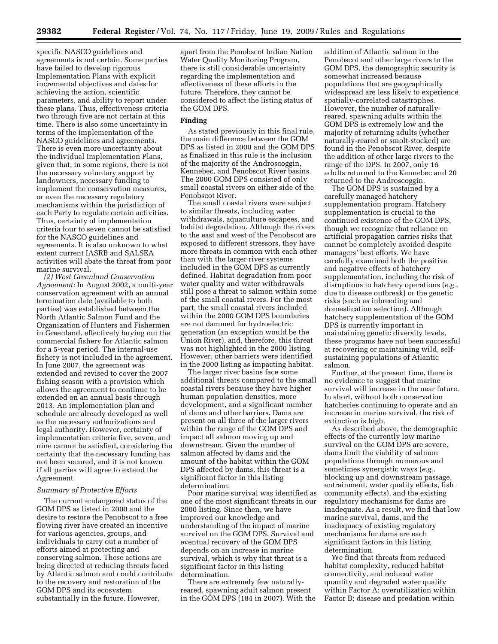specific NASCO guidelines and agreements is not certain. Some parties have failed to develop rigorous Implementation Plans with explicit incremental objectives and dates for achieving the action, scientific parameters, and ability to report under these plans. Thus, effectiveness criteria two through five are not certain at this time. There is also some uncertainty in terms of the implementation of the NASCO guidelines and agreements. There is even more uncertainty about the individual Implementation Plans, given that, in some regions, there is not the necessary voluntary support by landowners, necessary funding to implement the conservation measures, or even the necessary regulatory mechanisms within the jurisdiction of each Party to regulate certain activities. Thus, certainty of implementation criteria four to seven cannot be satisfied for the NASCO guidelines and agreements. It is also unknown to what extent current IASRB and SALSEA activities will abate the threat from poor marine survival.

*(2) West Greenland Conservation Agreement:* In August 2002, a multi-year conservation agreement with an annual termination date (available to both parties) was established between the North Atlantic Salmon Fund and the Organization of Hunters and Fishermen in Greenland, effectively buying out the commercial fishery for Atlantic salmon for a 5-year period. The internal-use fishery is not included in the agreement. In June 2007, the agreement was extended and revised to cover the 2007 fishing season with a provision which allows the agreement to continue to be extended on an annual basis through 2013. An implementation plan and schedule are already developed as well as the necessary authorizations and legal authority. However, certainty of implementation criteria five, seven, and nine cannot be satisfied, considering the certainty that the necessary funding has not been secured, and it is not known if all parties will agree to extend the Agreement.

# *Summary of Protective Efforts*

The current endangered status of the GOM DPS as listed in 2000 and the desire to restore the Penobscot to a free flowing river have created an incentive for various agencies, groups, and individuals to carry out a number of efforts aimed at protecting and conserving salmon. These actions are being directed at reducing threats faced by Atlantic salmon and could contribute to the recovery and restoration of the GOM DPS and its ecosystem substantially in the future. However,

apart from the Penobscot Indian Nation Water Quality Monitoring Program, there is still considerable uncertainty regarding the implementation and effectiveness of these efforts in the future. Therefore, they cannot be considered to affect the listing status of the GOM DPS.

# **Finding**

As stated previously in this final rule, the main difference between the GOM DPS as listed in 2000 and the GOM DPS as finalized in this rule is the inclusion of the majority of the Androscoggin, Kennebec, and Penobscot River basins. The 2000 GOM DPS consisted of only small coastal rivers on either side of the Penobscot River.

The small coastal rivers were subject to similar threats, including water withdrawals, aquaculture escapees, and habitat degradation. Although the rivers to the east and west of the Penobscot are exposed to different stressors, they have more threats in common with each other than with the larger river systems included in the GOM DPS as currently defined. Habitat degradation from poor water quality and water withdrawals still pose a threat to salmon within some of the small coastal rivers. For the most part, the small coastal rivers included within the 2000 GOM DPS boundaries are not dammed for hydroelectric generation (an exception would be the Union River), and, therefore, this threat was not highlighted in the 2000 listing. However, other barriers were identified in the 2000 listing as impacting habitat.

The larger river basins face some additional threats compared to the small coastal rivers because they have higher human population densities, more development, and a significant number of dams and other barriers. Dams are present on all three of the larger rivers within the range of the GOM DPS and impact all salmon moving up and downstream. Given the number of salmon affected by dams and the amount of the habitat within the GOM DPS affected by dams, this threat is a significant factor in this listing determination.

Poor marine survival was identified as one of the most significant threats in our 2000 listing. Since then, we have improved our knowledge and understanding of the impact of marine survival on the GOM DPS. Survival and eventual recovery of the GOM DPS depends on an increase in marine survival, which is why that threat is a significant factor in this listing determination.

There are extremely few naturallyreared, spawning adult salmon present in the GOM DPS (184 in 2007). With the addition of Atlantic salmon in the Penobscot and other large rivers to the GOM DPS, the demographic security is somewhat increased because populations that are geographically widespread are less likely to experience spatially-correlated catastrophes. However, the number of naturallyreared, spawning adults within the GOM DPS is extremely low and the majority of returning adults (whether naturally-reared or smolt-stocked) are found in the Penobscot River, despite the addition of other large rivers to the range of the DPS. In 2007, only 16 adults returned to the Kennebec and 20 returned to the Androscoggin.

The GOM DPS is sustained by a carefully managed hatchery supplementation program. Hatchery supplementation is crucial to the continued existence of the GOM DPS, though we recognize that reliance on artificial propagation carries risks that cannot be completely avoided despite managers' best efforts. We have carefully examined both the positive and negative effects of hatchery supplementation, including the risk of disruptions to hatchery operations (*e.g.*, due to disease outbreak) or the genetic risks (such as inbreeding and domestication selection). Although hatchery supplementation of the GOM DPS is currently important in maintaining genetic diversity levels, these programs have not been successful at recovering or maintaining wild, selfsustaining populations of Atlantic salmon.

Further, at the present time, there is no evidence to suggest that marine survival will increase in the near future. In short, without both conservation hatcheries continuing to operate and an increase in marine survival, the risk of extinction is high.

As described above, the demographic effects of the currently low marine survival on the GOM DPS are severe, dams limit the viability of salmon populations through numerous and sometimes synergistic ways (*e.g.*, blocking up and downstream passage, entrainment, water quality effects, fish community effects), and the existing regulatory mechanisms for dams are inadequate. As a result, we find that low marine survival, dams, and the inadequacy of existing regulatory mechanisms for dams are each significant factors in this listing determination.

We find that threats from reduced habitat complexity, reduced habitat connectivity, and reduced water quantity and degraded water quality within Factor A; overutilization within Factor B; disease and predation within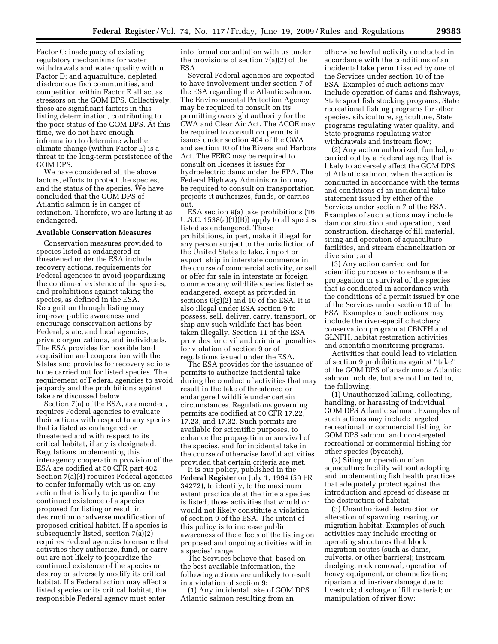Factor C; inadequacy of existing regulatory mechanisms for water withdrawals and water quality within Factor D; and aquaculture, depleted diadromous fish communities, and competition within Factor E all act as stressors on the GOM DPS. Collectively, these are significant factors in this listing determination, contributing to the poor status of the GOM DPS. At this time, we do not have enough information to determine whether climate change (within Factor E) is a threat to the long-term persistence of the GOM DPS.

We have considered all the above factors, efforts to protect the species, and the status of the species. We have concluded that the GOM DPS of Atlantic salmon is in danger of extinction. Therefore, we are listing it as endangered.

#### **Available Conservation Measures**

Conservation measures provided to species listed as endangered or threatened under the ESA include recovery actions, requirements for Federal agencies to avoid jeopardizing the continued existence of the species, and prohibitions against taking the species, as defined in the ESA. Recognition through listing may improve public awareness and encourage conservation actions by Federal, state, and local agencies, private organizations, and individuals. The ESA provides for possible land acquisition and cooperation with the States and provides for recovery actions to be carried out for listed species. The requirement of Federal agencies to avoid jeopardy and the prohibitions against take are discussed below.

Section 7(a) of the ESA, as amended, requires Federal agencies to evaluate their actions with respect to any species that is listed as endangered or threatened and with respect to its critical habitat, if any is designated. Regulations implementing this interagency cooperation provision of the ESA are codified at 50 CFR part 402. Section 7(a)(4) requires Federal agencies to confer informally with us on any action that is likely to jeopardize the continued existence of a species proposed for listing or result in destruction or adverse modification of proposed critical habitat. If a species is subsequently listed, section 7(a)(2) requires Federal agencies to ensure that activities they authorize, fund, or carry out are not likely to jeopardize the continued existence of the species or destroy or adversely modify its critical habitat. If a Federal action may affect a listed species or its critical habitat, the responsible Federal agency must enter

into formal consultation with us under the provisions of section 7(a)(2) of the ESA.

Several Federal agencies are expected to have involvement under section 7 of the ESA regarding the Atlantic salmon. The Environmental Protection Agency may be required to consult on its permitting oversight authority for the CWA and Clear Air Act. The ACOE may be required to consult on permits it issues under section 404 of the CWA and section 10 of the Rivers and Harbors Act. The FERC may be required to consult on licenses it issues for hydroelectric dams under the FPA. The Federal Highway Administration may be required to consult on transportation projects it authorizes, funds, or carries out.

ESA section 9(a) take prohibitions (16 U.S.C. 1538(a)(1)(B)) apply to all species listed as endangered. Those prohibitions, in part, make it illegal for any person subject to the jurisdiction of the United States to take, import or export, ship in interstate commerce in the course of commercial activity, or sell or offer for sale in interstate or foreign commerce any wildlife species listed as endangered, except as provided in sections  $6(g)(2)$  and 10 of the ESA. It is also illegal under ESA section 9 to possess, sell, deliver, carry, transport, or ship any such wildlife that has been taken illegally. Section 11 of the ESA provides for civil and criminal penalties for violation of section 9 or of regulations issued under the ESA.

The ESA provides for the issuance of permits to authorize incidental take during the conduct of activities that may result in the take of threatened or endangered wildlife under certain circumstances. Regulations governing permits are codified at 50 CFR 17.22, 17.23, and 17.32. Such permits are available for scientific purposes, to enhance the propagation or survival of the species, and for incidental take in the course of otherwise lawful activities provided that certain criteria are met.

It is our policy, published in the **Federal Register** on July 1, 1994 (59 FR 34272), to identify, to the maximum extent practicable at the time a species is listed, those activities that would or would not likely constitute a violation of section 9 of the ESA. The intent of this policy is to increase public awareness of the effects of the listing on proposed and ongoing activities within a species' range.

The Services believe that, based on the best available information, the following actions are unlikely to result in a violation of section 9:

(1) Any incidental take of GOM DPS Atlantic salmon resulting from an

otherwise lawful activity conducted in accordance with the conditions of an incidental take permit issued by one of the Services under section 10 of the ESA. Examples of such actions may include operation of dams and fishways, State sport fish stocking programs, State recreational fishing programs for other species, silviculture, agriculture, State programs regulating water quality, and State programs regulating water withdrawals and instream flow;

(2) Any action authorized, funded, or carried out by a Federal agency that is likely to adversely affect the GOM DPS of Atlantic salmon, when the action is conducted in accordance with the terms and conditions of an incidental take statement issued by either of the Services under section 7 of the ESA. Examples of such actions may include dam construction and operation, road construction, discharge of fill material, siting and operation of aquaculture facilities, and stream channelization or diversion; and

(3) Any action carried out for scientific purposes or to enhance the propagation or survival of the species that is conducted in accordance with the conditions of a permit issued by one of the Services under section 10 of the ESA. Examples of such actions may include the river-specific hatchery conservation program at CBNFH and GLNFH, habitat restoration activities, and scientific monitoring programs.

Activities that could lead to violation of section 9 prohibitions against ''take'' of the GOM DPS of anadromous Atlantic salmon include, but are not limited to, the following:

(1) Unauthorized killing, collecting, handling, or harassing of individual GOM DPS Atlantic salmon. Examples of such actions may include targeted recreational or commercial fishing for GOM DPS salmon, and non-targeted recreational or commercial fishing for other species (bycatch),

(2) Siting or operation of an aquaculture facility without adopting and implementing fish health practices that adequately protect against the introduction and spread of disease or the destruction of habitat;

(3) Unauthorized destruction or alteration of spawning, rearing, or migration habitat. Examples of such activities may include erecting or operating structures that block migration routes (such as dams, culverts, or other barriers); instream dredging, rock removal, operation of heavy equipment, or channelization; riparian and in-river damage due to livestock; discharge of fill material; or manipulation of river flow;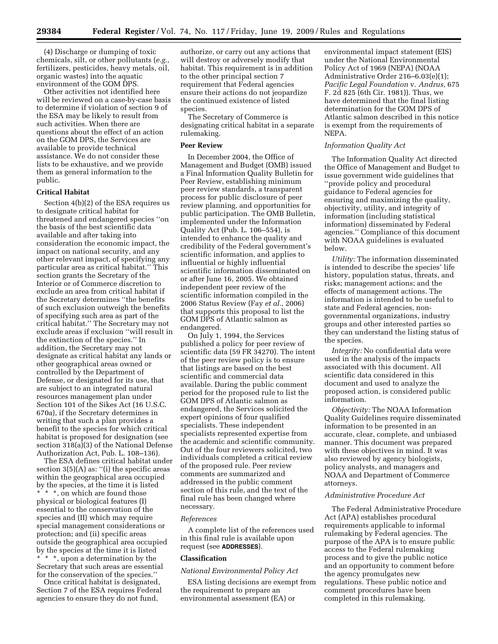(4) Discharge or dumping of toxic chemicals, silt, or other pollutants (*e.g.,*  fertilizers, pesticides, heavy metals, oil, organic wastes) into the aquatic environment of the GOM DPS.

Other activities not identified here will be reviewed on a case-by-case basis to determine if violation of section 9 of the ESA may be likely to result from such activities. When there are questions about the effect of an action on the GOM DPS, the Services are available to provide technical assistance. We do not consider these lists to be exhaustive, and we provide them as general information to the public.

#### **Critical Habitat**

Section 4(b)(2) of the ESA requires us to designate critical habitat for threatened and endangered species ''on the basis of the best scientific data available and after taking into consideration the economic impact, the impact on national security, and any other relevant impact, of specifying any particular area as critical habitat.'' This section grants the Secretary of the Interior or of Commerce discretion to exclude an area from critical habitat if the Secretary determines ''the benefits of such exclusion outweigh the benefits of specifying such area as part of the critical habitat.'' The Secretary may not exclude areas if exclusion ''will result in the extinction of the species.'' In addition, the Secretary may not designate as critical habitat any lands or other geographical areas owned or controlled by the Department of Defense, or designated for its use, that are subject to an integrated natural resources management plan under Section 101 of the Sikes Act (16 U.S.C. 670a), if the Secretary determines in writing that such a plan provides a benefit to the species for which critical habitat is proposed for designation (see section 318(a)(3) of the National Defense Authorization Act, Pub. L. 108–136).

The ESA defines critical habitat under section 3(5)(A) as: "(i) the specific areas within the geographical area occupied by the species, at the time it is listed \* \* \*, on which are found those physical or biological features (I) essential to the conservation of the species and (II) which may require special management considerations or protection; and (ii) specific areas outside the geographical area occupied by the species at the time it is listed \* \* \*, upon a determination by the Secretary that such areas are essential for the conservation of the species.''

Once critical habitat is designated, Section 7 of the ESA requires Federal agencies to ensure they do not fund,

authorize, or carry out any actions that will destroy or adversely modify that habitat. This requirement is in addition to the other principal section 7 requirement that Federal agencies ensure their actions do not jeopardize the continued existence of listed species.

The Secretary of Commerce is designating critical habitat in a separate rulemaking.

#### **Peer Review**

In December 2004, the Office of Management and Budget (OMB) issued a Final Information Quality Bulletin for Peer Review, establishing minimum peer review standards, a transparent process for public disclosure of peer review planning, and opportunities for public participation. The OMB Bulletin, implemented under the Information Quality Act (Pub. L. 106–554), is intended to enhance the quality and credibility of the Federal government's scientific information, and applies to influential or highly influential scientific information disseminated on or after June 16, 2005. We obtained independent peer review of the scientific information compiled in the 2006 Status Review (Fay *et al.,* 2006) that supports this proposal to list the GOM DPS of Atlantic salmon as endangered.

On July 1, 1994, the Services published a policy for peer review of scientific data (59 FR 34270). The intent of the peer review policy is to ensure that listings are based on the best scientific and commercial data available. During the public comment period for the proposed rule to list the GOM DPS of Atlantic salmon as endangered, the Services solicited the expert opinions of four qualified specialists. These independent specialists represented expertise from the academic and scientific community. Out of the four reviewers solicited, two individuals completed a critical review of the proposed rule. Peer review comments are summarized and addressed in the public comment section of this rule, and the text of the final rule has been changed where necessary.

#### *References*

A complete list of the references used in this final rule is available upon request (see **ADDRESSES**).

#### **Classification**

#### *National Environmental Policy Act*

ESA listing decisions are exempt from the requirement to prepare an environmental assessment (EA) or

environmental impact statement (EIS) under the National Environmental Policy Act of 1969 (NEPA) (NOAA Administrative Order 216–6.03(e)(1); *Pacific Legal Foundation* v. *Andrus,* 675 F. 2d 825 (6th Cir. 1981)). Thus, we have determined that the final listing determination for the GOM DPS of Atlantic salmon described in this notice is exempt from the requirements of NEPA.

# *Information Quality Act*

The Information Quality Act directed the Office of Management and Budget to issue government wide guidelines that ''provide policy and procedural guidance to Federal agencies for ensuring and maximizing the quality, objectivity, utility, and integrity of information (including statistical information) disseminated by Federal agencies.'' Compliance of this document with NOAA guidelines is evaluated below.

*Utility:* The information disseminated is intended to describe the species' life history, population status, threats, and risks; management actions; and the effects of management actions. The information is intended to be useful to state and Federal agencies, nongovernmental organizations, industry groups and other interested parties so they can understand the listing status of the species.

*Integrity:* No confidential data were used in the analysis of the impacts associated with this document. All scientific data considered in this document and used to analyze the proposed action, is considered public information.

*Objectivity:* The NOAA Information Quality Guidelines require disseminated information to be presented in an accurate, clear, complete, and unbiased manner. This document was prepared with these objectives in mind. It was also reviewed by agency biologists, policy analysts, and managers and NOAA and Department of Commerce attorneys.

#### *Administrative Procedure Act*

The Federal Administrative Procedure Act (APA) establishes procedural requirements applicable to informal rulemaking by Federal agencies. The purpose of the APA is to ensure public access to the Federal rulemaking process and to give the public notice and an opportunity to comment before the agency promulgates new regulations. These public notice and comment procedures have been completed in this rulemaking.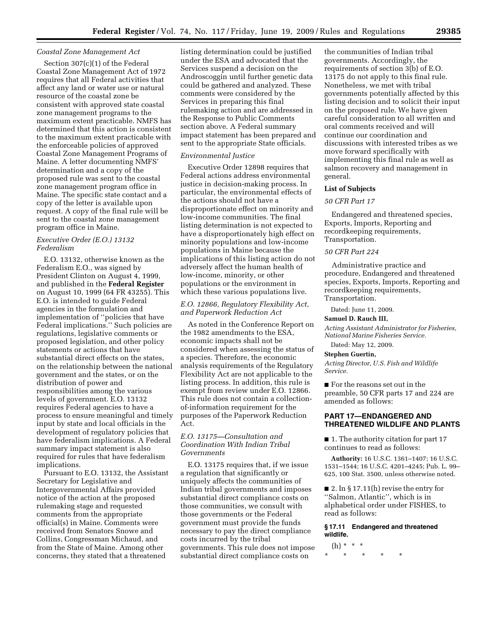# *Coastal Zone Management Act*

Section 307(c)(1) of the Federal Coastal Zone Management Act of 1972 requires that all Federal activities that affect any land or water use or natural resource of the coastal zone be consistent with approved state coastal zone management programs to the maximum extent practicable. NMFS has determined that this action is consistent to the maximum extent practicable with the enforceable policies of approved Coastal Zone Management Programs of Maine. A letter documenting NMFS' determination and a copy of the proposed rule was sent to the coastal zone management program office in Maine. The specific state contact and a copy of the letter is available upon request. A copy of the final rule will be sent to the coastal zone management program office in Maine.

# *Executive Order (E.O.) 13132 Federalism*

E.O. 13132, otherwise known as the Federalism E.O., was signed by President Clinton on August 4, 1999, and published in the **Federal Register**  on August 10, 1999 (64 FR 43255). This E.O. is intended to guide Federal agencies in the formulation and implementation of ''policies that have Federal implications.'' Such policies are regulations, legislative comments or proposed legislation, and other policy statements or actions that have substantial direct effects on the states, on the relationship between the national government and the states, or on the distribution of power and responsibilities among the various levels of government. E.O. 13132 requires Federal agencies to have a process to ensure meaningful and timely input by state and local officials in the development of regulatory policies that have federalism implications. A Federal summary impact statement is also required for rules that have federalism implications.

Pursuant to E.O. 13132, the Assistant Secretary for Legislative and Intergovernmental Affairs provided notice of the action at the proposed rulemaking stage and requested comments from the appropriate official(s) in Maine. Comments were received from Senators Snowe and Collins, Congressman Michaud, and from the State of Maine. Among other concerns, they stated that a threatened

listing determination could be justified under the ESA and advocated that the Services suspend a decision on the Androscoggin until further genetic data could be gathered and analyzed. These comments were considered by the Services in preparing this final rulemaking action and are addressed in the Response to Public Comments section above. A Federal summary impact statement has been prepared and sent to the appropriate State officials.

# *Environmental Justice*

Executive Order 12898 requires that Federal actions address environmental justice in decision-making process. In particular, the environmental effects of the actions should not have a disproportionate effect on minority and low-income communities. The final listing determination is not expected to have a disproportionately high effect on minority populations and low-income populations in Maine because the implications of this listing action do not adversely affect the human health of low-income, minority, or other populations or the environment in which these various populations live.

# *E.O. 12866, Regulatory Flexibility Act, and Paperwork Reduction Act*

As noted in the Conference Report on the 1982 amendments to the ESA, economic impacts shall not be considered when assessing the status of a species. Therefore, the economic analysis requirements of the Regulatory Flexibility Act are not applicable to the listing process. In addition, this rule is exempt from review under E.O. 12866. This rule does not contain a collectionof-information requirement for the purposes of the Paperwork Reduction Act.

# *E.O. 13175—Consultation and Coordination With Indian Tribal Governments*

E.O. 13175 requires that, if we issue a regulation that significantly or uniquely affects the communities of Indian tribal governments and imposes substantial direct compliance costs on those communities, we consult with those governments or the Federal government must provide the funds necessary to pay the direct compliance costs incurred by the tribal governments. This rule does not impose substantial direct compliance costs on

the communities of Indian tribal governments. Accordingly, the requirements of section 3(b) of E.O. 13175 do not apply to this final rule. Nonetheless, we met with tribal governments potentially affected by this listing decision and to solicit their input on the proposed rule. We have given careful consideration to all written and oral comments received and will continue our coordination and discussions with interested tribes as we move forward specifically with implementing this final rule as well as salmon recovery and management in general.

# **List of Subjects**

# *50 CFR Part 17*

Endangered and threatened species, Exports, Imports, Reporting and recordkeeping requirements, Transportation.

# *50 CFR Part 224*

Administrative practice and procedure, Endangered and threatened species, Exports, Imports, Reporting and recordkeeping requirements, Transportation.

#### Dated: June 11, 2009.

#### **Samuel D. Rauch III,**

*Acting Assistant Administrator for Fisheries, National Marine Fisheries Service.* 

# Dated: May 12, 2009.

# **Stephen Guertin,**

*Acting Director, U.S. Fish and Wildlife Service.* 

■ For the reasons set out in the preamble, 50 CFR parts 17 and 224 are amended as follows:

# **PART 17—ENDANGERED AND THREATENED WILDLIFE AND PLANTS**

■ 1. The authority citation for part 17 continues to read as follows:

**Authority:** 16 U.S.C. 1361–1407; 16 U.S.C. 1531–1544; 16 U.S.C. 4201–4245; Pub. L. 99– 625, 100 Stat. 3500, unless otherwise noted.

■ 2. In § 17.11(h) revise the entry for ''Salmon, Atlantic'', which is in alphabetical order under FISHES, to read as follows:

# **§ 17.11 Endangered and threatened wildlife.**

# (h) \* \* \*

\* \* \* \* \*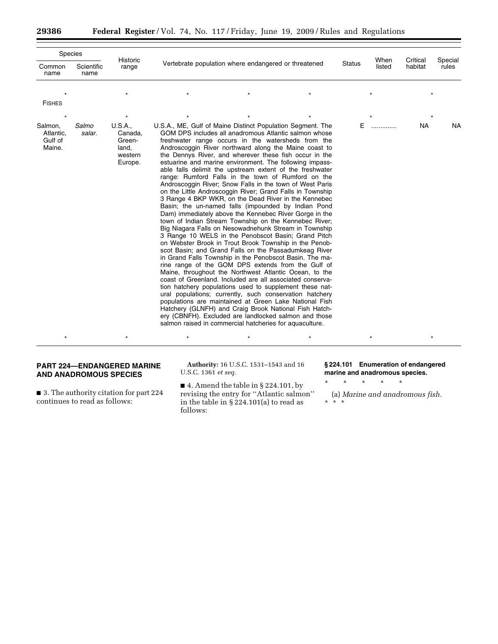|                                           | Species            |                                                             |                                                                                                                                                                                                                                                                                                                                                                                                                                                                                                                                                                                                                                                                                                                                                                                                                                                                                                                                                                                                                                                                                                                                                                                                                                                                                                                                                                                                                                                                                                                                                                                                                                                                              |        |                |                     |                  |           |
|-------------------------------------------|--------------------|-------------------------------------------------------------|------------------------------------------------------------------------------------------------------------------------------------------------------------------------------------------------------------------------------------------------------------------------------------------------------------------------------------------------------------------------------------------------------------------------------------------------------------------------------------------------------------------------------------------------------------------------------------------------------------------------------------------------------------------------------------------------------------------------------------------------------------------------------------------------------------------------------------------------------------------------------------------------------------------------------------------------------------------------------------------------------------------------------------------------------------------------------------------------------------------------------------------------------------------------------------------------------------------------------------------------------------------------------------------------------------------------------------------------------------------------------------------------------------------------------------------------------------------------------------------------------------------------------------------------------------------------------------------------------------------------------------------------------------------------------|--------|----------------|---------------------|------------------|-----------|
| Common<br>name                            | Scientific<br>name | Historic<br>range                                           | Vertebrate population where endangered or threatened                                                                                                                                                                                                                                                                                                                                                                                                                                                                                                                                                                                                                                                                                                                                                                                                                                                                                                                                                                                                                                                                                                                                                                                                                                                                                                                                                                                                                                                                                                                                                                                                                         | Status | When<br>listed | Critical<br>habitat | Special<br>rules |           |
| <b>FISHES</b>                             |                    |                                                             |                                                                                                                                                                                                                                                                                                                                                                                                                                                                                                                                                                                                                                                                                                                                                                                                                                                                                                                                                                                                                                                                                                                                                                                                                                                                                                                                                                                                                                                                                                                                                                                                                                                                              |        |                |                     |                  |           |
|                                           |                    |                                                             |                                                                                                                                                                                                                                                                                                                                                                                                                                                                                                                                                                                                                                                                                                                                                                                                                                                                                                                                                                                                                                                                                                                                                                                                                                                                                                                                                                                                                                                                                                                                                                                                                                                                              |        |                |                     |                  |           |
| Salmon,<br>Atlantic,<br>Gulf of<br>Maine. | Salmo<br>salar.    | U.S.A.,<br>Canada,<br>Green-<br>land,<br>western<br>Europe. | U.S.A., ME, Gulf of Maine Distinct Population Segment. The<br>GOM DPS includes all anadromous Atlantic salmon whose<br>freshwater range occurs in the watersheds from the<br>Androscoggin River northward along the Maine coast to<br>the Dennys River, and wherever these fish occur in the<br>estuarine and marine environment. The following impass-<br>able falls delimit the upstream extent of the freshwater<br>range: Rumford Falls in the town of Rumford on the<br>Androscoggin River; Snow Falls in the town of West Paris<br>on the Little Androscoggin River; Grand Falls in Township<br>3 Range 4 BKP WKR, on the Dead River in the Kennebec<br>Basin; the un-named falls (impounded by Indian Pond<br>Dam) immediately above the Kennebec River Gorge in the<br>town of Indian Stream Township on the Kennebec River;<br>Big Niagara Falls on Nesowadnehunk Stream in Township<br>3 Range 10 WELS in the Penobscot Basin; Grand Pitch<br>on Webster Brook in Trout Brook Township in the Penob-<br>scot Basin; and Grand Falls on the Passadumkeag River<br>in Grand Falls Township in the Penobscot Basin. The ma-<br>rine range of the GOM DPS extends from the Gulf of<br>Maine, throughout the Northwest Atlantic Ocean, to the<br>coast of Greenland. Included are all associated conserva-<br>tion hatchery populations used to supplement these nat-<br>ural populations; currently, such conservation hatchery<br>populations are maintained at Green Lake National Fish<br>Hatchery (GLNFH) and Craig Brook National Fish Hatch-<br>ery (CBNFH). Excluded are landlocked salmon and those<br>salmon raised in commercial hatcheries for aquaculture. |        | E.             | .                   | NA               | <b>NA</b> |
|                                           |                    |                                                             |                                                                                                                                                                                                                                                                                                                                                                                                                                                                                                                                                                                                                                                                                                                                                                                                                                                                                                                                                                                                                                                                                                                                                                                                                                                                                                                                                                                                                                                                                                                                                                                                                                                                              |        |                |                     |                  |           |

# **PART 224—ENDANGERED MARINE AND ANADROMOUS SPECIES**

■ 3. The authority citation for part 224 continues to read as follows:

**Authority:** 16 U.S.C. 1531–1543 and 16 U.S.C. 1361 *et seq.* 

 $\blacksquare$  4. Amend the table in § 224.101, by revising the entry for ''Atlantic salmon'' in the table in § 224.101(a) to read as follows:

**§ 224.101 Enumeration of endangered marine and anadromous species.** 

\* \* \* \* \*

(a) *Marine and anadromous fish.*  \* \* \*